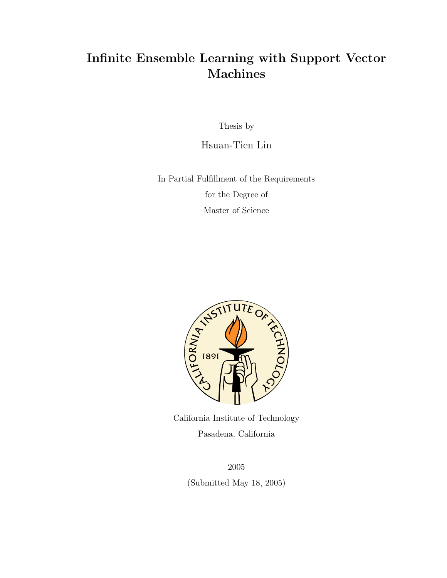## Infinite Ensemble Learning with Support Vector Machines

Thesis by

Hsuan-Tien Lin

In Partial Fulfillment of the Requirements for the Degree of Master of Science



California Institute of Technology Pasadena, California

> 2005 (Submitted May 18, 2005)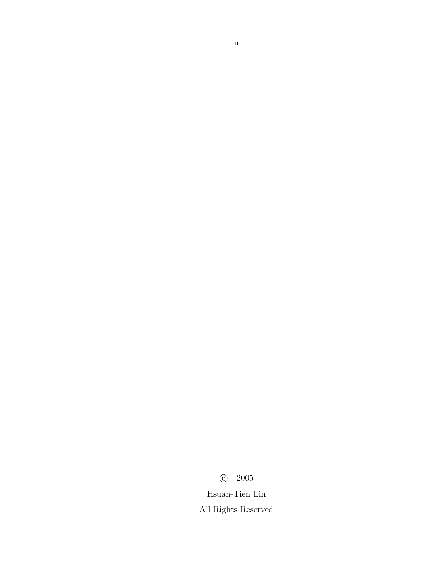c 2005

Hsuan-Tien Lin All Rights Reserved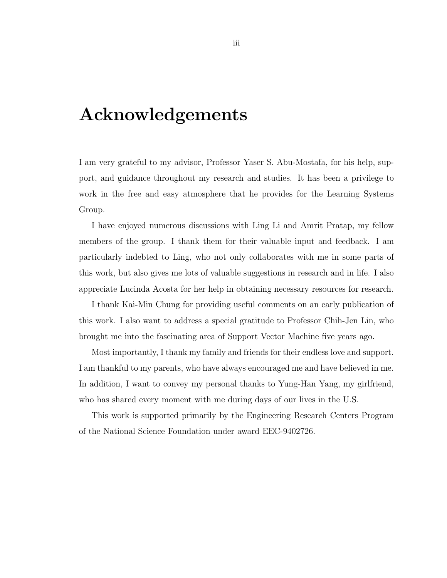# Acknowledgements

I am very grateful to my advisor, Professor Yaser S. Abu-Mostafa, for his help, support, and guidance throughout my research and studies. It has been a privilege to work in the free and easy atmosphere that he provides for the Learning Systems Group.

I have enjoyed numerous discussions with Ling Li and Amrit Pratap, my fellow members of the group. I thank them for their valuable input and feedback. I am particularly indebted to Ling, who not only collaborates with me in some parts of this work, but also gives me lots of valuable suggestions in research and in life. I also appreciate Lucinda Acosta for her help in obtaining necessary resources for research.

I thank Kai-Min Chung for providing useful comments on an early publication of this work. I also want to address a special gratitude to Professor Chih-Jen Lin, who brought me into the fascinating area of Support Vector Machine five years ago.

Most importantly, I thank my family and friends for their endless love and support. I am thankful to my parents, who have always encouraged me and have believed in me. In addition, I want to convey my personal thanks to Yung-Han Yang, my girlfriend, who has shared every moment with me during days of our lives in the U.S.

This work is supported primarily by the Engineering Research Centers Program of the National Science Foundation under award EEC-9402726.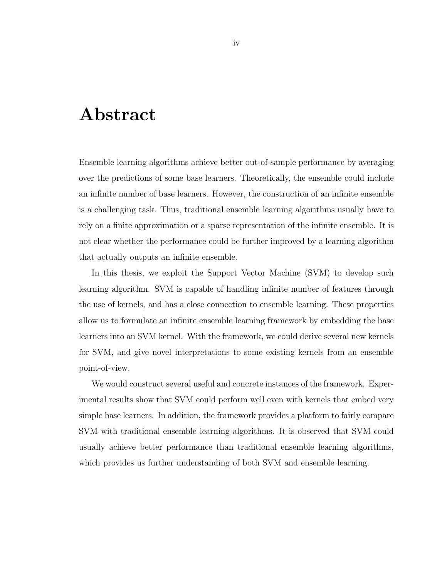## Abstract

Ensemble learning algorithms achieve better out-of-sample performance by averaging over the predictions of some base learners. Theoretically, the ensemble could include an infinite number of base learners. However, the construction of an infinite ensemble is a challenging task. Thus, traditional ensemble learning algorithms usually have to rely on a finite approximation or a sparse representation of the infinite ensemble. It is not clear whether the performance could be further improved by a learning algorithm that actually outputs an infinite ensemble.

In this thesis, we exploit the Support Vector Machine (SVM) to develop such learning algorithm. SVM is capable of handling infinite number of features through the use of kernels, and has a close connection to ensemble learning. These properties allow us to formulate an infinite ensemble learning framework by embedding the base learners into an SVM kernel. With the framework, we could derive several new kernels for SVM, and give novel interpretations to some existing kernels from an ensemble point-of-view.

We would construct several useful and concrete instances of the framework. Experimental results show that SVM could perform well even with kernels that embed very simple base learners. In addition, the framework provides a platform to fairly compare SVM with traditional ensemble learning algorithms. It is observed that SVM could usually achieve better performance than traditional ensemble learning algorithms, which provides us further understanding of both SVM and ensemble learning.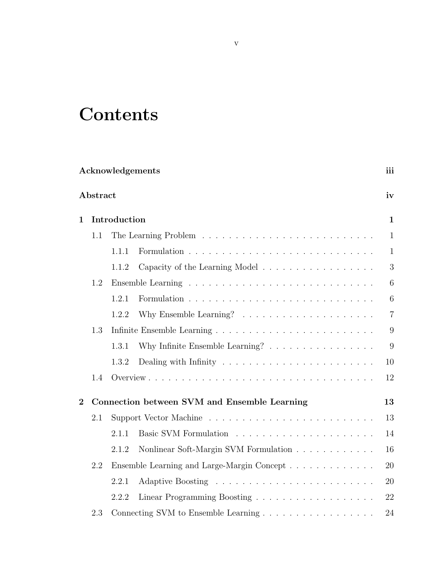# **Contents**

|              | Acknowledgements |              |                                                                      | iii             |
|--------------|------------------|--------------|----------------------------------------------------------------------|-----------------|
|              | Abstract         |              |                                                                      | iv              |
| $\mathbf{1}$ |                  | Introduction |                                                                      | $\mathbf{1}$    |
|              | 1.1              |              |                                                                      | $\mathbf{1}$    |
|              |                  | 1.1.1        |                                                                      | $\mathbf{1}$    |
|              |                  | 1.1.2        | Capacity of the Learning Model                                       | 3               |
|              | 1.2              |              |                                                                      | 6               |
|              |                  | 1.2.1        |                                                                      | $6\phantom{.}6$ |
|              |                  | 1.2.2        | Why Ensemble Learning? $\dots \dots \dots \dots \dots \dots \dots$   | $\overline{7}$  |
|              | 1.3              |              |                                                                      | 9               |
|              |                  | 1.3.1        | Why Infinite Ensemble Learning? $\ldots \ldots \ldots \ldots \ldots$ | 9               |
|              |                  | 1.3.2        |                                                                      | 10              |
|              | 1.4              |              |                                                                      | 12              |
| $\mathbf{2}$ |                  |              | Connection between SVM and Ensemble Learning                         | 13              |
|              | 2.1              |              |                                                                      | 13              |
|              |                  | 2.1.1        |                                                                      | 14              |
|              |                  | 2.1.2        | Nonlinear Soft-Margin SVM Formulation                                | 16              |
|              | 2.2              |              | Ensemble Learning and Large-Margin Concept                           | 20              |
|              |                  | 2.2.1        |                                                                      | 20              |
|              |                  | 2.2.2        |                                                                      | 22              |
|              | 2.3              |              |                                                                      | 24              |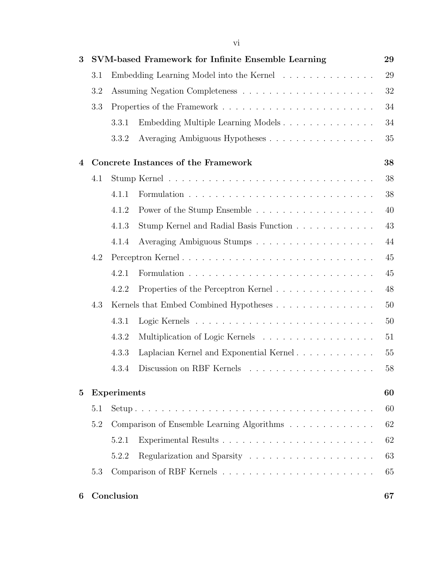| 3              |                                               |                          | SVM-based Framework for Infinite Ensemble Learning | 29 |  |  |
|----------------|-----------------------------------------------|--------------------------|----------------------------------------------------|----|--|--|
|                | 3.1                                           |                          | Embedding Learning Model into the Kernel           | 29 |  |  |
|                | 3.2                                           |                          |                                                    | 32 |  |  |
|                | 3.3                                           |                          |                                                    | 34 |  |  |
|                |                                               | 3.3.1                    | Embedding Multiple Learning Models                 | 34 |  |  |
|                |                                               | 3.3.2                    | Averaging Ambiguous Hypotheses                     | 35 |  |  |
| 4              | 38<br>Concrete Instances of the Framework     |                          |                                                    |    |  |  |
|                | 4.1                                           |                          |                                                    | 38 |  |  |
|                |                                               | 4.1.1                    |                                                    | 38 |  |  |
|                |                                               | 4.1.2                    |                                                    | 40 |  |  |
|                |                                               | 4.1.3                    | Stump Kernel and Radial Basis Function             | 43 |  |  |
|                |                                               | 4.1.4                    |                                                    | 44 |  |  |
|                | 4.2                                           |                          |                                                    | 45 |  |  |
|                |                                               | 4.2.1                    |                                                    | 45 |  |  |
|                |                                               | 4.2.2                    | Properties of the Perceptron Kernel                | 48 |  |  |
|                | 4.3<br>Kernels that Embed Combined Hypotheses |                          |                                                    | 50 |  |  |
|                |                                               | 4.3.1                    |                                                    | 50 |  |  |
|                |                                               | 4.3.2                    | Multiplication of Logic Kernels                    | 51 |  |  |
|                |                                               | 4.3.3                    | Laplacian Kernel and Exponential Kernel            | 55 |  |  |
|                |                                               | 4.3.4                    |                                                    | 58 |  |  |
| $\overline{5}$ |                                               | <b>Experiments</b><br>60 |                                                    |    |  |  |
|                | 5.1                                           |                          |                                                    | 60 |  |  |
|                | 5.2                                           |                          | Comparison of Ensemble Learning Algorithms         | 62 |  |  |
|                |                                               | 5.2.1                    |                                                    | 62 |  |  |
|                |                                               | 5.2.2                    |                                                    | 63 |  |  |
|                | 5.3                                           |                          |                                                    | 65 |  |  |
| 6              |                                               | Conclusion               |                                                    | 67 |  |  |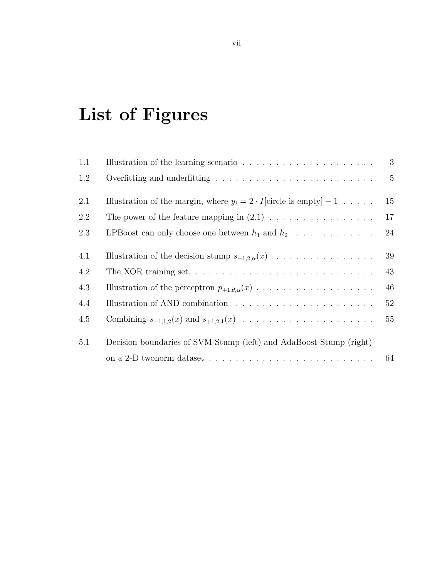# List of Figures

| 1.1 |                                                                                              | 3               |
|-----|----------------------------------------------------------------------------------------------|-----------------|
| 1.2 |                                                                                              | $5\overline{)}$ |
| 2.1 | Illustration of the margin, where $y_i = 2 \cdot I$ circle is empty $-1 \ldots$ .            | 15              |
| 2.2 |                                                                                              | 17              |
| 2.3 | LPBoost can only choose one between $h_1$ and $h_2$                                          | 24              |
| 4.1 | Illustration of the decision stump $s_{+1,2,\alpha}(x)$                                      | 39              |
| 4.2 | The XOR training set                                                                         | 43              |
| 4.3 |                                                                                              | 46              |
| 4.4 |                                                                                              | 52              |
| 4.5 |                                                                                              | 55              |
| 5.1 | Decision boundaries of SVM-Stump (left) and AdaBoost-Stump (right)                           |                 |
|     | on a 2-D twonorm dataset $\dots \dots \dots \dots \dots \dots \dots \dots \dots \dots \dots$ | 64              |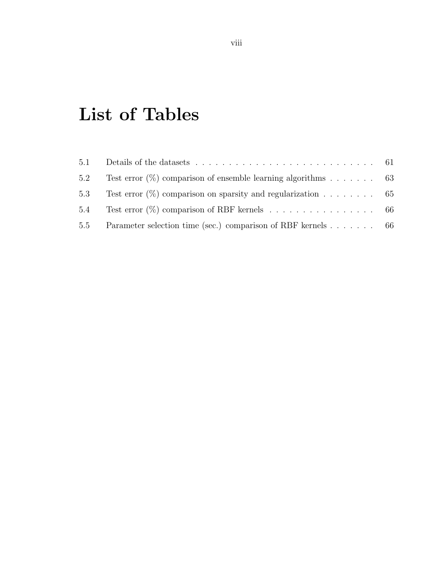# List of Tables

| 5.2 | Test error $(\%)$ comparison of ensemble learning algorithms 63    |  |
|-----|--------------------------------------------------------------------|--|
|     | 5.3 Test error $(\%)$ comparison on sparsity and regularization 65 |  |
|     | 5.4 Test error $(\%)$ comparison of RBF kernels 66                 |  |
|     | 5.5 Parameter selection time (sec.) comparison of RBF kernels 66   |  |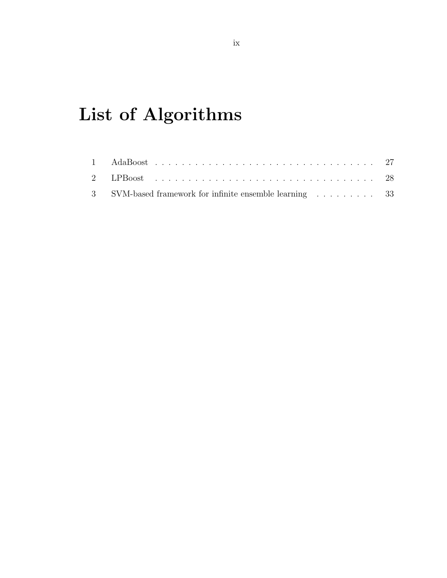# List of Algorithms

| 3 SVM-based framework for infinite ensemble learning 33 |  |
|---------------------------------------------------------|--|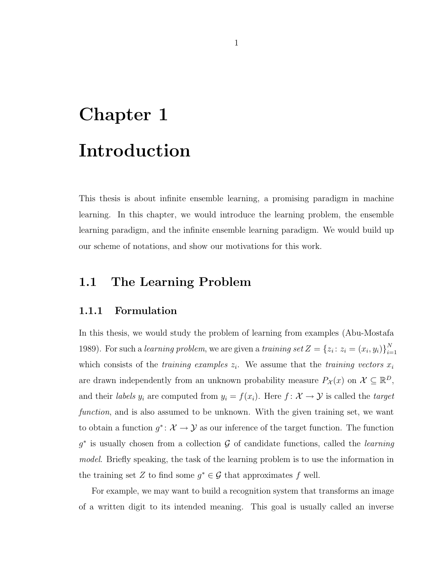# Chapter 1 Introduction

This thesis is about infinite ensemble learning, a promising paradigm in machine learning. In this chapter, we would introduce the learning problem, the ensemble learning paradigm, and the infinite ensemble learning paradigm. We would build up our scheme of notations, and show our motivations for this work.

## 1.1 The Learning Problem

#### 1.1.1 Formulation

In this thesis, we would study the problem of learning from examples (Abu-Mostafa 1989). For such a learning problem, we are given a training set  $Z = \{z_i : z_i = (x_i, y_i)\}_{i=1}^N$  $i=1$ which consists of the *training examples*  $z_i$ . We assume that the *training vectors*  $x_i$ are drawn independently from an unknown probability measure  $P_{\mathcal{X}}(x)$  on  $\mathcal{X} \subseteq \mathbb{R}^D$ , and their *labels*  $y_i$  are computed from  $y_i = f(x_i)$ . Here  $f : \mathcal{X} \to \mathcal{Y}$  is called the *target* function, and is also assumed to be unknown. With the given training set, we want to obtain a function  $g^* \colon \mathcal{X} \to \mathcal{Y}$  as our inference of the target function. The function  $g^*$  is usually chosen from a collection G of candidate functions, called the *learning* model. Briefly speaking, the task of the learning problem is to use the information in the training set Z to find some  $g^* \in \mathcal{G}$  that approximates f well.

For example, we may want to build a recognition system that transforms an image of a written digit to its intended meaning. This goal is usually called an inverse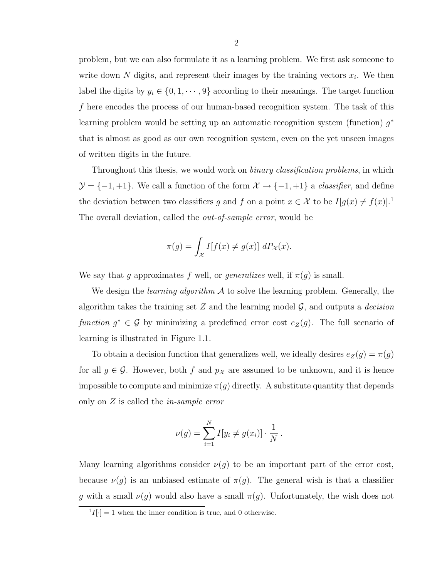problem, but we can also formulate it as a learning problem. We first ask someone to write down N digits, and represent their images by the training vectors  $x_i$ . We then label the digits by  $y_i \in \{0, 1, \dots, 9\}$  according to their meanings. The target function f here encodes the process of our human-based recognition system. The task of this learning problem would be setting up an automatic recognition system (function)  $g^*$ that is almost as good as our own recognition system, even on the yet unseen images of written digits in the future.

Throughout this thesis, we would work on *binary classification problems*, in which  $\mathcal{Y} = \{-1, +1\}$ . We call a function of the form  $\mathcal{X} \to \{-1, +1\}$  a *classifier*, and define the deviation between two classifiers g and f on a point  $x \in \mathcal{X}$  to be  $I[g(x) \neq f(x)]$ .<sup>1</sup> The overall deviation, called the *out-of-sample error*, would be

$$
\pi(g) = \int_{\mathcal{X}} I[f(x) \neq g(x)] \, dP_{\mathcal{X}}(x).
$$

We say that g approximates f well, or generalizes well, if  $\pi(g)$  is small.

We design the *learning algorithm*  $\mathcal A$  to solve the learning problem. Generally, the algorithm takes the training set  $Z$  and the learning model  $\mathcal{G}$ , and outputs a *decision* function  $g^* \in \mathcal{G}$  by minimizing a predefined error cost  $e_Z(g)$ . The full scenario of learning is illustrated in Figure 1.1.

To obtain a decision function that generalizes well, we ideally desires  $e_Z(g) = \pi(g)$ for all  $g \in \mathcal{G}$ . However, both f and  $p_{\mathcal{X}}$  are assumed to be unknown, and it is hence impossible to compute and minimize  $\pi(g)$  directly. A substitute quantity that depends only on Z is called the in-sample error

$$
\nu(g) = \sum_{i=1}^{N} I[y_i \neq g(x_i)] \cdot \frac{1}{N}.
$$

Many learning algorithms consider  $\nu(g)$  to be an important part of the error cost, because  $\nu(g)$  is an unbiased estimate of  $\pi(g)$ . The general wish is that a classifier g with a small  $\nu(g)$  would also have a small  $\pi(g)$ . Unfortunately, the wish does not

 ${}^{1}I[\cdot] = 1$  when the inner condition is true, and 0 otherwise.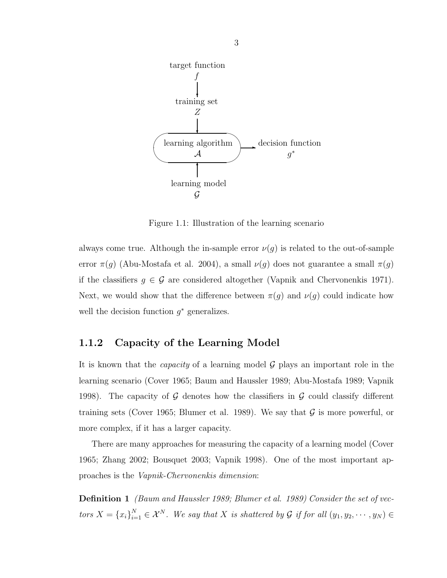

Figure 1.1: Illustration of the learning scenario

always come true. Although the in-sample error  $\nu(g)$  is related to the out-of-sample error  $\pi(g)$  (Abu-Mostafa et al. 2004), a small  $\nu(g)$  does not guarantee a small  $\pi(g)$ if the classifiers  $g \in \mathcal{G}$  are considered altogether (Vapnik and Chervonenkis 1971). Next, we would show that the difference between  $\pi(g)$  and  $\nu(g)$  could indicate how well the decision function  $g^*$  generalizes.

#### 1.1.2 Capacity of the Learning Model

It is known that the *capacity* of a learning model  $\mathcal G$  plays an important role in the learning scenario (Cover 1965; Baum and Haussler 1989; Abu-Mostafa 1989; Vapnik 1998). The capacity of  $G$  denotes how the classifiers in  $G$  could classify different training sets (Cover 1965; Blumer et al. 1989). We say that  $\mathcal G$  is more powerful, or more complex, if it has a larger capacity.

There are many approaches for measuring the capacity of a learning model (Cover 1965; Zhang 2002; Bousquet 2003; Vapnik 1998). One of the most important approaches is the Vapnik-Chervonenkis dimension:

Definition 1 (Baum and Haussler 1989; Blumer et al. 1989) Consider the set of vectors  $X = \{x_i\}_{i=1}^N \in \mathcal{X}^N$ . We say that X is shattered by G if for all  $(y_1, y_2, \dots, y_N) \in$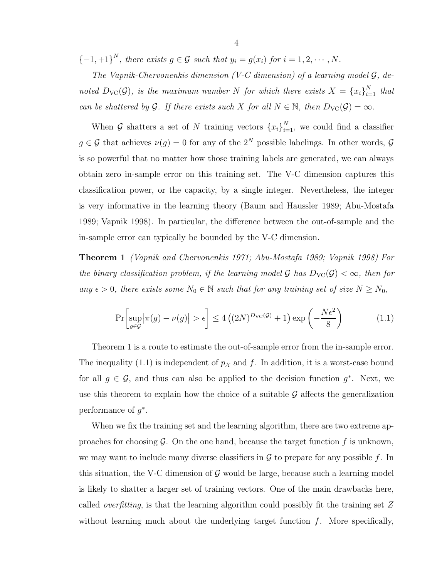${-1, +1}^N$ , there exists  $g \in \mathcal{G}$  such that  $y_i = g(x_i)$  for  $i = 1, 2, \cdots, N$ .

The Vapnik-Chervonenkis dimension (V-C dimension) of a learning model  $G$ , denoted  $D_{\text{VC}}(\mathcal{G})$ , is the maximum number N for which there exists  $X = \{x_i\}_{i=1}^N$  that can be shattered by G. If there exists such X for all  $N \in \mathbb{N}$ , then  $D_{\text{VC}}(\mathcal{G}) = \infty$ .

When G shatters a set of N training vectors  $\{x_i\}_{i=1}^N$ , we could find a classifier  $g \in \mathcal{G}$  that achieves  $\nu(g) = 0$  for any of the  $2^N$  possible labelings. In other words,  $\mathcal{G}$ is so powerful that no matter how those training labels are generated, we can always obtain zero in-sample error on this training set. The V-C dimension captures this classification power, or the capacity, by a single integer. Nevertheless, the integer is very informative in the learning theory (Baum and Haussler 1989; Abu-Mostafa 1989; Vapnik 1998). In particular, the difference between the out-of-sample and the in-sample error can typically be bounded by the V-C dimension.

Theorem 1 (Vapnik and Chervonenkis 1971; Abu-Mostafa 1989; Vapnik 1998) For the binary classification problem, if the learning model G has  $D_{\text{VC}}(\mathcal{G}) < \infty$ , then for any  $\epsilon > 0$ , there exists some  $N_0 \in \mathbb{N}$  such that for any training set of size  $N \ge N_0$ ,

$$
\Pr\left[\sup_{g\in\mathcal{G}}\left|\pi(g) - \nu(g)\right| > \epsilon\right] \le 4\left((2N)^{D_{\text{VC}}(\mathcal{G})} + 1\right)\exp\left(-\frac{N\epsilon^2}{8}\right) \tag{1.1}
$$

Theorem 1 is a route to estimate the out-of-sample error from the in-sample error. The inequality (1.1) is independent of  $p_{\mathcal{X}}$  and f. In addition, it is a worst-case bound for all  $g \in \mathcal{G}$ , and thus can also be applied to the decision function  $g^*$ . Next, we use this theorem to explain how the choice of a suitable  $\mathcal G$  affects the generalization performance of  $g^*$ .

When we fix the training set and the learning algorithm, there are two extreme approaches for choosing  $\mathcal G$ . On the one hand, because the target function f is unknown, we may want to include many diverse classifiers in  $\mathcal G$  to prepare for any possible f. In this situation, the V-C dimension of  $\mathcal G$  would be large, because such a learning model is likely to shatter a larger set of training vectors. One of the main drawbacks here, called overfitting, is that the learning algorithm could possibly fit the training set Z without learning much about the underlying target function  $f$ . More specifically,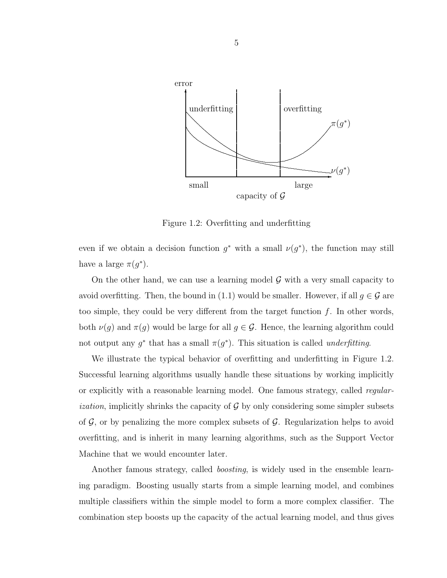

Figure 1.2: Overfitting and underfitting

even if we obtain a decision function  $g^*$  with a small  $\nu(g^*)$ , the function may still have a large  $\pi(g^*)$ .

On the other hand, we can use a learning model  $\mathcal G$  with a very small capacity to avoid overfitting. Then, the bound in (1.1) would be smaller. However, if all  $g \in \mathcal{G}$  are too simple, they could be very different from the target function  $f$ . In other words, both  $\nu(g)$  and  $\pi(g)$  would be large for all  $g \in \mathcal{G}$ . Hence, the learning algorithm could not output any  $g^*$  that has a small  $\pi(g^*)$ . This situation is called *underfitting*.

We illustrate the typical behavior of overfitting and underfitting in Figure 1.2. Successful learning algorithms usually handle these situations by working implicitly or explicitly with a reasonable learning model. One famous strategy, called regular*ization*, implicitly shrinks the capacity of  $\mathcal G$  by only considering some simpler subsets of  $G$ , or by penalizing the more complex subsets of  $G$ . Regularization helps to avoid overfitting, and is inherit in many learning algorithms, such as the Support Vector Machine that we would encounter later.

Another famous strategy, called boosting, is widely used in the ensemble learning paradigm. Boosting usually starts from a simple learning model, and combines multiple classifiers within the simple model to form a more complex classifier. The combination step boosts up the capacity of the actual learning model, and thus gives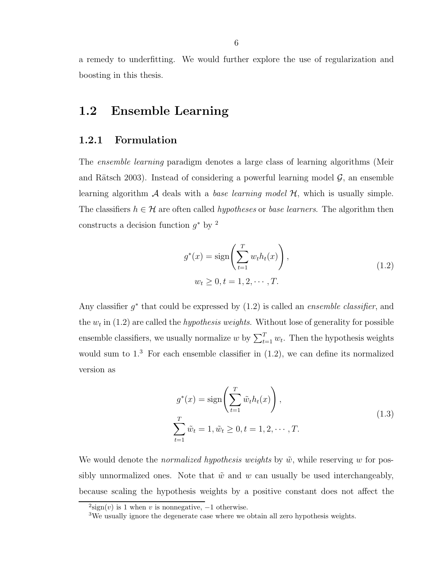a remedy to underfitting. We would further explore the use of regularization and boosting in this thesis.

## 1.2 Ensemble Learning

#### 1.2.1 Formulation

The ensemble learning paradigm denotes a large class of learning algorithms (Meir and Rätsch 2003). Instead of considering a powerful learning model  $\mathcal{G}$ , an ensemble learning algorithm  $\mathcal A$  deals with a base learning model  $\mathcal H$ , which is usually simple. The classifiers  $h \in \mathcal{H}$  are often called *hypotheses* or *base learners*. The algorithm then constructs a decision function  $g^*$  by <sup>2</sup>

$$
g^{*}(x) = \text{sign}\left(\sum_{t=1}^{T} w_{t}h_{t}(x)\right),
$$
  
\n
$$
w_{t} \geq 0, t = 1, 2, \cdots, T.
$$
\n(1.2)

Any classifier  $g^*$  that could be expressed by  $(1.2)$  is called an *ensemble classifier*, and the  $w_t$  in (1.2) are called the *hypothesis weights*. Without lose of generality for possible ensemble classifiers, we usually normalize  $w$  by  $\sum_{t=1}^{T} w_t$ . Then the hypothesis weights would sum to  $1<sup>3</sup>$  For each ensemble classifier in  $(1.2)$ , we can define its normalized version as

$$
g^*(x) = \text{sign}\left(\sum_{t=1}^T \tilde{w}_t h_t(x)\right),
$$
  

$$
\sum_{t=1}^T \tilde{w}_t = 1, \tilde{w}_t \ge 0, t = 1, 2, \cdots, T.
$$
 (1.3)

We would denote the *normalized hypothesis weights* by  $\tilde{w}$ , while reserving w for possibly unnormalized ones. Note that  $\tilde{w}$  and w can usually be used interchangeably, because scaling the hypothesis weights by a positive constant does not affect the

 $2\text{sign}(v)$  is 1 when v is nonnegative,  $-1$  otherwise.

<sup>3</sup>We usually ignore the degenerate case where we obtain all zero hypothesis weights.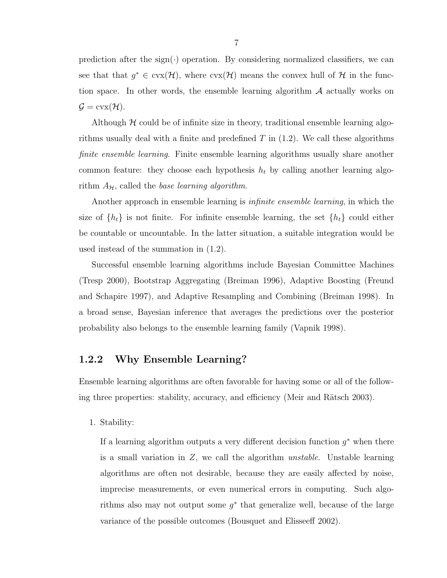prediction after the sign( $\cdot$ ) operation. By considering normalized classifiers, we can see that that  $g^* \in \text{cvx}(\mathcal{H})$ , where  $\text{cvx}(\mathcal{H})$  means the convex hull of  $\mathcal{H}$  in the function space. In other words, the ensemble learning algorithm A actually works on  $\mathcal{G} = \text{cvx}(\mathcal{H}).$ 

Although  $H$  could be of infinite size in theory, traditional ensemble learning algorithms usually deal with a finite and predefined  $T$  in (1.2). We call these algorithms finite ensemble learning. Finite ensemble learning algorithms usually share another common feature: they choose each hypothesis  $h_t$  by calling another learning algorithm  $A_{\mathcal{H}}$ , called the base learning algorithm.

Another approach in ensemble learning is infinite ensemble learning, in which the size of  $\{h_t\}$  is not finite. For infinite ensemble learning, the set  $\{h_t\}$  could either be countable or uncountable. In the latter situation, a suitable integration would be used instead of the summation in (1.2).

Successful ensemble learning algorithms include Bayesian Committee Machines (Tresp 2000), Bootstrap Aggregating (Breiman 1996), Adaptive Boosting (Freund and Schapire 1997), and Adaptive Resampling and Combining (Breiman 1998). In a broad sense, Bayesian inference that averages the predictions over the posterior probability also belongs to the ensemble learning family (Vapnik 1998).

#### 1.2.2 Why Ensemble Learning?

Ensemble learning algorithms are often favorable for having some or all of the following three properties: stability, accuracy, and efficiency (Meir and Rätsch 2003).

1. Stability:

If a learning algorithm outputs a very different decision function  $g^*$  when there is a small variation in  $Z$ , we call the algorithm *unstable*. Unstable learning algorithms are often not desirable, because they are easily affected by noise, imprecise measurements, or even numerical errors in computing. Such algorithms also may not output some  $g^*$  that generalize well, because of the large variance of the possible outcomes (Bousquet and Elisseeff 2002).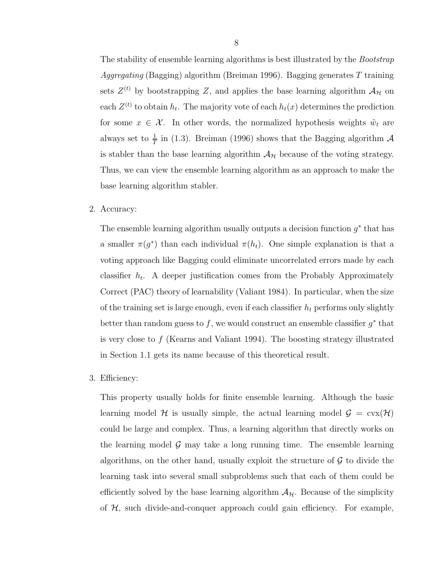The stability of ensemble learning algorithms is best illustrated by the *Bootstrap Aggregating* (Bagging) algorithm (Breiman 1996). Bagging generates T training sets  $Z^{(t)}$  by bootstrapping Z, and applies the base learning algorithm  $\mathcal{A}_{H}$  on each  $Z^{(t)}$  to obtain  $h_t$ . The majority vote of each  $h_t(x)$  determines the prediction for some  $x \in \mathcal{X}$ . In other words, the normalized hypothesis weights  $\tilde{w}_t$  are always set to  $\frac{1}{T}$  in (1.3). Breiman (1996) shows that the Bagging algorithm  $\mathcal A$ is stabler than the base learning algorithm  $A_{\mathcal{H}}$  because of the voting strategy. Thus, we can view the ensemble learning algorithm as an approach to make the base learning algorithm stabler.

2. Accuracy:

The ensemble learning algorithm usually outputs a decision function  $g^*$  that has a smaller  $\pi(g^*)$  than each individual  $\pi(h_t)$ . One simple explanation is that a voting approach like Bagging could eliminate uncorrelated errors made by each classifier  $h_t$ . A deeper justification comes from the Probably Approximately Correct (PAC) theory of learnability (Valiant 1984). In particular, when the size of the training set is large enough, even if each classifier  $h_t$  performs only slightly better than random guess to f, we would construct an ensemble classifier  $g^*$  that is very close to  $f$  (Kearns and Valiant 1994). The boosting strategy illustrated in Section 1.1 gets its name because of this theoretical result.

#### 3. Efficiency:

This property usually holds for finite ensemble learning. Although the basic learning model H is usually simple, the actual learning model  $\mathcal{G} = \text{cvx}(\mathcal{H})$ could be large and complex. Thus, a learning algorithm that directly works on the learning model  $\mathcal G$  may take a long running time. The ensemble learning algorithms, on the other hand, usually exploit the structure of  $\mathcal G$  to divide the learning task into several small subproblems such that each of them could be efficiently solved by the base learning algorithm  $A_{\mathcal{H}}$ . Because of the simplicity of  $H$ , such divide-and-conquer approach could gain efficiency. For example,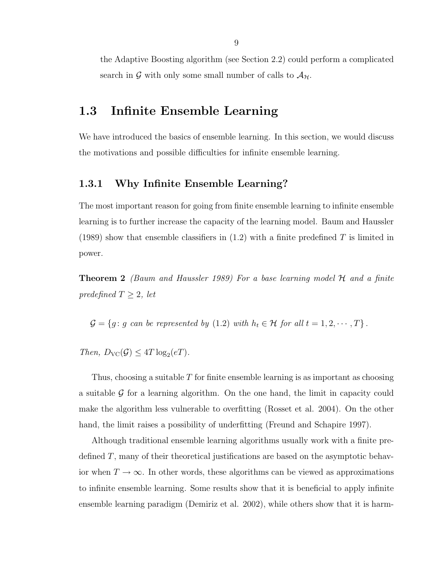the Adaptive Boosting algorithm (see Section 2.2) could perform a complicated search in G with only some small number of calls to  $\mathcal{A}_{H}$ .

## 1.3 Infinite Ensemble Learning

We have introduced the basics of ensemble learning. In this section, we would discuss the motivations and possible difficulties for infinite ensemble learning.

#### 1.3.1 Why Infinite Ensemble Learning?

The most important reason for going from finite ensemble learning to infinite ensemble learning is to further increase the capacity of the learning model. Baum and Haussler (1989) show that ensemble classifiers in  $(1.2)$  with a finite predefined T is limited in power.

**Theorem 2** (Baum and Haussler 1989) For a base learning model  $H$  and a finite predefined  $T \geq 2$ , let

 $\mathcal{G} = \{g : g \text{ can be represented by } (1.2) \text{ with } h_t \in \mathcal{H} \text{ for all } t = 1, 2, \cdots, T\}.$ 

Then,  $D_{\text{VC}}(\mathcal{G}) \leq 4T \log_2(eT)$ .

Thus, choosing a suitable T for finite ensemble learning is as important as choosing a suitable  $\mathcal G$  for a learning algorithm. On the one hand, the limit in capacity could make the algorithm less vulnerable to overfitting (Rosset et al. 2004). On the other hand, the limit raises a possibility of underfitting (Freund and Schapire 1997).

Although traditional ensemble learning algorithms usually work with a finite predefined T, many of their theoretical justifications are based on the asymptotic behavior when  $T \to \infty$ . In other words, these algorithms can be viewed as approximations to infinite ensemble learning. Some results show that it is beneficial to apply infinite ensemble learning paradigm (Demiriz et al. 2002), while others show that it is harm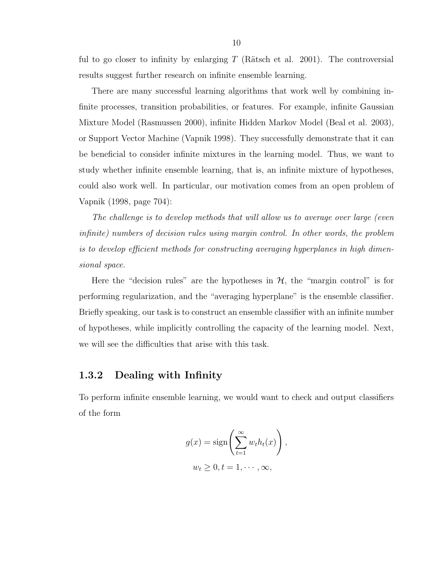ful to go closer to infinity by enlarging  $T$  (Rätsch et al. 2001). The controversial results suggest further research on infinite ensemble learning.

There are many successful learning algorithms that work well by combining infinite processes, transition probabilities, or features. For example, infinite Gaussian Mixture Model (Rasmussen 2000), infinite Hidden Markov Model (Beal et al. 2003), or Support Vector Machine (Vapnik 1998). They successfully demonstrate that it can be beneficial to consider infinite mixtures in the learning model. Thus, we want to study whether infinite ensemble learning, that is, an infinite mixture of hypotheses, could also work well. In particular, our motivation comes from an open problem of Vapnik (1998, page 704):

The challenge is to develop methods that will allow us to average over large (even infinite) numbers of decision rules using margin control. In other words, the problem is to develop efficient methods for constructing averaging hyperplanes in high dimensional space.

Here the "decision rules" are the hypotheses in  $H$ , the "margin control" is for performing regularization, and the "averaging hyperplane" is the ensemble classifier. Briefly speaking, our task is to construct an ensemble classifier with an infinite number of hypotheses, while implicitly controlling the capacity of the learning model. Next, we will see the difficulties that arise with this task.

#### 1.3.2 Dealing with Infinity

To perform infinite ensemble learning, we would want to check and output classifiers of the form

$$
g(x) = \operatorname{sign}\left(\sum_{t=1}^{\infty} w_t h_t(x)\right),
$$
  

$$
w_t \geq 0, t = 1, \cdots, \infty,
$$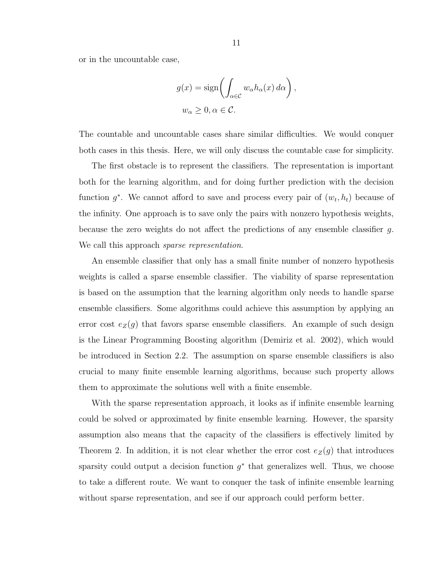or in the uncountable case,

$$
g(x) = \operatorname{sign}\left(\int_{\alpha \in \mathcal{C}} w_{\alpha} h_{\alpha}(x) d\alpha\right),
$$
  

$$
w_{\alpha} \ge 0, \alpha \in \mathcal{C}.
$$

The countable and uncountable cases share similar difficulties. We would conquer both cases in this thesis. Here, we will only discuss the countable case for simplicity.

The first obstacle is to represent the classifiers. The representation is important both for the learning algorithm, and for doing further prediction with the decision function  $g^*$ . We cannot afford to save and process every pair of  $(w_t, h_t)$  because of the infinity. One approach is to save only the pairs with nonzero hypothesis weights, because the zero weights do not affect the predictions of any ensemble classifier g. We call this approach *sparse representation*.

An ensemble classifier that only has a small finite number of nonzero hypothesis weights is called a sparse ensemble classifier. The viability of sparse representation is based on the assumption that the learning algorithm only needs to handle sparse ensemble classifiers. Some algorithms could achieve this assumption by applying an error cost  $e_Z(g)$  that favors sparse ensemble classifiers. An example of such design is the Linear Programming Boosting algorithm (Demiriz et al. 2002), which would be introduced in Section 2.2. The assumption on sparse ensemble classifiers is also crucial to many finite ensemble learning algorithms, because such property allows them to approximate the solutions well with a finite ensemble.

With the sparse representation approach, it looks as if infinite ensemble learning could be solved or approximated by finite ensemble learning. However, the sparsity assumption also means that the capacity of the classifiers is effectively limited by Theorem 2. In addition, it is not clear whether the error cost  $e_Z(g)$  that introduces sparsity could output a decision function  $g^*$  that generalizes well. Thus, we choose to take a different route. We want to conquer the task of infinite ensemble learning without sparse representation, and see if our approach could perform better.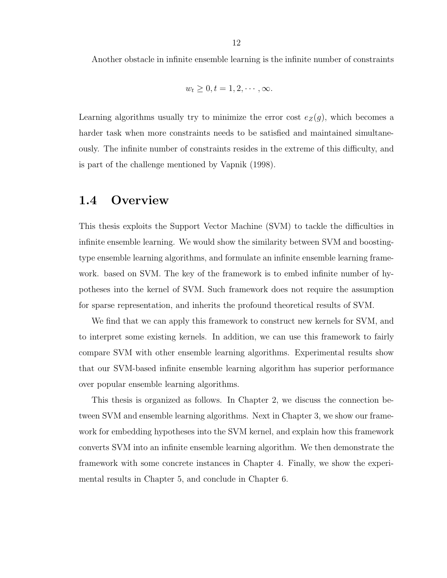Another obstacle in infinite ensemble learning is the infinite number of constraints

$$
w_t \geq 0, t = 1, 2, \cdots, \infty.
$$

Learning algorithms usually try to minimize the error cost  $e_Z(g)$ , which becomes a harder task when more constraints needs to be satisfied and maintained simultaneously. The infinite number of constraints resides in the extreme of this difficulty, and is part of the challenge mentioned by Vapnik (1998).

### 1.4 Overview

This thesis exploits the Support Vector Machine (SVM) to tackle the difficulties in infinite ensemble learning. We would show the similarity between SVM and boostingtype ensemble learning algorithms, and formulate an infinite ensemble learning framework. based on SVM. The key of the framework is to embed infinite number of hypotheses into the kernel of SVM. Such framework does not require the assumption for sparse representation, and inherits the profound theoretical results of SVM.

We find that we can apply this framework to construct new kernels for SVM, and to interpret some existing kernels. In addition, we can use this framework to fairly compare SVM with other ensemble learning algorithms. Experimental results show that our SVM-based infinite ensemble learning algorithm has superior performance over popular ensemble learning algorithms.

This thesis is organized as follows. In Chapter 2, we discuss the connection between SVM and ensemble learning algorithms. Next in Chapter 3, we show our framework for embedding hypotheses into the SVM kernel, and explain how this framework converts SVM into an infinite ensemble learning algorithm. We then demonstrate the framework with some concrete instances in Chapter 4. Finally, we show the experimental results in Chapter 5, and conclude in Chapter 6.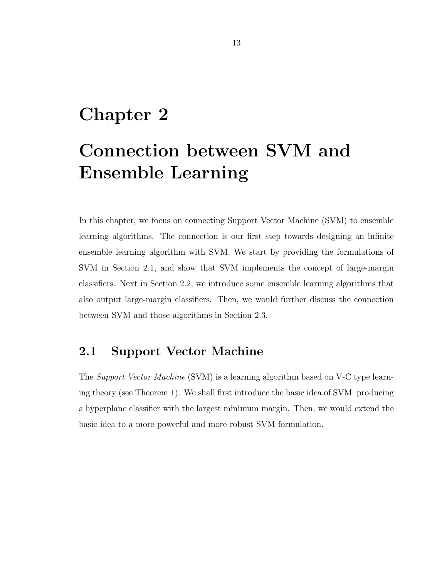## Chapter 2

# Connection between SVM and Ensemble Learning

In this chapter, we focus on connecting Support Vector Machine (SVM) to ensemble learning algorithms. The connection is our first step towards designing an infinite ensemble learning algorithm with SVM. We start by providing the formulations of SVM in Section 2.1, and show that SVM implements the concept of large-margin classifiers. Next in Section 2.2, we introduce some ensemble learning algorithms that also output large-margin classifiers. Then, we would further discuss the connection between SVM and those algorithms in Section 2.3.

### 2.1 Support Vector Machine

The Support Vector Machine (SVM) is a learning algorithm based on V-C type learning theory (see Theorem 1). We shall first introduce the basic idea of SVM: producing a hyperplane classifier with the largest minimum margin. Then, we would extend the basic idea to a more powerful and more robust SVM formulation.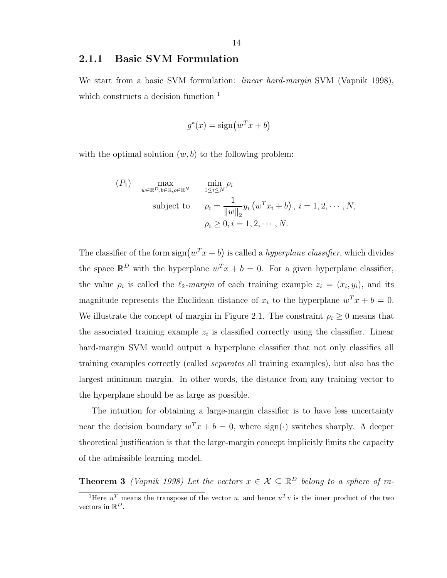#### 2.1.1 Basic SVM Formulation

We start from a basic SVM formulation: *linear hard-margin* SVM (Vapnik 1998), which constructs a decision function <sup>1</sup>

$$
g^*(x) = \text{sign}(w^T x + b)
$$

with the optimal solution  $(w, b)$  to the following problem:

$$
(P_1) \quad \max_{w \in \mathbb{R}^D, b \in \mathbb{R}, \rho \in \mathbb{R}^N} \quad \min_{1 \le i \le N} \rho_i
$$
\nsubject to\n
$$
\rho_i = \frac{1}{\|w\|_2} y_i \left( w^T x_i + b \right), \, i = 1, 2, \cdots, N,
$$
\n
$$
\rho_i \ge 0, i = 1, 2, \cdots, N.
$$

The classifier of the form  $sign(w^T x + b)$  is called a *hyperplane classifier*, which divides the space  $\mathbb{R}^D$  with the hyperplane  $w^T x + b = 0$ . For a given hyperplane classifier, the value  $\rho_i$  is called the  $\ell_2$ -margin of each training example  $z_i = (x_i, y_i)$ , and its magnitude represents the Euclidean distance of  $x_i$  to the hyperplane  $w^T x + b = 0$ . We illustrate the concept of margin in Figure 2.1. The constraint  $\rho_i \geq 0$  means that the associated training example  $z_i$  is classified correctly using the classifier. Linear hard-margin SVM would output a hyperplane classifier that not only classifies all training examples correctly (called separates all training examples), but also has the largest minimum margin. In other words, the distance from any training vector to the hyperplane should be as large as possible.

The intuition for obtaining a large-margin classifier is to have less uncertainty near the decision boundary  $w^T x + b = 0$ , where sign( $\cdot$ ) switches sharply. A deeper theoretical justification is that the large-margin concept implicitly limits the capacity of the admissible learning model.

**Theorem 3** (Vapnik 1998) Let the vectors  $x \in \mathcal{X} \subseteq \mathbb{R}^D$  belong to a sphere of ra-

<sup>&</sup>lt;sup>1</sup>Here  $u^T$  means the transpose of the vector u, and hence  $u^T v$  is the inner product of the two vectors in  $\mathbb{R}^D$ .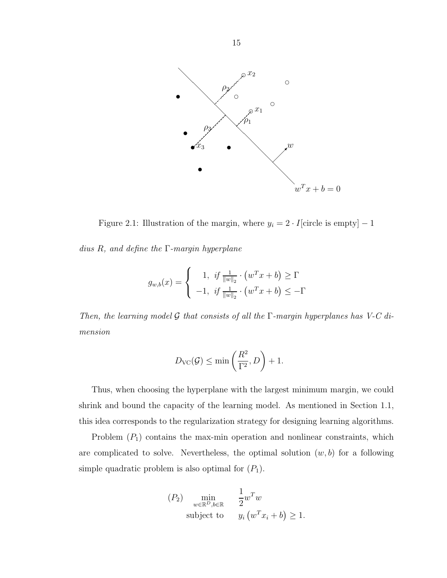

Figure 2.1: Illustration of the margin, where  $y_i = 2 \cdot I$ [circle is empty] – 1

dius  $R$ , and define the  $\Gamma$ -margin hyperplane

$$
g_{w,b}(x) = \begin{cases} 1, & \text{if } \frac{1}{\|w\|_2} \cdot (w^T x + b) \ge \Gamma \\ -1, & \text{if } \frac{1}{\|w\|_2} \cdot (w^T x + b) \le -\Gamma \end{cases}
$$

Then, the learning model G that consists of all the  $\Gamma$ -margin hyperplanes has V-C dimension

$$
D_{\text{VC}}(\mathcal{G}) \le \min\left(\frac{R^2}{\Gamma^2}, D\right) + 1.
$$

Thus, when choosing the hyperplane with the largest minimum margin, we could shrink and bound the capacity of the learning model. As mentioned in Section 1.1, this idea corresponds to the regularization strategy for designing learning algorithms.

Problem  $(P_1)$  contains the max-min operation and nonlinear constraints, which are complicated to solve. Nevertheless, the optimal solution  $(w, b)$  for a following simple quadratic problem is also optimal for  $(P_1)$ .

$$
(P_2) \min_{w \in \mathbb{R}^D, b \in \mathbb{R}} \frac{1}{2} w^T w
$$
  
subject to 
$$
y_i (w^T x_i + b) \ge 1.
$$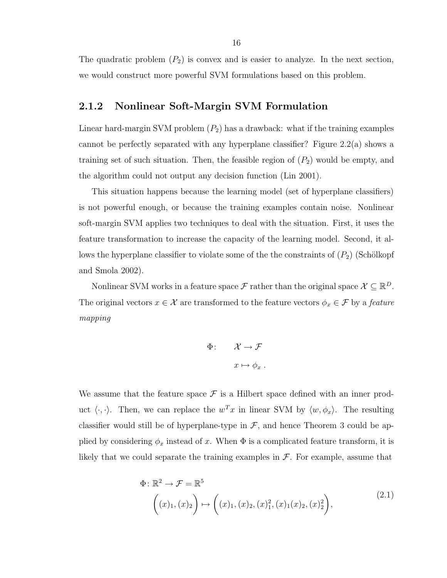The quadratic problem  $(P_2)$  is convex and is easier to analyze. In the next section, we would construct more powerful SVM formulations based on this problem.

#### 2.1.2 Nonlinear Soft-Margin SVM Formulation

Linear hard-margin SVM problem  $(P_2)$  has a drawback: what if the training examples cannot be perfectly separated with any hyperplane classifier? Figure 2.2(a) shows a training set of such situation. Then, the feasible region of  $(P_2)$  would be empty, and the algorithm could not output any decision function (Lin 2001).

This situation happens because the learning model (set of hyperplane classifiers) is not powerful enough, or because the training examples contain noise. Nonlinear soft-margin SVM applies two techniques to deal with the situation. First, it uses the feature transformation to increase the capacity of the learning model. Second, it allows the hyperplane classifier to violate some of the the constraints of  $(P_2)$  (Schölkopf and Smola 2002).

Nonlinear SVM works in a feature space  $\mathcal{F}$  rather than the original space  $\mathcal{X} \subseteq \mathbb{R}^D$ . The original vectors  $x \in \mathcal{X}$  are transformed to the feature vectors  $\phi_x \in \mathcal{F}$  by a *feature* mapping

$$
\Phi: \qquad \mathcal{X} \to \mathcal{F}
$$

$$
x \mapsto \phi_x
$$

We assume that the feature space  $\mathcal F$  is a Hilbert space defined with an inner product  $\langle \cdot, \cdot \rangle$ . Then, we can replace the  $w^T x$  in linear SVM by  $\langle w, \phi_x \rangle$ . The resulting classifier would still be of hyperplane-type in  $\mathcal{F}$ , and hence Theorem 3 could be applied by considering  $\phi_x$  instead of x. When  $\Phi$  is a complicated feature transform, it is likely that we could separate the training examples in  $\mathcal{F}$ . For example, assume that

$$
\Phi: \mathbb{R}^2 \to \mathcal{F} = \mathbb{R}^5
$$
\n
$$
\left( (x)_1, (x)_2 \right) \mapsto \left( (x)_1, (x)_2, (x)_1^2, (x)_1 (x)_2, (x)_2^2 \right),
$$
\n
$$
(2.1)
$$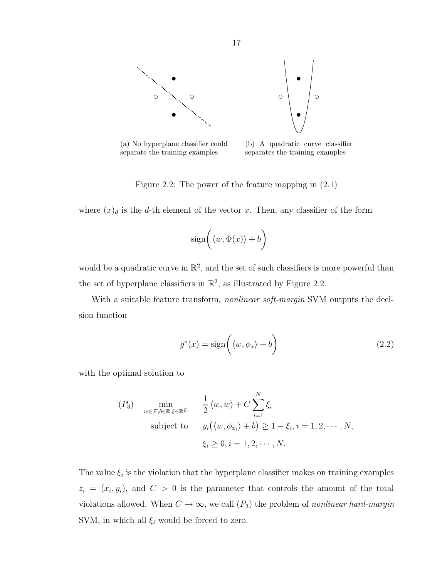

(a) No hyperplane classifier could separate the training examples

(b) A quadratic curve classifier separates the training examples

Figure 2.2: The power of the feature mapping in (2.1)

where  $(x)_d$  is the d-th element of the vector x. Then, any classifier of the form

$$
\text{sign}\bigg(\langle w, \Phi(x) \rangle + b\bigg)
$$

would be a quadratic curve in  $\mathbb{R}^2$ , and the set of such classifiers is more powerful than the set of hyperplane classifiers in  $\mathbb{R}^2$ , as illustrated by Figure 2.2.

With a suitable feature transform, *nonlinear soft-margin* SVM outputs the decision function

$$
g^*(x) = \text{sign}\left(\langle w, \phi_x \rangle + b\right) \tag{2.2}
$$

with the optimal solution to

$$
(P_3) \quad \min_{w \in \mathcal{F}, b \in \mathbb{R}, \xi \in \mathbb{R}^D} \quad \frac{1}{2} \langle w, w \rangle + C \sum_{i=1}^N \xi_i
$$
\n
$$
\text{subject to} \quad y_i \big( \langle w, \phi_{x_i} \rangle + b \big) \ge 1 - \xi_i, i = 1, 2, \cdots, N,
$$
\n
$$
\xi_i \ge 0, i = 1, 2, \cdots, N.
$$

The value  $\xi_i$  is the violation that the hyperplane classifier makes on training examples  $z_i = (x_i, y_i)$ , and  $C > 0$  is the parameter that controls the amount of the total violations allowed. When  $C \to \infty$ , we call  $(P_3)$  the problem of nonlinear hard-margin SVM, in which all  $\xi_i$  would be forced to zero.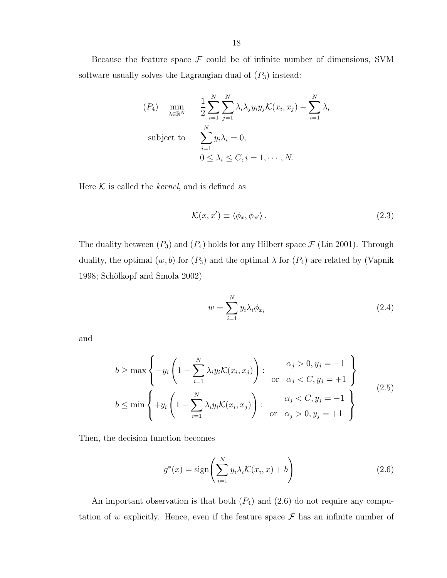Because the feature space  $\mathcal F$  could be of infinite number of dimensions, SVM software usually solves the Lagrangian dual of  $(P_3)$  instead:

$$
(P_4) \quad \min_{\lambda \in \mathbb{R}^N} \quad \frac{1}{2} \sum_{i=1}^N \sum_{j=1}^N \lambda_i \lambda_j y_i y_j \mathcal{K}(x_i, x_j) - \sum_{i=1}^N \lambda_i
$$
\nsubject to\n
$$
\sum_{i=1}^N y_i \lambda_i = 0,
$$
\n
$$
0 \le \lambda_i \le C, i = 1, \dots, N.
$$

Here  $K$  is called the *kernel*, and is defined as

$$
\mathcal{K}(x, x') \equiv \langle \phi_x, \phi_{x'} \rangle. \tag{2.3}
$$

The duality between  $(P_3)$  and  $(P_4)$  holds for any Hilbert space  $\mathcal F$  (Lin 2001). Through duality, the optimal  $(w, b)$  for  $(P_3)$  and the optimal  $\lambda$  for  $(P_4)$  are related by (Vapnik 1998; Schölkopf and Smola 2002)

$$
w = \sum_{i=1}^{N} y_i \lambda_i \phi_{x_i}
$$
 (2.4)

and

$$
b \ge \max\left\{-y_i\left(1 - \sum_{i=1}^N \lambda_i y_i \mathcal{K}(x_i, x_j)\right) : \begin{cases} \alpha_j > 0, y_j = -1 \\ \text{or } \alpha_j < C, y_j = +1 \end{cases}\right\}
$$
\n
$$
b \le \min\left\{+y_i\left(1 - \sum_{i=1}^N \lambda_i y_i \mathcal{K}(x_i, x_j)\right) : \begin{cases} \alpha_j < C, y_j = -1 \\ \text{or } \alpha_j > 0, y_j = +1 \end{cases}\right\} \tag{2.5}
$$

Then, the decision function becomes

$$
g^*(x) = \text{sign}\left(\sum_{i=1}^N y_i \lambda_i \mathcal{K}(x_i, x) + b\right) \tag{2.6}
$$

An important observation is that both  $(P_4)$  and  $(2.6)$  do not require any computation of w explicitly. Hence, even if the feature space  $\mathcal F$  has an infinite number of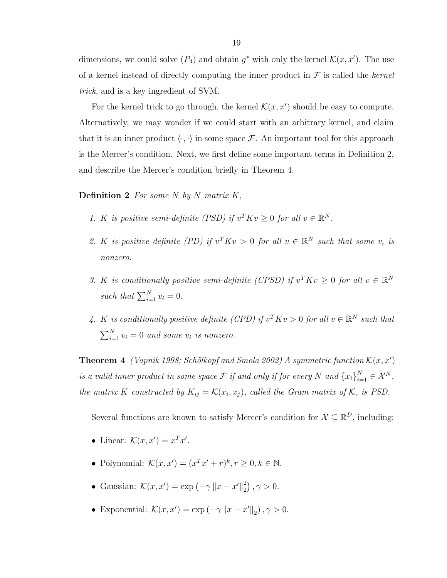dimensions, we could solve  $(P_4)$  and obtain  $g^*$  with only the kernel  $\mathcal{K}(x, x')$ . The use of a kernel instead of directly computing the inner product in  $\mathcal F$  is called the kernel trick, and is a key ingredient of SVM.

For the kernel trick to go through, the kernel  $\mathcal{K}(x, x')$  should be easy to compute. Alternatively, we may wonder if we could start with an arbitrary kernel, and claim that it is an inner product  $\langle \cdot, \cdot \rangle$  in some space  $\mathcal{F}$ . An important tool for this approach is the Mercer's condition. Next, we first define some important terms in Definition 2, and describe the Mercer's condition briefly in Theorem 4.

#### **Definition 2** For some N by N matrix  $K$ ,

- 1. K is positive semi-definite (PSD) if  $v^T K v \geq 0$  for all  $v \in \mathbb{R}^N$ .
- 2. K is positive definite (PD) if  $v^T K v > 0$  for all  $v \in \mathbb{R}^N$  such that some  $v_i$  is nonzero.
- 3. K is conditionally positive semi-definite (CPSD) if  $v^T K v \geq 0$  for all  $v \in \mathbb{R}^N$ such that  $\sum_{i=1}^{N} v_i = 0$ .
- 4. K is conditionally positive definite (CPD) if  $v^T K v > 0$  for all  $v \in \mathbb{R}^N$  such that  $\sum_{i=1}^{N} v_i = 0$  and some  $v_i$  is nonzero.

**Theorem 4** (Vapnik 1998; Schölkopf and Smola 2002) A symmetric function  $\mathcal{K}(x, x')$ is a valid inner product in some space  $\mathcal F$  if and only if for every N and  $\{x_i\}_{i=1}^N \in \mathcal X^N$ , the matrix K constructed by  $K_{ij} = \mathcal{K}(x_i, x_j)$ , called the Gram matrix of K, is PSD.

Several functions are known to satisfy Mercer's condition for  $\mathcal{X} \subseteq \mathbb{R}^D$ , including:

- Linear:  $\mathcal{K}(x, x') = x^T x'.$
- Polynomial:  $\mathcal{K}(x, x') = (x^T x' + r)^k, r \ge 0, k \in \mathbb{N}$ .
- Gaussian:  $\mathcal{K}(x, x') = \exp(-\gamma \|x x'\|_2^2)$  $_{2}^{2}\big)$ ,  $\gamma > 0$ .
- Exponential:  $\mathcal{K}(x, x') = \exp(-\gamma \|x x'\|_2), \gamma > 0.$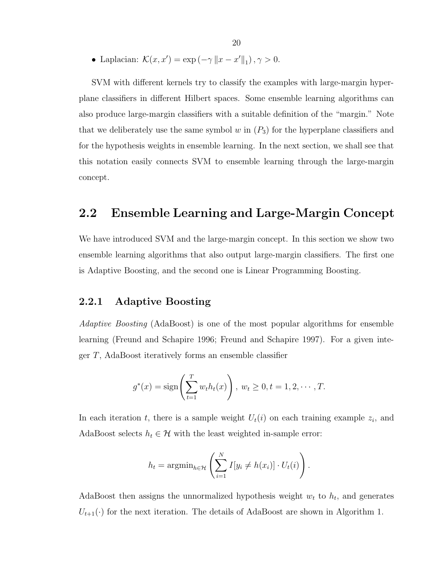• Laplacian:  $\mathcal{K}(x, x') = \exp(-\gamma ||x - x'||_1), \gamma > 0.$ 

SVM with different kernels try to classify the examples with large-margin hyperplane classifiers in different Hilbert spaces. Some ensemble learning algorithms can also produce large-margin classifiers with a suitable definition of the "margin." Note that we deliberately use the same symbol w in  $(P_3)$  for the hyperplane classifiers and for the hypothesis weights in ensemble learning. In the next section, we shall see that this notation easily connects SVM to ensemble learning through the large-margin concept.

### 2.2 Ensemble Learning and Large-Margin Concept

We have introduced SVM and the large-margin concept. In this section we show two ensemble learning algorithms that also output large-margin classifiers. The first one is Adaptive Boosting, and the second one is Linear Programming Boosting.

#### 2.2.1 Adaptive Boosting

Adaptive Boosting (AdaBoost) is one of the most popular algorithms for ensemble learning (Freund and Schapire 1996; Freund and Schapire 1997). For a given integer T, AdaBoost iteratively forms an ensemble classifier

$$
g^*(x) = sign\left(\sum_{t=1}^T w_t h_t(x)\right), w_t \ge 0, t = 1, 2, \cdots, T.
$$

In each iteration t, there is a sample weight  $U_t(i)$  on each training example  $z_i$ , and AdaBoost selects  $h_t \in \mathcal{H}$  with the least weighted in-sample error:

$$
h_t = \operatorname{argmin}_{h \in \mathcal{H}} \left( \sum_{i=1}^N I[y_i \neq h(x_i)] \cdot U_t(i) \right).
$$

AdaBoost then assigns the unnormalized hypothesis weight  $w_t$  to  $h_t$ , and generates  $U_{t+1}(\cdot)$  for the next iteration. The details of AdaBoost are shown in Algorithm 1.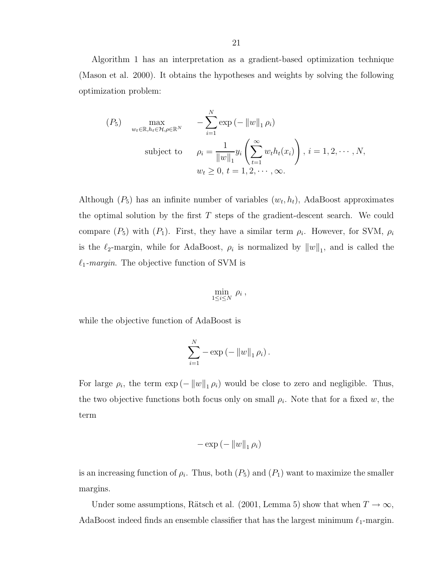Algorithm 1 has an interpretation as a gradient-based optimization technique (Mason et al. 2000). It obtains the hypotheses and weights by solving the following optimization problem:

$$
(P_5) \quad \max_{w_t \in \mathbb{R}, h_t \in \mathcal{H}, \rho \in \mathbb{R}^N} \quad -\sum_{i=1}^N \exp\left(-\|w\|_1 \rho_i\right)
$$
\n
$$
\text{subject to} \quad \rho_i = \frac{1}{\|w\|_1} y_i \left(\sum_{t=1}^\infty w_t h_t(x_i)\right), \ i = 1, 2, \cdots, N,
$$
\n
$$
w_t \ge 0, \ t = 1, 2, \cdots, \infty.
$$

Although  $(P_5)$  has an infinite number of variables  $(w_t, h_t)$ , AdaBoost approximates the optimal solution by the first  $T$  steps of the gradient-descent search. We could compare  $(P_5)$  with  $(P_1)$ . First, they have a similar term  $\rho_i$ . However, for SVM,  $\rho_i$ is the  $\ell_2$ -margin, while for AdaBoost,  $\rho_i$  is normalized by  $||w||_1$ , and is called the  $\ell_1$ -margin. The objective function of SVM is

$$
\min_{1\leq i\leq N} \, \rho_i \, ,
$$

while the objective function of AdaBoost is

$$
\sum_{i=1}^{N} - \exp(-\|w\|_{1} \rho_{i}).
$$

For large  $\rho_i$ , the term  $\exp(-||w||_1 \rho_i)$  would be close to zero and negligible. Thus, the two objective functions both focus only on small  $\rho_i$ . Note that for a fixed w, the term

$$
-\exp\left(-\left\|w\right\|_1\rho_i\right)
$$

is an increasing function of  $\rho_i$ . Thus, both  $(P_5)$  and  $(P_1)$  want to maximize the smaller margins.

Under some assumptions, Rätsch et al. (2001, Lemma 5) show that when  $T \to \infty$ , AdaBoost indeed finds an ensemble classifier that has the largest minimum  $\ell_1$ -margin.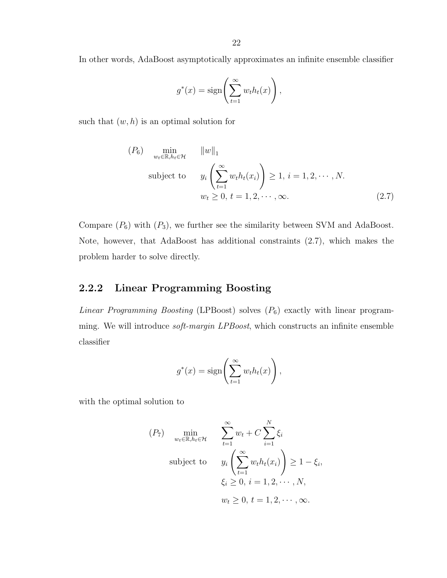In other words, AdaBoost asymptotically approximates an infinite ensemble classifier

$$
g^*(x) = \text{sign}\left(\sum_{t=1}^{\infty} w_t h_t(x)\right),
$$

such that  $(w, h)$  is an optimal solution for

$$
(P_6) \min_{w_t \in \mathbb{R}, h_t \in \mathcal{H}} \|w\|_1
$$
  
subject to 
$$
y_i \left(\sum_{t=1}^{\infty} w_t h_t(x_i)\right) \ge 1, i = 1, 2, \dots, N.
$$

$$
w_t \ge 0, t = 1, 2, \dots, \infty.
$$
 (2.7)

Compare  $(P_6)$  with  $(P_3)$ , we further see the similarity between SVM and AdaBoost. Note, however, that AdaBoost has additional constraints (2.7), which makes the problem harder to solve directly.

#### 2.2.2 Linear Programming Boosting

Linear Programming Boosting (LPBoost) solves  $(P_6)$  exactly with linear programming. We will introduce *soft-margin LPBoost*, which constructs an infinite ensemble classifier

$$
g^*(x) = \text{sign}\left(\sum_{t=1}^{\infty} w_t h_t(x)\right),
$$

with the optimal solution to

$$
(P_7) \min_{w_t \in \mathbb{R}, h_t \in \mathcal{H}} \sum_{t=1}^{\infty} w_t + C \sum_{i=1}^N \xi_i
$$
  
subject to 
$$
y_i \left( \sum_{t=1}^{\infty} w_t h_t(x_i) \right) \ge 1 - \xi_i,
$$

$$
\xi_i \ge 0, i = 1, 2, \dots, N,
$$

$$
w_t \ge 0, t = 1, 2, \dots, \infty.
$$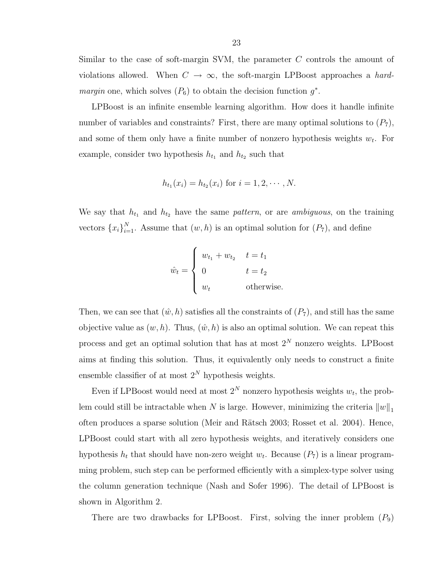Similar to the case of soft-margin SVM, the parameter C controls the amount of violations allowed. When  $C \rightarrow \infty$ , the soft-margin LPBoost approaches a *hardmargin* one, which solves  $(P_6)$  to obtain the decision function  $g^*$ .

LPBoost is an infinite ensemble learning algorithm. How does it handle infinite number of variables and constraints? First, there are many optimal solutions to  $(P_7)$ , and some of them only have a finite number of nonzero hypothesis weights  $w_t$ . For example, consider two hypothesis  $h_{t_1}$  and  $h_{t_2}$  such that

$$
h_{t_1}(x_i) = h_{t_2}(x_i)
$$
 for  $i = 1, 2, \dots, N$ .

We say that  $h_{t_1}$  and  $h_{t_2}$  have the same pattern, or are ambiguous, on the training vectors  $\{x_i\}_{i=1}^N$ . Assume that  $(w, h)$  is an optimal solution for  $(P_7)$ , and define

$$
\hat{w}_t = \begin{cases}\nw_{t_1} + w_{t_2} & t = t_1 \\
0 & t = t_2 \\
w_t & \text{otherwise.} \n\end{cases}
$$

Then, we can see that  $(\hat{w}, h)$  satisfies all the constraints of  $(P_7)$ , and still has the same objective value as  $(w, h)$ . Thus,  $(\hat{w}, h)$  is also an optimal solution. We can repeat this process and get an optimal solution that has at most  $2^N$  nonzero weights. LPBoost aims at finding this solution. Thus, it equivalently only needs to construct a finite ensemble classifier of at most  $2^N$  hypothesis weights.

Even if LPBoost would need at most  $2^N$  nonzero hypothesis weights  $w_t$ , the problem could still be intractable when N is large. However, minimizing the criteria  $||w||_1$ often produces a sparse solution (Meir and Rätsch 2003; Rosset et al. 2004). Hence, LPBoost could start with all zero hypothesis weights, and iteratively considers one hypothesis  $h_t$  that should have non-zero weight  $w_t$ . Because  $(P_7)$  is a linear programming problem, such step can be performed efficiently with a simplex-type solver using the column generation technique (Nash and Sofer 1996). The detail of LPBoost is shown in Algorithm 2.

There are two drawbacks for LPBoost. First, solving the inner problem  $(P_9)$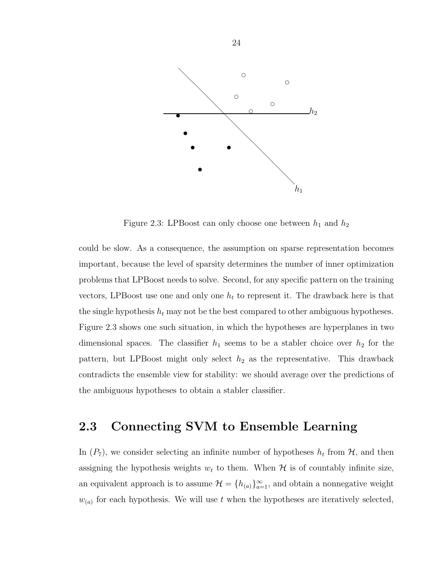

Figure 2.3: LPBoost can only choose one between  $h_1$  and  $h_2$ 

could be slow. As a consequence, the assumption on sparse representation becomes important, because the level of sparsity determines the number of inner optimization problems that LPBoost needs to solve. Second, for any specific pattern on the training vectors, LPBoost use one and only one  $h_t$  to represent it. The drawback here is that the single hypothesis  $h_t$  may not be the best compared to other ambiguous hypotheses. Figure 2.3 shows one such situation, in which the hypotheses are hyperplanes in two dimensional spaces. The classifier  $h_1$  seems to be a stabler choice over  $h_2$  for the pattern, but LPBoost might only select  $h_2$  as the representative. This drawback contradicts the ensemble view for stability: we should average over the predictions of the ambiguous hypotheses to obtain a stabler classifier.

## 2.3 Connecting SVM to Ensemble Learning

In  $(P_7)$ , we consider selecting an infinite number of hypotheses  $h_t$  from  $H$ , and then assigning the hypothesis weights  $w_t$  to them. When  $H$  is of countably infinite size, an equivalent approach is to assume  $\mathcal{H} = \{h_{(a)}\}_{a=1}^{\infty}$ , and obtain a nonnegative weight  $w_{(a)}$  for each hypothesis. We will use t when the hypotheses are iteratively selected,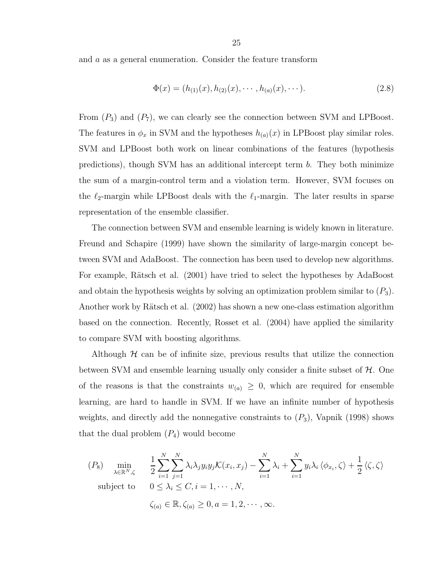and a as a general enumeration. Consider the feature transform

$$
\Phi(x) = (h_{(1)}(x), h_{(2)}(x), \cdots, h_{(a)}(x), \cdots). \tag{2.8}
$$

From  $(P_3)$  and  $(P_7)$ , we can clearly see the connection between SVM and LPBoost. The features in  $\phi_x$  in SVM and the hypotheses  $h_{(a)}(x)$  in LPBoost play similar roles. SVM and LPBoost both work on linear combinations of the features (hypothesis predictions), though SVM has an additional intercept term b. They both minimize the sum of a margin-control term and a violation term. However, SVM focuses on the  $\ell_2$ -margin while LPBoost deals with the  $\ell_1$ -margin. The later results in sparse representation of the ensemble classifier.

The connection between SVM and ensemble learning is widely known in literature. Freund and Schapire (1999) have shown the similarity of large-margin concept between SVM and AdaBoost. The connection has been used to develop new algorithms. For example, Rätsch et al. (2001) have tried to select the hypotheses by AdaBoost and obtain the hypothesis weights by solving an optimization problem similar to  $(P_3)$ . Another work by Rätsch et al. (2002) has shown a new one-class estimation algorithm based on the connection. Recently, Rosset et al. (2004) have applied the similarity to compare SVM with boosting algorithms.

Although  $H$  can be of infinite size, previous results that utilize the connection between SVM and ensemble learning usually only consider a finite subset of  $H$ . One of the reasons is that the constraints  $w_{(a)} \geq 0$ , which are required for ensemble learning, are hard to handle in SVM. If we have an infinite number of hypothesis weights, and directly add the nonnegative constraints to  $(P_3)$ , Vapnik (1998) shows that the dual problem  $(P_4)$  would become

$$
(P_8) \min_{\lambda \in \mathbb{R}^N, \zeta} \quad \frac{1}{2} \sum_{i=1}^N \sum_{j=1}^N \lambda_i \lambda_j y_i y_j \mathcal{K}(x_i, x_j) - \sum_{i=1}^N \lambda_i + \sum_{i=1}^N y_i \lambda_i \langle \phi_{x_i}, \zeta \rangle + \frac{1}{2} \langle \zeta, \zeta \rangle
$$
\nsubject to\n
$$
0 \le \lambda_i \le C, i = 1, \dots, N,
$$
\n
$$
\zeta_{(a)} \in \mathbb{R}, \zeta_{(a)} \ge 0, a = 1, 2, \dots, \infty.
$$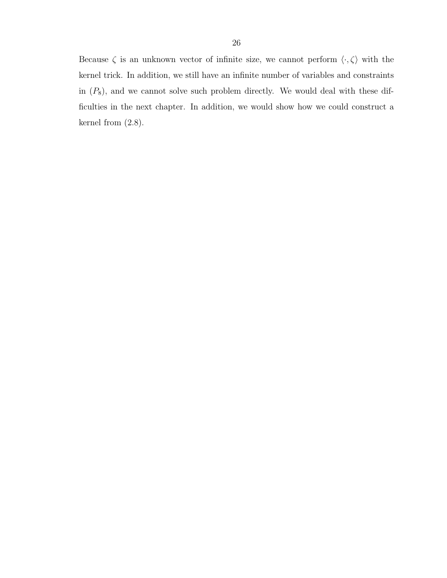Because  $\zeta$  is an unknown vector of infinite size, we cannot perform  $\langle \cdot, \zeta \rangle$  with the kernel trick. In addition, we still have an infinite number of variables and constraints in  $(P_8)$ , and we cannot solve such problem directly. We would deal with these difficulties in the next chapter. In addition, we would show how we could construct a kernel from (2.8).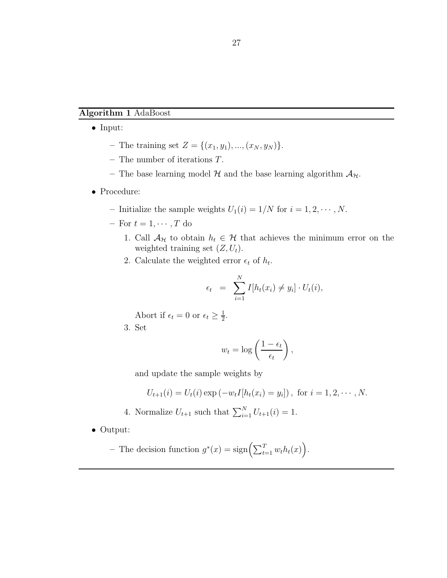#### Algorithm 1 AdaBoost

- Input:
	- The training set  $Z = \{(x_1, y_1), ..., (x_N, y_N)\}.$
	- The number of iterations T.
	- The base learning model  $H$  and the base learning algorithm  $A_H$ .
- Procedure:
	- Initialize the sample weights  $U_1(i) = 1/N$  for  $i = 1, 2, \dots, N$ .
	- For  $t = 1, \dots, T$  do
		- 1. Call  $\mathcal{A}_{\mathcal{H}}$  to obtain  $h_t \in \mathcal{H}$  that achieves the minimum error on the weighted training set  $(Z, U_t)$ .
		- 2. Calculate the weighted error  $\epsilon_t$  of  $h_t$ .

$$
\epsilon_t = \sum_{i=1}^N I[h_t(x_i) \neq y_i] \cdot U_t(i),
$$

Abort if  $\epsilon_t = 0$  or  $\epsilon_t \geq \frac{1}{2}$  $\frac{1}{2}$ .

3. Set

$$
w_t = \log\left(\frac{1 - \epsilon_t}{\epsilon_t}\right),
$$

and update the sample weights by

$$
U_{t+1}(i) = U_t(i) \exp(-w_t I[h_t(x_i) = y_i]), \text{ for } i = 1, 2, \cdots, N.
$$

- 4. Normalize  $U_{t+1}$  such that  $\sum_{i=1}^{N} U_{t+1}(i) = 1$ .
- Output:

- The decision function 
$$
g^*(x) = \text{sign}(\sum_{t=1}^T w_t h_t(x))
$$
.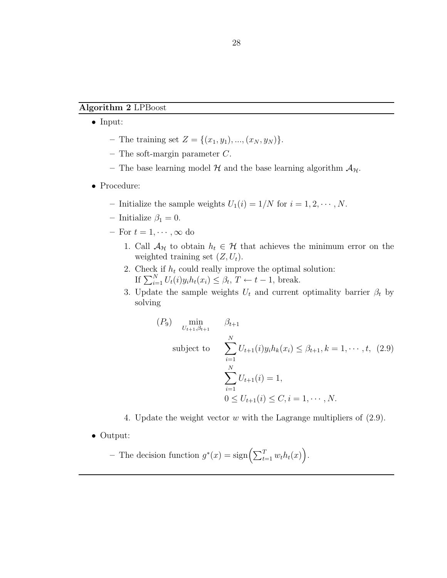#### Algorithm 2 LPBoost

- Input:
	- The training set  $Z = \{(x_1, y_1), ..., (x_N, y_N)\}.$
	- The soft-margin parameter  $C$ .
	- The base learning model H and the base learning algorithm  $\mathcal{A}_{\mathcal{H}}$ .
- Procedure:
	- Initialize the sample weights  $U_1(i) = 1/N$  for  $i = 1, 2, \dots, N$ .
	- Initialize  $\beta_1 = 0$ .
	- For  $t = 1, \dots, \infty$  do
		- 1. Call  $\mathcal{A}_{\mathcal{H}}$  to obtain  $h_t \in \mathcal{H}$  that achieves the minimum error on the weighted training set  $(Z, U_t)$ .
		- 2. Check if  $h_t$  could really improve the optimal solution: If  $\sum_{i=1}^{N} U_t(i) y_i h_t(x_i) \leq \beta_t$ ,  $T \leftarrow t - 1$ , break.
		- 3. Update the sample weights  $U_t$  and current optimality barrier  $\beta_t$  by solving

$$
(P_9) \min_{U_{t+1}, \beta_{t+1}} \beta_{t+1}
$$
  
subject to 
$$
\sum_{i=1}^N U_{t+1}(i)y_i h_k(x_i) \le \beta_{t+1}, k = 1, \dots, t, (2.9)
$$

$$
\sum_{i=1}^N U_{t+1}(i) = 1,
$$

$$
0 \le U_{t+1}(i) \le C, i = 1, \dots, N.
$$

- 4. Update the weight vector w with the Lagrange multipliers of  $(2.9)$ .
- Output:

- The decision function 
$$
g^*(x) = \text{sign}\left(\sum_{t=1}^T w_t h_t(x)\right)
$$
.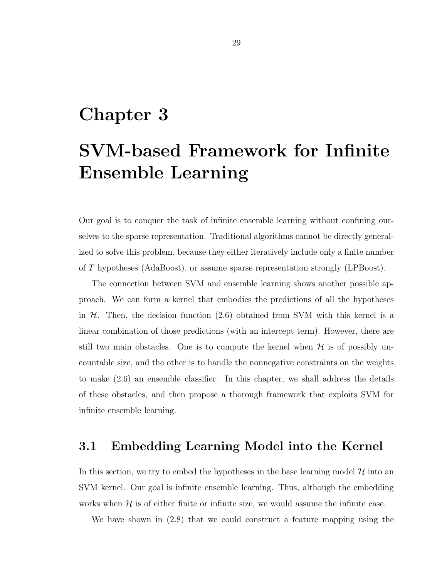# Chapter 3

# SVM-based Framework for Infinite Ensemble Learning

Our goal is to conquer the task of infinite ensemble learning without confining ourselves to the sparse representation. Traditional algorithms cannot be directly generalized to solve this problem, because they either iteratively include only a finite number of T hypotheses (AdaBoost), or assume sparse representation strongly (LPBoost).

The connection between SVM and ensemble learning shows another possible approach. We can form a kernel that embodies the predictions of all the hypotheses in  $H$ . Then, the decision function (2.6) obtained from SVM with this kernel is a linear combination of those predictions (with an intercept term). However, there are still two main obstacles. One is to compute the kernel when  $\mathcal H$  is of possibly uncountable size, and the other is to handle the nonnegative constraints on the weights to make (2.6) an ensemble classifier. In this chapter, we shall address the details of these obstacles, and then propose a thorough framework that exploits SVM for infinite ensemble learning.

# 3.1 Embedding Learning Model into the Kernel

In this section, we try to embed the hypotheses in the base learning model  $\mathcal H$  into an SVM kernel. Our goal is infinite ensemble learning. Thus, although the embedding works when  $H$  is of either finite or infinite size, we would assume the infinite case.

We have shown in (2.8) that we could construct a feature mapping using the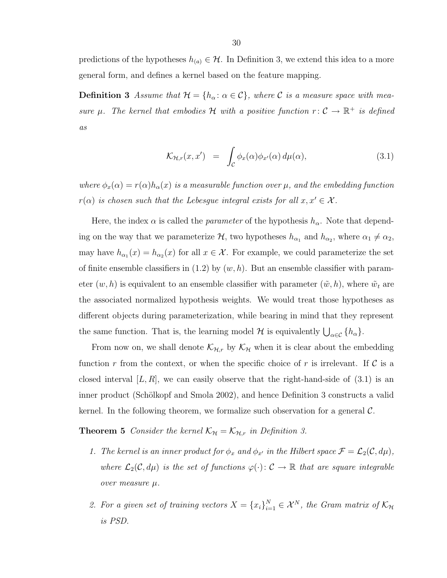predictions of the hypotheses  $h_{(a)} \in \mathcal{H}$ . In Definition 3, we extend this idea to a more general form, and defines a kernel based on the feature mapping.

**Definition 3** Assume that  $\mathcal{H} = \{h_{\alpha} : \alpha \in \mathcal{C}\}\$ , where  $\mathcal{C}$  is a measure space with measure  $\mu$ . The kernel that embodies H with a positive function  $r: \mathcal{C} \to \mathbb{R}^+$  is defined as

$$
\mathcal{K}_{\mathcal{H},r}(x,x') = \int_{\mathcal{C}} \phi_x(\alpha) \phi_{x'}(\alpha) d\mu(\alpha), \qquad (3.1)
$$

where  $\phi_x(\alpha) = r(\alpha)h_\alpha(x)$  is a measurable function over  $\mu$ , and the embedding function  $r(\alpha)$  is chosen such that the Lebesgue integral exists for all  $x,x'\in\mathcal{X}$ .

Here, the index  $\alpha$  is called the *parameter* of the hypothesis  $h_{\alpha}$ . Note that depending on the way that we parameterize  $H$ , two hypotheses  $h_{\alpha_1}$  and  $h_{\alpha_2}$ , where  $\alpha_1 \neq \alpha_2$ , may have  $h_{\alpha_1}(x) = h_{\alpha_2}(x)$  for all  $x \in \mathcal{X}$ . For example, we could parameterize the set of finite ensemble classifiers in  $(1.2)$  by  $(w, h)$ . But an ensemble classifier with parameter  $(w, h)$  is equivalent to an ensemble classifier with parameter  $(\tilde{w}, h)$ , where  $\tilde{w}_t$  are the associated normalized hypothesis weights. We would treat those hypotheses as different objects during parameterization, while bearing in mind that they represent the same function. That is, the learning model  $\mathcal H$  is equivalently  $\bigcup_{\alpha \in \mathcal C} \{h_\alpha\}.$ 

From now on, we shall denote  $\mathcal{K}_{H,r}$  by  $\mathcal{K}_{H}$  when it is clear about the embedding function r from the context, or when the specific choice of r is irrelevant. If  $\mathcal C$  is a closed interval  $|L, R|$ , we can easily observe that the right-hand-side of  $(3.1)$  is an inner product (Schölkopf and Smola 2002), and hence Definition 3 constructs a valid kernel. In the following theorem, we formalize such observation for a general  $\mathcal{C}$ .

**Theorem 5** Consider the kernel  $K_{\mathcal{H}} = K_{\mathcal{H},r}$  in Definition 3.

- 1. The kernel is an inner product for  $\phi_x$  and  $\phi_{x'}$  in the Hilbert space  $\mathcal{F} = \mathcal{L}_2(\mathcal{C}, d\mu)$ , where  $\mathcal{L}_2(\mathcal{C}, d\mu)$  is the set of functions  $\varphi(\cdot): \mathcal{C} \to \mathbb{R}$  that are square integrable over measure µ.
- 2. For a given set of training vectors  $X = \{x_i\}_{i=1}^N \in \mathcal{X}^N$ , the Gram matrix of  $\mathcal{K}_{\mathcal{H}}$ is PSD.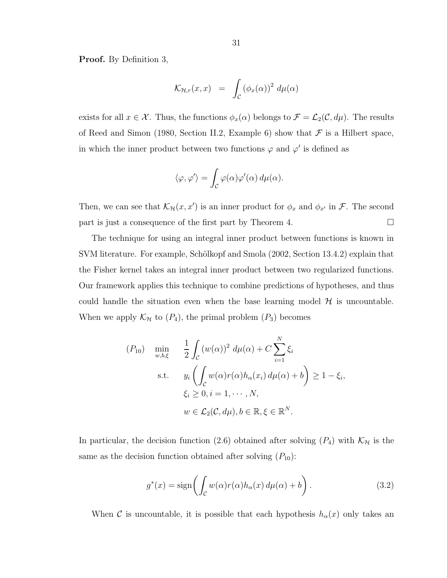Proof. By Definition 3,

$$
\mathcal{K}_{\mathcal{H},r}(x,x) = \int_{\mathcal{C}} (\phi_x(\alpha))^2 \, d\mu(\alpha)
$$

exists for all  $x \in \mathcal{X}$ . Thus, the functions  $\phi_x(\alpha)$  belongs to  $\mathcal{F} = \mathcal{L}_2(\mathcal{C}, d\mu)$ . The results of Reed and Simon (1980, Section II.2, Example 6) show that  $\mathcal F$  is a Hilbert space, in which the inner product between two functions  $\varphi$  and  $\varphi'$  is defined as

$$
\langle \varphi, \varphi' \rangle = \int_{\mathcal{C}} \varphi(\alpha) \varphi'(\alpha) d\mu(\alpha).
$$

Then, we can see that  $\mathcal{K}_{\mathcal{H}}(x, x')$  is an inner product for  $\phi_x$  and  $\phi_{x'}$  in  $\mathcal{F}$ . The second part is just a consequence of the first part by Theorem 4.  $\Box$ 

The technique for using an integral inner product between functions is known in SVM literature. For example, Schölkopf and Smola (2002, Section 13.4.2) explain that the Fisher kernel takes an integral inner product between two regularized functions. Our framework applies this technique to combine predictions of hypotheses, and thus could handle the situation even when the base learning model  $\mathcal H$  is uncountable. When we apply  $\mathcal{K}_{\mathcal{H}}$  to  $(P_4)$ , the primal problem  $(P_3)$  becomes

$$
(P_{10}) \quad \min_{w,b,\xi} \quad \frac{1}{2} \int_{\mathcal{C}} \left( w(\alpha) \right)^2 d\mu(\alpha) + C \sum_{i=1}^N \xi_i
$$
\n
$$
\text{s.t.} \quad y_i \left( \int_{\mathcal{C}} w(\alpha) r(\alpha) h_{\alpha}(x_i) d\mu(\alpha) + b \right) \ge 1 - \xi_i,
$$
\n
$$
\xi_i \ge 0, i = 1, \cdots, N,
$$
\n
$$
w \in \mathcal{L}_2(\mathcal{C}, d\mu), b \in \mathbb{R}, \xi \in \mathbb{R}^N.
$$

In particular, the decision function (2.6) obtained after solving  $(P_4)$  with  $\mathcal{K}_{H}$  is the same as the decision function obtained after solving  $(P_{10})$ :

$$
g^*(x) = \text{sign}\left(\int_{\mathcal{C}} w(\alpha)r(\alpha)h_{\alpha}(x) d\mu(\alpha) + b\right). \tag{3.2}
$$

When C is uncountable, it is possible that each hypothesis  $h_{\alpha}(x)$  only takes an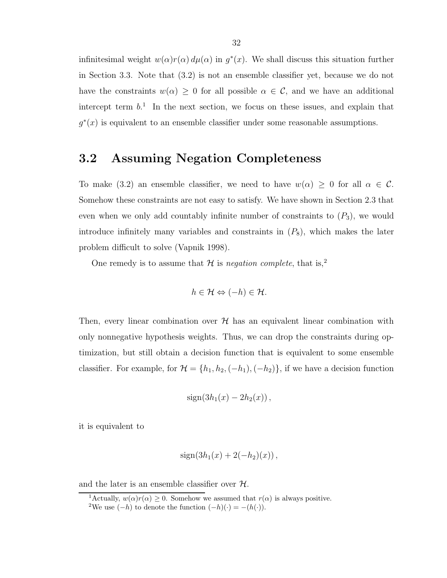infinitesimal weight  $w(\alpha)r(\alpha) d\mu(\alpha)$  in  $g^*(x)$ . We shall discuss this situation further in Section 3.3. Note that (3.2) is not an ensemble classifier yet, because we do not have the constraints  $w(\alpha) \geq 0$  for all possible  $\alpha \in \mathcal{C}$ , and we have an additional intercept term  $b<sup>1</sup>$ . In the next section, we focus on these issues, and explain that  $g^*(x)$  is equivalent to an ensemble classifier under some reasonable assumptions.

# 3.2 Assuming Negation Completeness

To make (3.2) an ensemble classifier, we need to have  $w(\alpha) \geq 0$  for all  $\alpha \in \mathcal{C}$ . Somehow these constraints are not easy to satisfy. We have shown in Section 2.3 that even when we only add countably infinite number of constraints to  $(P_3)$ , we would introduce infinitely many variables and constraints in  $(P_8)$ , which makes the later problem difficult to solve (Vapnik 1998).

One remedy is to assume that  $H$  is negation complete, that is,<sup>2</sup>

$$
h\in\mathcal{H}\Leftrightarrow(-h)\in\mathcal{H}.
$$

Then, every linear combination over  $H$  has an equivalent linear combination with only nonnegative hypothesis weights. Thus, we can drop the constraints during optimization, but still obtain a decision function that is equivalent to some ensemble classifier. For example, for  $\mathcal{H} = \{h_1, h_2, (-h_1), (-h_2)\}\$ , if we have a decision function

$$
sign(3h_1(x)-2h_2(x)),
$$

it is equivalent to

$$
sign(3h_1(x) + 2(-h_2)(x)),
$$

and the later is an ensemble classifier over  $H$ .

<sup>&</sup>lt;sup>1</sup>Actually,  $w(\alpha)r(\alpha) \geq 0$ . Somehow we assumed that  $r(\alpha)$  is always positive.

<sup>&</sup>lt;sup>2</sup>We use  $(-h)$  to denote the function  $(-h)(\cdot) = -(h(\cdot)).$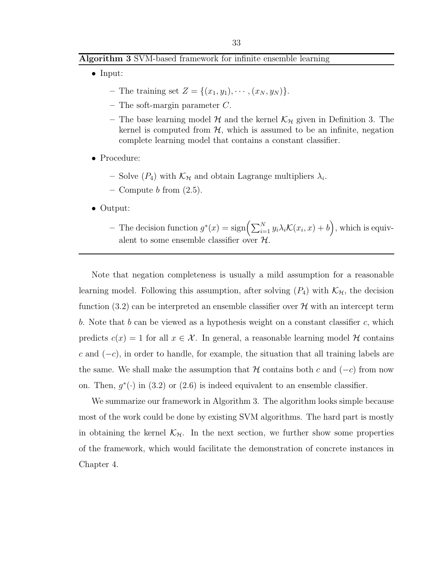#### Algorithm 3 SVM-based framework for infinite ensemble learning

- Input:
	- The training set  $Z = \{(x_1, y_1), \cdots, (x_N, y_N)\}.$
	- The soft-margin parameter  $C$ .
	- The base learning model  $H$  and the kernel  $K_H$  given in Definition 3. The kernel is computed from  $H$ , which is assumed to be an infinite, negation complete learning model that contains a constant classifier.
- Procedure:
	- Solve  $(P_4)$  with  $\mathcal{K}_{\mathcal{H}}$  and obtain Lagrange multipliers  $\lambda_i$ .
	- Compute  $b$  from  $(2.5)$ .
- Output:
	- The decision function  $g^*(x) = \text{sign}\left(\sum_{i=1}^N y_i \lambda_i \mathcal{K}(x_i, x) + b\right)$ , which is equivalent to some ensemble classifier over  $\mathcal H$

Note that negation completeness is usually a mild assumption for a reasonable learning model. Following this assumption, after solving  $(P_4)$  with  $\mathcal{K}_{\mathcal{H}}$ , the decision function (3.2) can be interpreted an ensemble classifier over  $\mathcal H$  with an intercept term b. Note that b can be viewed as a hypothesis weight on a constant classifier c, which predicts  $c(x) = 1$  for all  $x \in \mathcal{X}$ . In general, a reasonable learning model  $\mathcal{H}$  contains c and  $(-c)$ , in order to handle, for example, the situation that all training labels are the same. We shall make the assumption that H contains both c and  $(-c)$  from now on. Then,  $g^*(\cdot)$  in (3.2) or (2.6) is indeed equivalent to an ensemble classifier.

We summarize our framework in Algorithm 3. The algorithm looks simple because most of the work could be done by existing SVM algorithms. The hard part is mostly in obtaining the kernel  $\mathcal{K}_{H}$ . In the next section, we further show some properties of the framework, which would facilitate the demonstration of concrete instances in Chapter 4.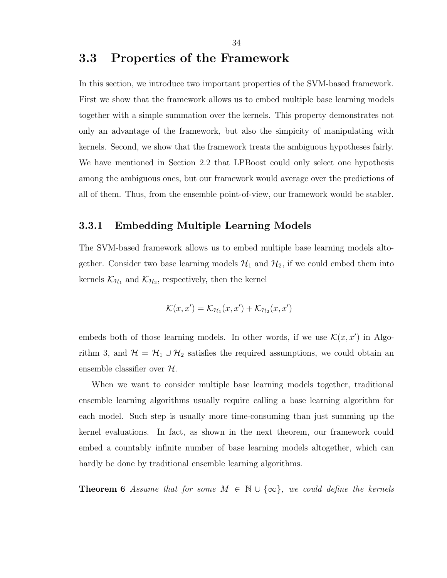# 3.3 Properties of the Framework

In this section, we introduce two important properties of the SVM-based framework. First we show that the framework allows us to embed multiple base learning models together with a simple summation over the kernels. This property demonstrates not only an advantage of the framework, but also the simpicity of manipulating with kernels. Second, we show that the framework treats the ambiguous hypotheses fairly. We have mentioned in Section 2.2 that LPBoost could only select one hypothesis among the ambiguous ones, but our framework would average over the predictions of all of them. Thus, from the ensemble point-of-view, our framework would be stabler.

## 3.3.1 Embedding Multiple Learning Models

The SVM-based framework allows us to embed multiple base learning models altogether. Consider two base learning models  $\mathcal{H}_1$  and  $\mathcal{H}_2$ , if we could embed them into kernels  $\mathcal{K}_{H_1}$  and  $\mathcal{K}_{H_2}$ , respectively, then the kernel

$$
\mathcal{K}(x,x') = \mathcal{K}_{\mathcal{H}_1}(x,x') + \mathcal{K}_{\mathcal{H}_2}(x,x')
$$

embeds both of those learning models. In other words, if we use  $\mathcal{K}(x, x')$  in Algorithm 3, and  $\mathcal{H} = \mathcal{H}_1 \cup \mathcal{H}_2$  satisfies the required assumptions, we could obtain an ensemble classifier over H.

When we want to consider multiple base learning models together, traditional ensemble learning algorithms usually require calling a base learning algorithm for each model. Such step is usually more time-consuming than just summing up the kernel evaluations. In fact, as shown in the next theorem, our framework could embed a countably infinite number of base learning models altogether, which can hardly be done by traditional ensemble learning algorithms.

**Theorem 6** Assume that for some  $M \in \mathbb{N} \cup \{\infty\}$ , we could define the kernels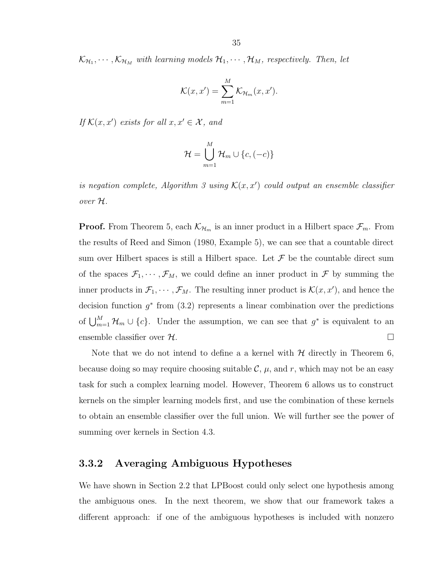$\mathcal{K}_{\mathcal{H}_1}, \cdots, \mathcal{K}_{\mathcal{H}_M}$  with learning models  $\mathcal{H}_1, \cdots, \mathcal{H}_M$ , respectively. Then, let

$$
\mathcal{K}(x, x') = \sum_{m=1}^{M} \mathcal{K}_{\mathcal{H}_m}(x, x').
$$

If  $\mathcal{K}(x, x')$  exists for all  $x, x' \in \mathcal{X}$ , and

$$
\mathcal{H} = \bigcup_{m=1}^{M} \mathcal{H}_m \cup \{c, (-c)\}
$$

is negation complete, Algorithm 3 using  $\mathcal{K}(x, x')$  could output an ensemble classifier over H.

**Proof.** From Theorem 5, each  $\mathcal{K}_{\mathcal{H}_m}$  is an inner product in a Hilbert space  $\mathcal{F}_m$ . From the results of Reed and Simon (1980, Example 5), we can see that a countable direct sum over Hilbert spaces is still a Hilbert space. Let  $\mathcal F$  be the countable direct sum of the spaces  $\mathcal{F}_1, \cdots, \mathcal{F}_M$ , we could define an inner product in  $\mathcal{F}$  by summing the inner products in  $\mathcal{F}_1, \cdots, \mathcal{F}_M$ . The resulting inner product is  $\mathcal{K}(x, x')$ , and hence the decision function  $g^*$  from  $(3.2)$  represents a linear combination over the predictions of  $\bigcup_{m=1}^M \mathcal{H}_m \cup \{c\}$ . Under the assumption, we can see that  $g^*$  is equivalent to an ensemble classifier over  $\mathcal H$ .

Note that we do not intend to define a a kernel with  $H$  directly in Theorem 6, because doing so may require choosing suitable  $\mathcal{C}, \mu$ , and r, which may not be an easy task for such a complex learning model. However, Theorem 6 allows us to construct kernels on the simpler learning models first, and use the combination of these kernels to obtain an ensemble classifier over the full union. We will further see the power of summing over kernels in Section 4.3.

# 3.3.2 Averaging Ambiguous Hypotheses

We have shown in Section 2.2 that LPBoost could only select one hypothesis among the ambiguous ones. In the next theorem, we show that our framework takes a different approach: if one of the ambiguous hypotheses is included with nonzero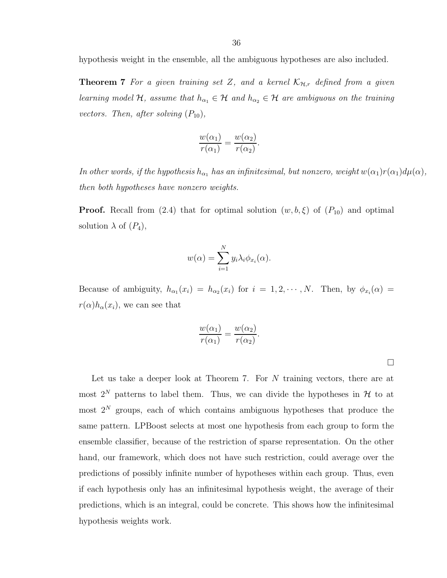**Theorem 7** For a given training set Z, and a kernel  $\mathcal{K}_{\mathcal{H},r}$  defined from a given learning model H, assume that  $h_{\alpha_1} \in H$  and  $h_{\alpha_2} \in H$  are ambiguous on the training vectors. Then, after solving  $(P_{10})$ ,

$$
\frac{w(\alpha_1)}{r(\alpha_1)} = \frac{w(\alpha_2)}{r(\alpha_2)}.
$$

In other words, if the hypothesis  $h_{\alpha_1}$  has an infinitesimal, but nonzero, weight  $w(\alpha_1)r(\alpha_1)d\mu(\alpha)$ , then both hypotheses have nonzero weights.

**Proof.** Recall from (2.4) that for optimal solution  $(w, b, \xi)$  of  $(P_{10})$  and optimal solution  $\lambda$  of  $(P_4)$ ,

$$
w(\alpha) = \sum_{i=1}^{N} y_i \lambda_i \phi_{x_i}(\alpha).
$$

Because of ambiguity,  $h_{\alpha_1}(x_i) = h_{\alpha_2}(x_i)$  for  $i = 1, 2, \dots, N$ . Then, by  $\phi_{x_i}(\alpha) =$  $r(\alpha)h_{\alpha}(x_i)$ , we can see that

.

$$
\frac{w(\alpha_1)}{r(\alpha_1)} = \frac{w(\alpha_2)}{r(\alpha_2)}
$$

 $\Box$ 

Let us take a deeper look at Theorem 7. For N training vectors, there are at most  $2^N$  patterns to label them. Thus, we can divide the hypotheses in  $\mathcal H$  to at most  $2^N$  groups, each of which contains ambiguous hypotheses that produce the same pattern. LPBoost selects at most one hypothesis from each group to form the ensemble classifier, because of the restriction of sparse representation. On the other hand, our framework, which does not have such restriction, could average over the predictions of possibly infinite number of hypotheses within each group. Thus, even if each hypothesis only has an infinitesimal hypothesis weight, the average of their predictions, which is an integral, could be concrete. This shows how the infinitesimal hypothesis weights work.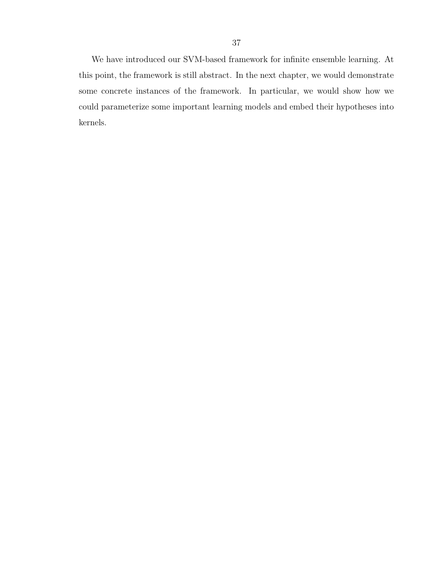We have introduced our SVM-based framework for infinite ensemble learning. At this point, the framework is still abstract. In the next chapter, we would demonstrate some concrete instances of the framework. In particular, we would show how we could parameterize some important learning models and embed their hypotheses into kernels.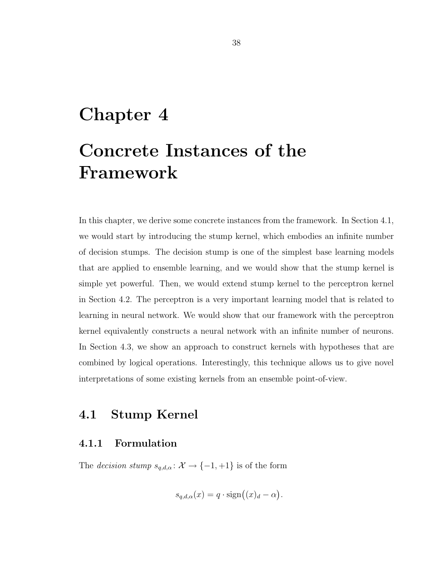# Chapter 4

# Concrete Instances of the Framework

In this chapter, we derive some concrete instances from the framework. In Section 4.1, we would start by introducing the stump kernel, which embodies an infinite number of decision stumps. The decision stump is one of the simplest base learning models that are applied to ensemble learning, and we would show that the stump kernel is simple yet powerful. Then, we would extend stump kernel to the perceptron kernel in Section 4.2. The perceptron is a very important learning model that is related to learning in neural network. We would show that our framework with the perceptron kernel equivalently constructs a neural network with an infinite number of neurons. In Section 4.3, we show an approach to construct kernels with hypotheses that are combined by logical operations. Interestingly, this technique allows us to give novel interpretations of some existing kernels from an ensemble point-of-view.

# 4.1 Stump Kernel

# 4.1.1 Formulation

The *decision stump*  $s_{q,d,\alpha} : \mathcal{X} \to \{-1, +1\}$  is of the form

$$
s_{q,d,\alpha}(x) = q \cdot \text{sign}((x)_d - \alpha).
$$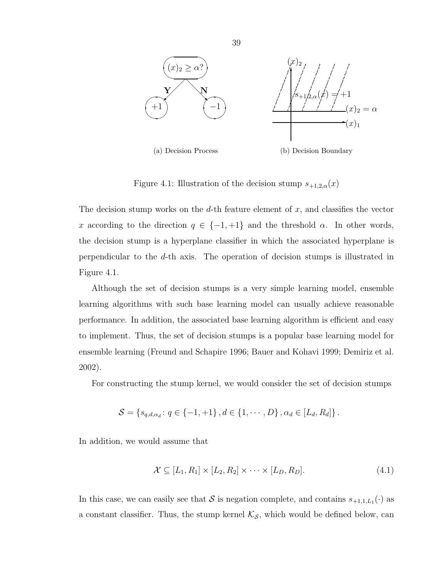

Figure 4.1: Illustration of the decision stump  $s_{+1,2,\alpha}(x)$ 

The decision stump works on the  $d$ -th feature element of  $x$ , and classifies the vector x according to the direction  $q \in \{-1, +1\}$  and the threshold  $\alpha$ . In other words, the decision stump is a hyperplane classifier in which the associated hyperplane is perpendicular to the d-th axis. The operation of decision stumps is illustrated in Figure 4.1.

Although the set of decision stumps is a very simple learning model, ensemble learning algorithms with such base learning model can usually achieve reasonable performance. In addition, the associated base learning algorithm is efficient and easy to implement. Thus, the set of decision stumps is a popular base learning model for ensemble learning (Freund and Schapire 1996; Bauer and Kohavi 1999; Demiriz et al. 2002).

For constructing the stump kernel, we would consider the set of decision stumps

$$
S = \{s_{q,d,\alpha_d}: q \in \{-1,+1\}, d \in \{1,\cdots,D\}, \alpha_d \in [L_d, R_d]\}.
$$

In addition, we would assume that

$$
\mathcal{X} \subseteq [L_1, R_1] \times [L_2, R_2] \times \cdots \times [L_D, R_D]. \tag{4.1}
$$

In this case, we can easily see that S is negation complete, and contains  $s_{+1,1,L_1}(\cdot)$  as a constant classifier. Thus, the stump kernel  $\mathcal{K}_{\mathcal{S}}$ , which would be defined below, can

39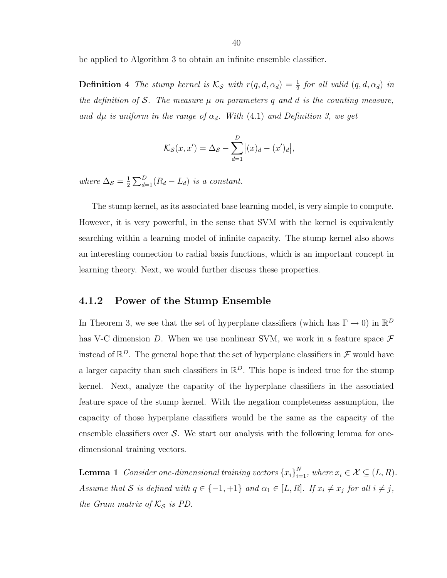be applied to Algorithm 3 to obtain an infinite ensemble classifier.

**Definition 4** The stump kernel is  $\mathcal{K}_{\mathcal{S}}$  with  $r(q, d, \alpha_d) = \frac{1}{2}$  $\frac{1}{2}$  for all valid  $(q, d, \alpha_d)$  in the definition of S. The measure  $\mu$  on parameters q and d is the counting measure, and dµ is uniform in the range of  $\alpha_d$ . With (4.1) and Definition 3, we get

$$
\mathcal{K}_{\mathcal{S}}(x, x') = \Delta_{\mathcal{S}} - \sum_{d=1}^{D} |(x)_d - (x')_d|,
$$

where  $\Delta_{\mathcal{S}} = \frac{1}{2}$  $\frac{1}{2}\sum_{d=1}^{D}(R_d - L_d)$  is a constant.

The stump kernel, as its associated base learning model, is very simple to compute. However, it is very powerful, in the sense that SVM with the kernel is equivalently searching within a learning model of infinite capacity. The stump kernel also shows an interesting connection to radial basis functions, which is an important concept in learning theory. Next, we would further discuss these properties.

#### 4.1.2 Power of the Stump Ensemble

In Theorem 3, we see that the set of hyperplane classifiers (which has  $\Gamma \to 0$ ) in  $\mathbb{R}^D$ has V-C dimension D. When we use nonlinear SVM, we work in a feature space  $\mathcal F$ instead of  $\mathbb{R}^D$ . The general hope that the set of hyperplane classifiers in  $\mathcal F$  would have a larger capacity than such classifiers in  $\mathbb{R}^D$ . This hope is indeed true for the stump kernel. Next, analyze the capacity of the hyperplane classifiers in the associated feature space of the stump kernel. With the negation completeness assumption, the capacity of those hyperplane classifiers would be the same as the capacity of the ensemble classifiers over  $\mathcal{S}$ . We start our analysis with the following lemma for onedimensional training vectors.

**Lemma 1** Consider one-dimensional training vectors  $\{x_i\}_{i=1}^N$ , where  $x_i \in \mathcal{X} \subseteq (L, R)$ . Assume that S is defined with  $q \in \{-1, +1\}$  and  $\alpha_1 \in [L, R]$ . If  $x_i \neq x_j$  for all  $i \neq j$ , the Gram matrix of  $K_{\mathcal{S}}$  is PD.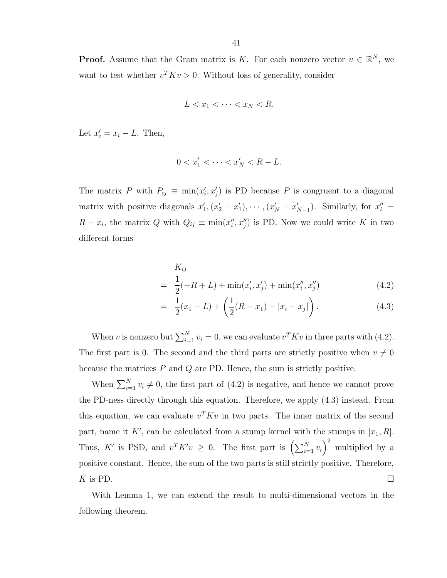$$
L < x_1 < \cdots < x_N < R.
$$

Let  $x'_i = x_i - L$ . Then,

$$
0 < x_1' < \dots < x_N' < R - L.
$$

The matrix P with  $P_{ij} \equiv \min(x'_i, x'_j)$  is PD because P is congruent to a diagonal matrix with positive diagonals  $x'_1, (x'_2 - x'_1), \cdots, (x'_N - x'_{N-1})$ . Similarly, for  $x''_i =$  $R - x_i$ , the matrix Q with  $Q_{ij} \equiv \min(x''_i, x''_j)$  is PD. Now we could write K in two different forms

$$
K_{ij}
$$
  
=  $\frac{1}{2}(-R+L) + \min(x'_i, x'_j) + \min(x''_i, x''_j)$  (4.2)

$$
= \frac{1}{2}(x_1 - L) + \left(\frac{1}{2}(R - x_1) - |x_i - x_j|\right). \tag{4.3}
$$

When v is nonzero but  $\sum_{i=1}^{N} v_i = 0$ , we can evaluate  $v^T K v$  in three parts with (4.2). The first part is 0. The second and the third parts are strictly positive when  $v \neq 0$ because the matrices  $P$  and  $Q$  are PD. Hence, the sum is strictly positive.

When  $\sum_{i=1}^{N} v_i \neq 0$ , the first part of (4.2) is negative, and hence we cannot prove the PD-ness directly through this equation. Therefore, we apply (4.3) instead. From this equation, we can evaluate  $v^T K v$  in two parts. The inner matrix of the second part, name it K', can be calculated from a stump kernel with the stumps in  $[x_1, R]$ . Thus, K' is PSD, and  $v^T K' v \geq 0$ . The first part is  $\left(\sum_{i=1}^N v_i\right)^2$  multiplied by a positive constant. Hence, the sum of the two parts is still strictly positive. Therefore, K is PD.

With Lemma 1, we can extend the result to multi-dimensional vectors in the following theorem.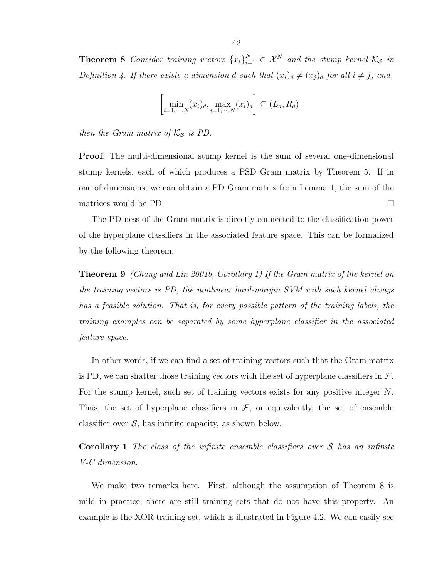**Theorem 8** Consider training vectors  $\{x_i\}_{i=1}^N \in \mathcal{X}^N$  and the stump kernel  $\mathcal{K}_{\mathcal{S}}$  in Definition 4. If there exists a dimension d such that  $(x_i)_d \neq (x_j)_d$  for all  $i \neq j$ , and

$$
\left[\min_{i=1,\cdots,N}(x_i)_d,\max_{i=1,\cdots,N}(x_i)_d\right] \subseteq (L_d, R_d)
$$

then the Gram matrix of  $K_{\mathcal{S}}$  is PD.

Proof. The multi-dimensional stump kernel is the sum of several one-dimensional stump kernels, each of which produces a PSD Gram matrix by Theorem 5. If in one of dimensions, we can obtain a PD Gram matrix from Lemma 1, the sum of the matrices would be PD.

The PD-ness of the Gram matrix is directly connected to the classification power of the hyperplane classifiers in the associated feature space. This can be formalized by the following theorem.

Theorem 9 (Chang and Lin 2001b, Corollary 1) If the Gram matrix of the kernel on the training vectors is PD, the nonlinear hard-margin SVM with such kernel always has a feasible solution. That is, for every possible pattern of the training labels, the training examples can be separated by some hyperplane classifier in the associated feature space.

In other words, if we can find a set of training vectors such that the Gram matrix is PD, we can shatter those training vectors with the set of hyperplane classifiers in  $\mathcal{F}$ . For the stump kernel, such set of training vectors exists for any positive integer N. Thus, the set of hyperplane classifiers in  $\mathcal{F}$ , or equivalently, the set of ensemble classifier over  $S$ , has infinite capacity, as shown below.

**Corollary 1** The class of the infinite ensemble classifiers over  $S$  has an infinite V-C dimension.

We make two remarks here. First, although the assumption of Theorem 8 is mild in practice, there are still training sets that do not have this property. An example is the XOR training set, which is illustrated in Figure 4.2. We can easily see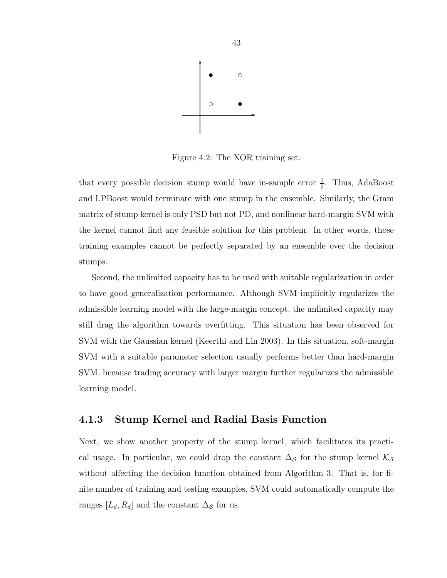

Figure 4.2: The XOR training set.

that every possible decision stump would have in-sample error  $\frac{1}{2}$ . Thus, AdaBoost and LPBoost would terminate with one stump in the ensemble. Similarly, the Gram matrix of stump kernel is only PSD but not PD, and nonlinear hard-margin SVM with the kernel cannot find any feasible solution for this problem. In other words, those training examples cannot be perfectly separated by an ensemble over the decision stumps.

Second, the unlimited capacity has to be used with suitable regularization in order to have good generalization performance. Although SVM implicitly regularizes the admissible learning model with the large-margin concept, the unlimited capacity may still drag the algorithm towards overfitting. This situation has been observed for SVM with the Gaussian kernel (Keerthi and Lin 2003). In this situation, soft-margin SVM with a suitable parameter selection usually performs better than hard-margin SVM, because trading accuracy with larger margin further regularizes the admissible learning model.

## 4.1.3 Stump Kernel and Radial Basis Function

Next, we show another property of the stump kernel, which facilitates its practical usage. In particular, we could drop the constant  $\Delta_{\mathcal{S}}$  for the stump kernel  $\mathcal{K}_{\mathcal{S}}$ without affecting the decision function obtained from Algorithm 3. That is, for finite number of training and testing examples, SVM could automatically compute the ranges  $[L_d, R_d]$  and the constant  $\Delta_{\mathcal{S}}$  for us.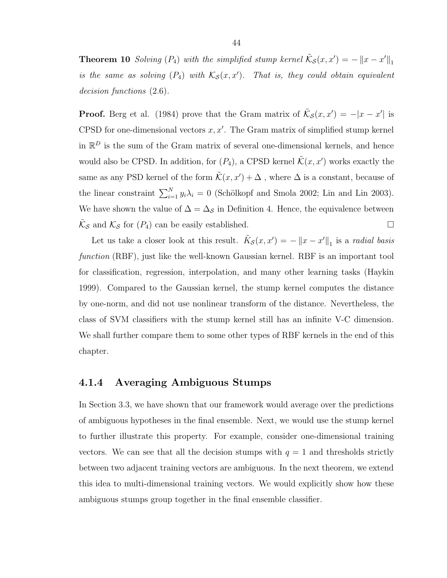**Theorem 10** Solving  $(P_4)$  with the simplified stump kernel  $\tilde{\mathcal{K}}_{\mathcal{S}}(x, x') = -||x - x'||_1$ is the same as solving  $(P_4)$  with  $\mathcal{K}_{\mathcal{S}}(x,x').$  That is, they could obtain equivalent decision functions (2.6).

**Proof.** Berg et al. (1984) prove that the Gram matrix of  $\tilde{\mathcal{K}}_{\mathcal{S}}(x, x') = -|x - x'|$  is CPSD for one-dimensional vectors  $x, x'$ . The Gram matrix of simplified stump kernel in  $\mathbb{R}^D$  is the sum of the Gram matrix of several one-dimensional kernels, and hence would also be CPSD. In addition, for  $(P_4)$ , a CPSD kernel  $\tilde{\mathcal{K}}(x, x')$  works exactly the same as any PSD kernel of the form  $\tilde{\mathcal{K}}(x, x') + \Delta$ , where  $\Delta$  is a constant, because of the linear constraint  $\sum_{i=1}^{N} y_i \lambda_i = 0$  (Schölkopf and Smola 2002; Lin and Lin 2003). We have shown the value of  $\Delta = \Delta_{\mathcal{S}}$  in Definition 4. Hence, the equivalence between  $\tilde{\mathcal{K}}_{\mathcal{S}}$  and  $\mathcal{K}_{\mathcal{S}}$  for  $(P_4)$  can be easily established.

Let us take a closer look at this result.  $\tilde{K}_{\mathcal{S}}(x, x') = -||x - x'||_1$  is a *radial basis* function (RBF), just like the well-known Gaussian kernel. RBF is an important tool for classification, regression, interpolation, and many other learning tasks (Haykin 1999). Compared to the Gaussian kernel, the stump kernel computes the distance by one-norm, and did not use nonlinear transform of the distance. Nevertheless, the class of SVM classifiers with the stump kernel still has an infinite V-C dimension. We shall further compare them to some other types of RBF kernels in the end of this chapter.

## 4.1.4 Averaging Ambiguous Stumps

In Section 3.3, we have shown that our framework would average over the predictions of ambiguous hypotheses in the final ensemble. Next, we would use the stump kernel to further illustrate this property. For example, consider one-dimensional training vectors. We can see that all the decision stumps with  $q = 1$  and thresholds strictly between two adjacent training vectors are ambiguous. In the next theorem, we extend this idea to multi-dimensional training vectors. We would explicitly show how these ambiguous stumps group together in the final ensemble classifier.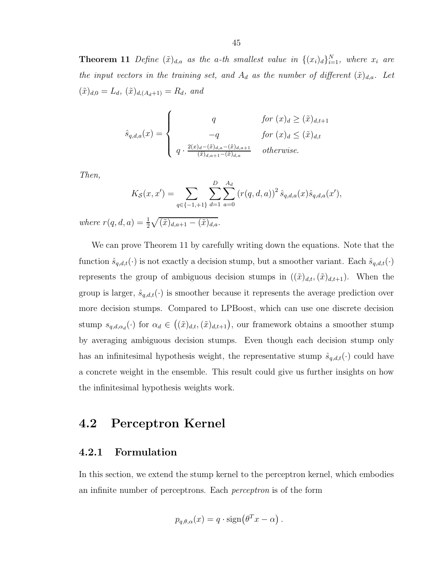**Theorem 11** Define  $(\tilde{x})_{d,a}$  as the a-th smallest value in  $\{(x_i)_d\}_{i=1}^N$ , where  $x_i$  are the input vectors in the training set, and  $A_d$  as the number of different  $(\tilde{x})_{d,a}$ . Let  $(\tilde{x})_{d,0} = L_d$ ,  $(\tilde{x})_{d,(A_d+1)} = R_d$ , and

$$
\hat{s}_{q,d,a}(x) = \begin{cases}\nq & \text{for } (x)_d \ge (\tilde{x})_{d,t+1} \\
-q & \text{for } (x)_d \le (\tilde{x})_{d,t} \\
q \cdot \frac{2(x)_d - (\tilde{x})_{d,a} - (\tilde{x})_{d,a+1}}{(\tilde{x})_{d,a+1} - (\tilde{x})_{d,a}} & \text{otherwise.} \n\end{cases}
$$

Then,

$$
K_{\mathcal{S}}(x, x') = \sum_{q \in \{-1, +1\}} \sum_{d=1}^{D} \sum_{a=0}^{A_d} (r(q, d, a))^2 \, \hat{s}_{q, d, a}(x) \hat{s}_{q, d, a}(x'),
$$

where  $r(q, d, a) = \frac{1}{2}$  $\frac{1}{2}\sqrt{(\tilde{x})_{d,a+1}-(\tilde{x})_{d,a}}.$ 

We can prove Theorem 11 by carefully writing down the equations. Note that the function  $\hat{s}_{q,d,t}(\cdot)$  is not exactly a decision stump, but a smoother variant. Each  $\hat{s}_{q,d,t}(\cdot)$ represents the group of ambiguous decision stumps in  $((\tilde{x})_{d,t},(\tilde{x})_{d,t+1})$ . When the group is larger,  $\hat{s}_{q,d,t}(\cdot)$  is smoother because it represents the average prediction over more decision stumps. Compared to LPBoost, which can use one discrete decision stump  $s_{q,d,\alpha_d}(\cdot)$  for  $\alpha_d \in ((\tilde{x})_{d,t},(\tilde{x})_{d,t+1})$ , our framework obtains a smoother stump by averaging ambiguous decision stumps. Even though each decision stump only has an infinitesimal hypothesis weight, the representative stump  $\hat{s}_{q,d,t}(\cdot)$  could have a concrete weight in the ensemble. This result could give us further insights on how the infinitesimal hypothesis weights work.

# 4.2 Perceptron Kernel

#### 4.2.1 Formulation

In this section, we extend the stump kernel to the perceptron kernel, which embodies an infinite number of perceptrons. Each perceptron is of the form

$$
p_{q,\theta,\alpha}(x) = q \cdot \text{sign}(\theta^T x - \alpha).
$$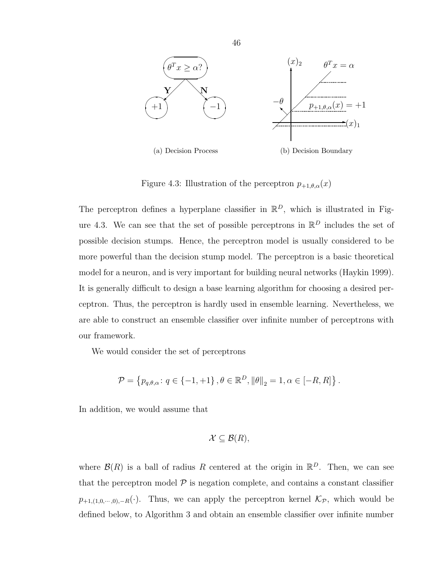

Figure 4.3: Illustration of the perceptron  $p_{+1,\theta,\alpha}(x)$ 

The perceptron defines a hyperplane classifier in  $\mathbb{R}^D$ , which is illustrated in Figure 4.3. We can see that the set of possible perceptrons in  $\mathbb{R}^D$  includes the set of possible decision stumps. Hence, the perceptron model is usually considered to be more powerful than the decision stump model. The perceptron is a basic theoretical model for a neuron, and is very important for building neural networks (Haykin 1999). It is generally difficult to design a base learning algorithm for choosing a desired perceptron. Thus, the perceptron is hardly used in ensemble learning. Nevertheless, we are able to construct an ensemble classifier over infinite number of perceptrons with our framework.

We would consider the set of perceptrons

$$
\mathcal{P} = \left\{ p_{q,\theta,\alpha} : q \in \{-1,+1\}, \theta \in \mathbb{R}^D, \|\theta\|_2 = 1, \alpha \in [-R,R] \right\}.
$$

In addition, we would assume that

$$
\mathcal{X}\subseteq\mathcal{B}(R),
$$

where  $\mathcal{B}(R)$  is a ball of radius R centered at the origin in  $\mathbb{R}^D$ . Then, we can see that the perceptron model  $P$  is negation complete, and contains a constant classifier  $p_{+1,(1,0,\cdots,0),-R}(\cdot)$ . Thus, we can apply the perceptron kernel  $\mathcal{K}_{\mathcal{P}}$ , which would be defined below, to Algorithm 3 and obtain an ensemble classifier over infinite number

46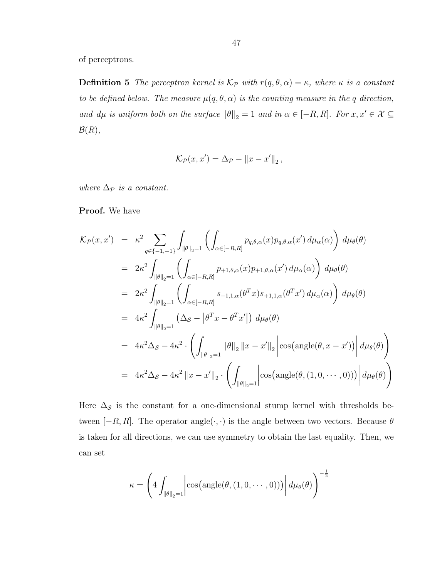of perceptrons.

**Definition 5** The perceptron kernel is  $\mathcal{K}_{\mathcal{P}}$  with  $r(q, \theta, \alpha) = \kappa$ , where  $\kappa$  is a constant to be defined below. The measure  $\mu(q, \theta, \alpha)$  is the counting measure in the q direction, and  $d\mu$  is uniform both on the surface  $\|\theta\|_2 = 1$  and in  $\alpha \in [-R, R]$ . For  $x, x' \in \mathcal{X} \subseteq \mathcal{X}$  $\mathcal{B}(R),$ 

$$
\mathcal{K}_{\mathcal{P}}(x,x') = \Delta_{\mathcal{P}} - ||x - x'||_2,
$$

where  $\Delta_{\mathcal{P}}$  is a constant.

Proof. We have

$$
\mathcal{K}_{\mathcal{P}}(x, x') = \kappa^2 \sum_{q \in \{-1, +1\}} \int_{\|\theta\|_2 = 1} \left( \int_{\alpha \in [-R, R]} p_{q, \theta, \alpha}(x) p_{q, \theta, \alpha}(x') d\mu_{\alpha}(\alpha) \right) d\mu_{\theta}(\theta)
$$
  
\n
$$
= 2\kappa^2 \int_{\|\theta\|_2 = 1} \left( \int_{\alpha \in [-R, R]} p_{+1, \theta, \alpha}(x) p_{+1, \theta, \alpha}(x') d\mu_{\alpha}(\alpha) \right) d\mu_{\theta}(\theta)
$$
  
\n
$$
= 2\kappa^2 \int_{\|\theta\|_2 = 1} \left( \int_{\alpha \in [-R, R]} s_{+1, 1, \alpha}(\theta^T x) s_{+1, 1, \alpha}(\theta^T x') d\mu_{\alpha}(\alpha) \right) d\mu_{\theta}(\theta)
$$
  
\n
$$
= 4\kappa^2 \int_{\|\theta\|_2 = 1} (\Delta_S - |\theta^T x - \theta^T x'|) d\mu_{\theta}(\theta)
$$
  
\n
$$
= 4\kappa^2 \Delta_S - 4\kappa^2 \cdot \left( \int_{\|\theta\|_2 = 1} ||\theta||_2 ||x - x'||_2 \right| \cos(\text{angle}(\theta, x - x')) \Big| d\mu_{\theta}(\theta)
$$
  
\n
$$
= 4\kappa^2 \Delta_S - 4\kappa^2 ||x - x'||_2 \cdot \left( \int_{\|\theta\|_2 = 1} |\cos(\text{angle}(\theta, (1, 0, \cdots, 0))) \right) d\mu_{\theta}(\theta)
$$

Here  $\Delta_{\mathcal{S}}$  is the constant for a one-dimensional stump kernel with thresholds between  $[-R, R]$ . The operator angle $(\cdot, \cdot)$  is the angle between two vectors. Because  $\theta$ is taken for all directions, we can use symmetry to obtain the last equality. Then, we can set

$$
\kappa = \left( 4 \int_{\|\theta\|_2 = 1} \left| \cos\left(\text{angle}(\theta, (1, 0, \dots, 0))\right) \right| d\mu_{\theta}(\theta) \right)^{-\frac{1}{2}}
$$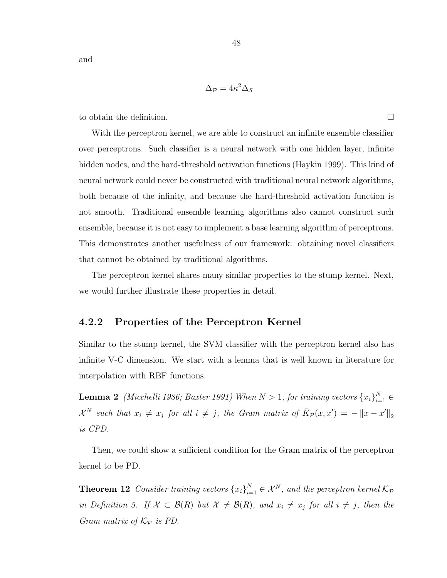and

$$
\Delta_{\mathcal{P}} = 4\kappa^2 \Delta_{\mathcal{S}}
$$

to obtain the definition.

With the perceptron kernel, we are able to construct an infinite ensemble classifier over perceptrons. Such classifier is a neural network with one hidden layer, infinite hidden nodes, and the hard-threshold activation functions (Haykin 1999). This kind of neural network could never be constructed with traditional neural network algorithms, both because of the infinity, and because the hard-threshold activation function is not smooth. Traditional ensemble learning algorithms also cannot construct such ensemble, because it is not easy to implement a base learning algorithm of perceptrons. This demonstrates another usefulness of our framework: obtaining novel classifiers that cannot be obtained by traditional algorithms.

The perceptron kernel shares many similar properties to the stump kernel. Next, we would further illustrate these properties in detail.

## 4.2.2 Properties of the Perceptron Kernel

Similar to the stump kernel, the SVM classifier with the perceptron kernel also has infinite V-C dimension. We start with a lemma that is well known in literature for interpolation with RBF functions.

**Lemma 2** (Micchelli 1986; Baxter 1991) When  $N > 1$ , for training vectors  ${x_i}_{i=1}^N \in$  $\mathcal{X}^N$  such that  $x_i \neq x_j$  for all  $i \neq j$ , the Gram matrix of  $\tilde{K}_{\mathcal{P}}(x, x') = -||x - x'||_2$ is CPD.

Then, we could show a sufficient condition for the Gram matrix of the perceptron kernel to be PD.

**Theorem 12** Consider training vectors  $\{x_i\}_{i=1}^N \in \mathcal{X}^N$ , and the perceptron kernel  $\mathcal{K}_{\mathcal{P}}$ in Definition 5. If  $X \subset \mathcal{B}(R)$  but  $X \neq \mathcal{B}(R)$ , and  $x_i \neq x_j$  for all  $i \neq j$ , then the Gram matrix of  $\mathcal{K}_{\mathcal{P}}$  is PD.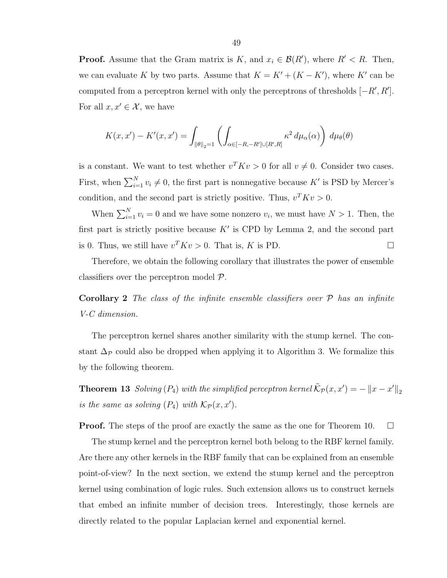**Proof.** Assume that the Gram matrix is K, and  $x_i \in \mathcal{B}(R')$ , where  $R' < R$ . Then, we can evaluate K by two parts. Assume that  $K = K' + (K - K')$ , where K' can be computed from a perceptron kernel with only the perceptrons of thresholds  $[-R', R']$ . For all  $x, x' \in \mathcal{X}$ , we have

$$
K(x, x') - K'(x, x') = \int_{\|\theta\|_2 = 1} \left( \int_{\alpha \in [-R, -R'] \cup [R', R]} \kappa^2 d\mu_\alpha(\alpha) \right) d\mu_\theta(\theta)
$$

is a constant. We want to test whether  $v^T K v > 0$  for all  $v \neq 0$ . Consider two cases. First, when  $\sum_{i=1}^{N} v_i \neq 0$ , the first part is nonnegative because K' is PSD by Mercer's condition, and the second part is strictly positive. Thus,  $v^T K v > 0$ .

When  $\sum_{i=1}^{N} v_i = 0$  and we have some nonzero  $v_i$ , we must have  $N > 1$ . Then, the first part is strictly positive because  $K'$  is CPD by Lemma 2, and the second part is 0. Thus, we still have  $v^T K v > 0$ . That is, K is PD.

Therefore, we obtain the following corollary that illustrates the power of ensemble classifiers over the perceptron model P.

**Corollary 2** The class of the infinite ensemble classifiers over  $P$  has an infinite V-C dimension.

The perceptron kernel shares another similarity with the stump kernel. The constant  $\Delta_{\mathcal{P}}$  could also be dropped when applying it to Algorithm 3. We formalize this by the following theorem.

**Theorem 13** Solving  $(P_4)$  with the simplified perceptron kernel  $\tilde{\mathcal{K}}_{\mathcal{P}}(x, x') = -||x - x'||_2$ is the same as solving  $(P_4)$  with  $\mathcal{K}_{\mathcal{P}}(x,x')$ .

**Proof.** The steps of the proof are exactly the same as the one for Theorem 10.  $\Box$ 

The stump kernel and the perceptron kernel both belong to the RBF kernel family. Are there any other kernels in the RBF family that can be explained from an ensemble point-of-view? In the next section, we extend the stump kernel and the perceptron kernel using combination of logic rules. Such extension allows us to construct kernels that embed an infinite number of decision trees. Interestingly, those kernels are directly related to the popular Laplacian kernel and exponential kernel.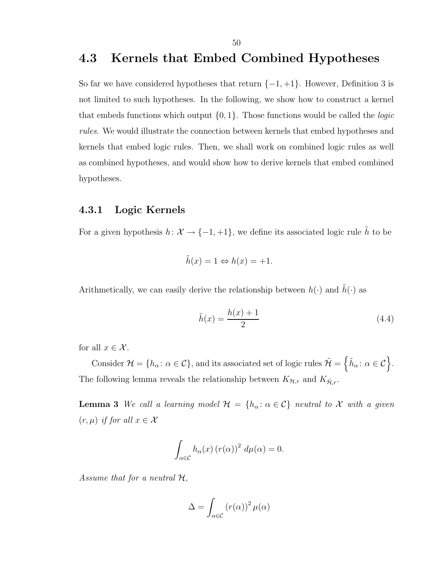# 4.3 Kernels that Embed Combined Hypotheses

So far we have considered hypotheses that return  $\{-1, +1\}$ . However, Definition 3 is not limited to such hypotheses. In the following, we show how to construct a kernel that embeds functions which output  $\{0, 1\}$ . Those functions would be called the *logic* rules. We would illustrate the connection between kernels that embed hypotheses and kernels that embed logic rules. Then, we shall work on combined logic rules as well as combined hypotheses, and would show how to derive kernels that embed combined hypotheses.

## 4.3.1 Logic Kernels

For a given hypothesis  $h: \mathcal{X} \to \{-1, +1\}$ , we define its associated logic rule  $\tilde{h}$  to be

$$
\tilde{h}(x) = 1 \Leftrightarrow h(x) = +1.
$$

Arithmetically, we can easily derive the relationship between  $h(\cdot)$  and  $\tilde{h}(\cdot)$  as

$$
\tilde{h}(x) = \frac{h(x) + 1}{2} \tag{4.4}
$$

for all  $x \in \mathcal{X}$ .

Consider  $\mathcal{H} = \{h_{\alpha} : \alpha \in \mathcal{C}\},\$ and its associated set of logic rules  $\tilde{\mathcal{H}} = \{\tilde{h}_{\alpha} : \alpha \in \mathcal{C}\}.$ The following lemma reveals the relationship between  $K_{\mathcal{H},r}$  and  $K_{\tilde{\mathcal{H}},r}.$ 

**Lemma 3** We call a learning model  $\mathcal{H} = \{h_{\alpha} : \alpha \in \mathcal{C}\}\$  neutral to X with a given  $(r, \mu)$  if for all  $x \in \mathcal{X}$ 

$$
\int_{\alpha \in \mathcal{C}} h_{\alpha}(x) (r(\alpha))^2 d\mu(\alpha) = 0.
$$

Assume that for a neutral  $H$ ,

$$
\Delta = \int_{\alpha \in \mathcal{C}} \left( r(\alpha) \right)^2 \mu(\alpha)
$$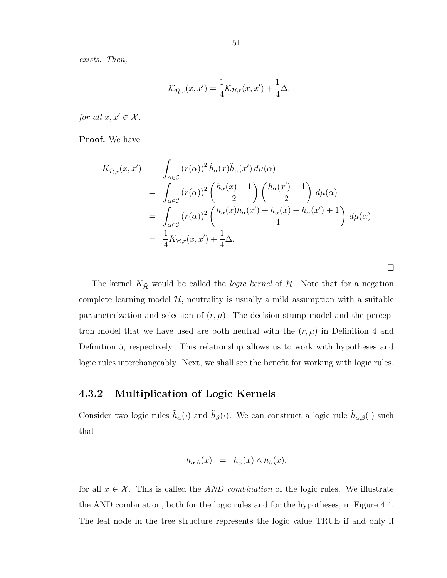exists. Then,

$$
\mathcal{K}_{\tilde{\mathcal{H}},r}(x,x') = \frac{1}{4}\mathcal{K}_{\mathcal{H},r}(x,x') + \frac{1}{4}\Delta.
$$

for all  $x, x' \in \mathcal{X}$ .

Proof. We have

$$
K_{\tilde{\mathcal{H}},r}(x,x') = \int_{\alpha \in \mathcal{C}} (r(\alpha))^2 \tilde{h}_{\alpha}(x) \tilde{h}_{\alpha}(x') d\mu(\alpha)
$$
  
\n
$$
= \int_{\alpha \in \mathcal{C}} (r(\alpha))^2 \left(\frac{h_{\alpha}(x) + 1}{2}\right) \left(\frac{h_{\alpha}(x') + 1}{2}\right) d\mu(\alpha)
$$
  
\n
$$
= \int_{\alpha \in \mathcal{C}} (r(\alpha))^2 \left(\frac{h_{\alpha}(x)h_{\alpha}(x') + h_{\alpha}(x) + h_{\alpha}(x') + 1}{4}\right) d\mu(\alpha)
$$
  
\n
$$
= \frac{1}{4} K_{\mathcal{H},r}(x,x') + \frac{1}{4} \Delta.
$$

 $\Box$ 

The kernel  $K_{\tilde{\mathcal{H}}}$  would be called the *logic kernel* of  $\mathcal{H}$ . Note that for a negation complete learning model  $H$ , neutrality is usually a mild assumption with a suitable parameterization and selection of  $(r, \mu)$ . The decision stump model and the perceptron model that we have used are both neutral with the  $(r, \mu)$  in Definition 4 and Definition 5, respectively. This relationship allows us to work with hypotheses and logic rules interchangeably. Next, we shall see the benefit for working with logic rules.

# 4.3.2 Multiplication of Logic Kernels

Consider two logic rules  $\tilde{h}_{\alpha}(\cdot)$  and  $\tilde{h}_{\beta}(\cdot)$ . We can construct a logic rule  $\tilde{h}_{\alpha,\beta}(\cdot)$  such that

$$
\tilde{h}_{\alpha,\beta}(x) = \tilde{h}_{\alpha}(x) \wedge \tilde{h}_{\beta}(x).
$$

for all  $x \in \mathcal{X}$ . This is called the AND combination of the logic rules. We illustrate the AND combination, both for the logic rules and for the hypotheses, in Figure 4.4. The leaf node in the tree structure represents the logic value TRUE if and only if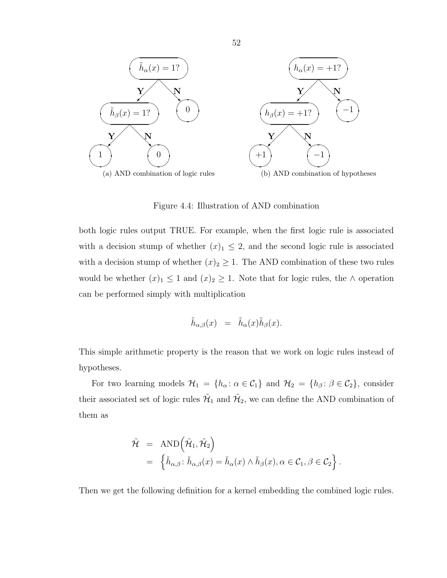

Figure 4.4: Illustration of AND combination

both logic rules output TRUE. For example, when the first logic rule is associated with a decision stump of whether  $(x)_1 \leq 2$ , and the second logic rule is associated with a decision stump of whether  $(x)_2 \geq 1$ . The AND combination of these two rules would be whether  $(x)_1 \leq 1$  and  $(x)_2 \geq 1$ . Note that for logic rules, the ∧ operation can be performed simply with multiplication

$$
\tilde{h}_{\alpha,\beta}(x) = \tilde{h}_{\alpha}(x)\tilde{h}_{\beta}(x).
$$

This simple arithmetic property is the reason that we work on logic rules instead of hypotheses.

For two learning models  $\mathcal{H}_1 = \{h_\alpha : \alpha \in \mathcal{C}_1\}$  and  $\mathcal{H}_2 = \{h_\beta : \beta \in \mathcal{C}_2\}$ , consider their associated set of logic rules  $\mathcal{H}_1$  and  $\mathcal{H}_2$ , we can define the AND combination of them as

$$
\tilde{\mathcal{H}} = \text{AND} \Big( \tilde{\mathcal{H}}_1, \tilde{\mathcal{H}}_2 \Big) \n= \left\{ \tilde{h}_{\alpha,\beta} \colon \tilde{h}_{\alpha,\beta}(x) = \tilde{h}_{\alpha}(x) \wedge \tilde{h}_{\beta}(x), \alpha \in \mathcal{C}_1, \beta \in \mathcal{C}_2 \right\}.
$$

Then we get the following definition for a kernel embedding the combined logic rules.

52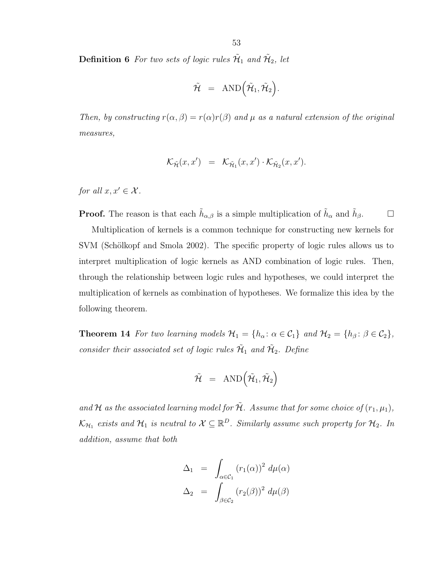**Definition 6** For two sets of logic rules  $\tilde{\mathcal{H}}_1$  and  $\tilde{\mathcal{H}}_2$ , let

$$
\tilde{\mathcal{H}} = \text{AND} \Big( \tilde{\mathcal{H}}_1, \tilde{\mathcal{H}}_2 \Big).
$$

Then, by constructing  $r(\alpha, \beta) = r(\alpha)r(\beta)$  and  $\mu$  as a natural extension of the original measures,

$$
\mathcal{K}_{\tilde{\mathcal{H}}}(x,x') = \mathcal{K}_{\tilde{\mathcal{H}}_1}(x,x') \cdot \mathcal{K}_{\tilde{\mathcal{H}}_2}(x,x').
$$

for all  $x, x' \in \mathcal{X}$ .

**Proof.** The reason is that each  $\tilde{h}_{\alpha,\beta}$  is a simple multiplication of  $\tilde{h}_{\alpha}$  and  $\tilde{h}_{\beta}$ .

Multiplication of kernels is a common technique for constructing new kernels for SVM (Schölkopf and Smola 2002). The specific property of logic rules allows us to interpret multiplication of logic kernels as AND combination of logic rules. Then, through the relationship between logic rules and hypotheses, we could interpret the multiplication of kernels as combination of hypotheses. We formalize this idea by the following theorem.

**Theorem 14** For two learning models  $\mathcal{H}_1 = \{h_\alpha : \alpha \in \mathcal{C}_1\}$  and  $\mathcal{H}_2 = \{h_\beta : \beta \in \mathcal{C}_2\}$ , consider their associated set of logic rules  $\tilde{\mathcal{H}}_1$  and  $\tilde{\mathcal{H}}_2$ . Define

$$
\tilde{\mathcal{H}}\enskip = \enskip \text{AND}\Big(\tilde{\mathcal{H}}_1,\tilde{\mathcal{H}}_2\Big)
$$

and H as the associated learning model for  $\tilde{\mathcal{H}}$ . Assume that for some choice of  $(r_1, \mu_1)$ ,  $\mathcal{K}_{H_1}$  exists and  $\mathcal{H}_1$  is neutral to  $\mathcal{X} \subseteq \mathbb{R}^D$ . Similarly assume such property for  $\mathcal{H}_2$ . In addition, assume that both

$$
\Delta_1 = \int_{\alpha \in C_1} (r_1(\alpha))^2 d\mu(\alpha)
$$
  

$$
\Delta_2 = \int_{\beta \in C_2} (r_2(\beta))^2 d\mu(\beta)
$$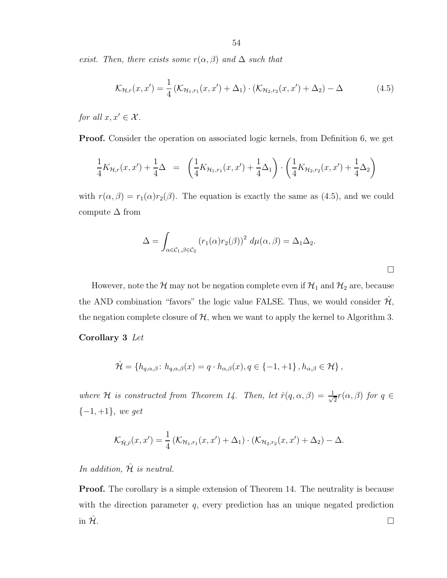exist. Then, there exists some  $r(\alpha, \beta)$  and  $\Delta$  such that

$$
\mathcal{K}_{\mathcal{H},r}(x,x') = \frac{1}{4} \left( \mathcal{K}_{\mathcal{H}_1,r_1}(x,x') + \Delta_1 \right) \cdot \left( \mathcal{K}_{\mathcal{H}_2,r_2}(x,x') + \Delta_2 \right) - \Delta \tag{4.5}
$$

for all  $x, x' \in \mathcal{X}$ .

Proof. Consider the operation on associated logic kernels, from Definition 6, we get

$$
\frac{1}{4}K_{\mathcal{H},r}(x,x') + \frac{1}{4}\Delta = \left(\frac{1}{4}K_{\mathcal{H}_1,r_1}(x,x') + \frac{1}{4}\Delta_1\right) \cdot \left(\frac{1}{4}K_{\mathcal{H}_2,r_2}(x,x') + \frac{1}{4}\Delta_2\right)
$$

with  $r(\alpha, \beta) = r_1(\alpha) r_2(\beta)$ . The equation is exactly the same as (4.5), and we could compute  $\Delta$  from

$$
\Delta = \int_{\alpha \in C_1, \beta \in C_2} (r_1(\alpha) r_2(\beta))^2 \ d\mu(\alpha, \beta) = \Delta_1 \Delta_2.
$$

 $\Box$ 

However, note the  $\mathcal H$  may not be negation complete even if  $\mathcal H_1$  and  $\mathcal H_2$  are, because the AND combination "favors" the logic value FALSE. Thus, we would consider  $\mathcal{H}$ , the negation complete closure of  $H$ , when we want to apply the kernel to Algorithm 3.

#### Corollary 3 Let

$$
\hat{\mathcal{H}} = \{ h_{q,\alpha,\beta} \colon h_{q,\alpha,\beta}(x) = q \cdot h_{\alpha,\beta}(x), q \in \{-1,+1\} \,, h_{\alpha,\beta} \in \mathcal{H} \},\
$$

where H is constructed from Theorem 14. Then, let  $\hat{r}(q,\alpha,\beta) = \frac{1}{\sqrt{2\pi}}$  $\frac{1}{2}r(\alpha,\beta)$  for  $q \in$  $\{-1,+1\},\ we\ get$ 

$$
\mathcal{K}_{\hat{\mathcal{H}},\hat{r}}(x,x') = \frac{1}{4} \left( \mathcal{K}_{\mathcal{H}_1,r_1}(x,x') + \Delta_1 \right) \cdot \left( \mathcal{K}_{\mathcal{H}_2,r_2}(x,x') + \Delta_2 \right) - \Delta.
$$

In addition,  $\hat{\mathcal{H}}$  is neutral.

Proof. The corollary is a simple extension of Theorem 14. The neutrality is because with the direction parameter  $q$ , every prediction has an unique negated prediction in  $\hat{\mathcal{H}}$ .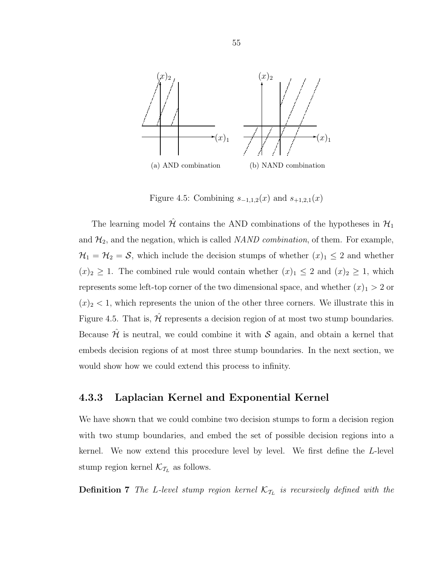

Figure 4.5: Combining  $s_{-1,1,2}(x)$  and  $s_{+1,2,1}(x)$ 

The learning model  $\hat{\mathcal{H}}$  contains the AND combinations of the hypotheses in  $\mathcal{H}_1$ and  $\mathcal{H}_2$ , and the negation, which is called *NAND combination*, of them. For example,  $\mathcal{H}_1 = \mathcal{H}_2 = \mathcal{S}$ , which include the decision stumps of whether  $(x)_1 \leq 2$  and whether  $(x)_2 \geq 1$ . The combined rule would contain whether  $(x)_1 \leq 2$  and  $(x)_2 \geq 1$ , which represents some left-top corner of the two dimensional space, and whether  $(x)$ <sub>1</sub> > 2 or  $(x)_2$  < 1, which represents the union of the other three corners. We illustrate this in Figure 4.5. That is,  $\hat{\mathcal{H}}$  represents a decision region of at most two stump boundaries. Because  $\hat{\mathcal{H}}$  is neutral, we could combine it with S again, and obtain a kernel that embeds decision regions of at most three stump boundaries. In the next section, we would show how we could extend this process to infinity.

# 4.3.3 Laplacian Kernel and Exponential Kernel

We have shown that we could combine two decision stumps to form a decision region with two stump boundaries, and embed the set of possible decision regions into a kernel. We now extend this procedure level by level. We first define the L-level stump region kernel  $\mathcal{K}_{\mathcal{T}_L}$  as follows.

**Definition 7** The L-level stump region kernel  $\mathcal{K}_{\mathcal{T}_L}$  is recursively defined with the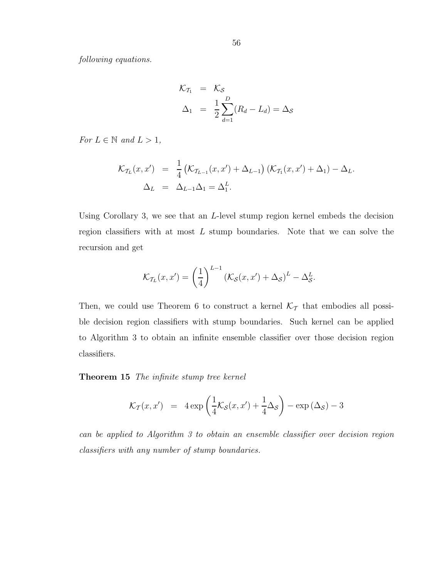following equations.

$$
\mathcal{K}_{\mathcal{T}_1} = \mathcal{K}_{\mathcal{S}}
$$
  

$$
\Delta_1 = \frac{1}{2} \sum_{d=1}^{D} (R_d - L_d) = \Delta_{\mathcal{S}}
$$

For  $L \in \mathbb{N}$  and  $L > 1$ ,

$$
\mathcal{K}_{\mathcal{T}_L}(x, x') = \frac{1}{4} \left( \mathcal{K}_{\mathcal{T}_{L-1}}(x, x') + \Delta_{L-1} \right) \left( \mathcal{K}_{\mathcal{T}_1}(x, x') + \Delta_1 \right) - \Delta_L.
$$
  

$$
\Delta_L = \Delta_{L-1} \Delta_1 = \Delta_1^L.
$$

Using Corollary 3, we see that an L-level stump region kernel embeds the decision region classifiers with at most  $L$  stump boundaries. Note that we can solve the recursion and get

$$
\mathcal{K}_{\mathcal{T}_L}(x, x') = \left(\frac{1}{4}\right)^{L-1} \left(\mathcal{K}_{\mathcal{S}}(x, x') + \Delta_{\mathcal{S}}\right)^L - \Delta_{\mathcal{S}}^L.
$$

Then, we could use Theorem 6 to construct a kernel  $\mathcal{K}_{\mathcal{T}}$  that embodies all possible decision region classifiers with stump boundaries. Such kernel can be applied to Algorithm 3 to obtain an infinite ensemble classifier over those decision region classifiers.

Theorem 15 The infinite stump tree kernel

$$
\mathcal{K}_{\mathcal{T}}(x, x') = 4 \exp \left( \frac{1}{4} \mathcal{K}_{\mathcal{S}}(x, x') + \frac{1}{4} \Delta_{\mathcal{S}} \right) - \exp \left( \Delta_{\mathcal{S}} \right) - 3
$$

can be applied to Algorithm 3 to obtain an ensemble classifier over decision region classifiers with any number of stump boundaries.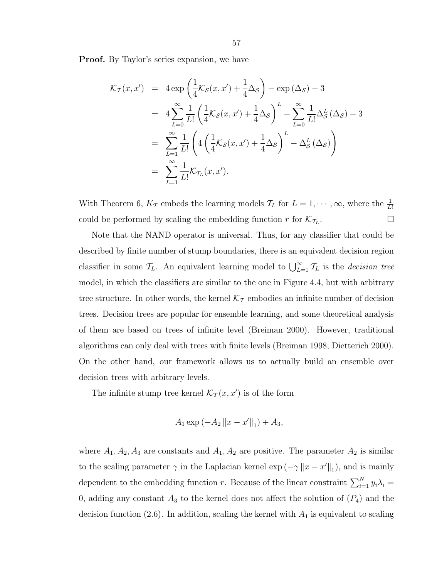Proof. By Taylor's series expansion, we have

$$
\mathcal{K}_{\mathcal{T}}(x, x') = 4 \exp \left(\frac{1}{4} \mathcal{K}_{\mathcal{S}}(x, x') + \frac{1}{4} \Delta_{\mathcal{S}}\right) - \exp \left(\Delta_{\mathcal{S}}\right) - 3
$$
  
\n
$$
= 4 \sum_{L=0}^{\infty} \frac{1}{L!} \left(\frac{1}{4} \mathcal{K}_{\mathcal{S}}(x, x') + \frac{1}{4} \Delta_{\mathcal{S}}\right)^{L} - \sum_{L=0}^{\infty} \frac{1}{L!} \Delta_{\mathcal{S}}^{L}(\Delta_{\mathcal{S}}) - 3
$$
  
\n
$$
= \sum_{L=1}^{\infty} \frac{1}{L!} \left(4 \left(\frac{1}{4} \mathcal{K}_{\mathcal{S}}(x, x') + \frac{1}{4} \Delta_{\mathcal{S}}\right)^{L} - \Delta_{\mathcal{S}}^{L}(\Delta_{\mathcal{S}})\right)
$$
  
\n
$$
= \sum_{L=1}^{\infty} \frac{1}{L!} \mathcal{K}_{\mathcal{T}_{L}}(x, x').
$$

With Theorem 6,  $K_{\mathcal{T}}$  embeds the learning models  $\mathcal{T}_L$  for  $L = 1, \dots, \infty$ , where the  $\frac{1}{L!}$ could be performed by scaling the embedding function r for  $\mathcal{K}_{\mathcal{T}_L}$ . . — Пример, на пример, на пример, на пример, на пример, на пример, на пример, на пример, на пример, на пример,<br>В село на пример, на пример, на пример, на пример, на пример, на пример, на пример, на пример, на пример, на п

Note that the NAND operator is universal. Thus, for any classifier that could be described by finite number of stump boundaries, there is an equivalent decision region classifier in some  $\mathcal{T}_L$ . An equivalent learning model to  $\bigcup_{L=1}^{\infty} \mathcal{T}_L$  is the *decision tree* model, in which the classifiers are similar to the one in Figure 4.4, but with arbitrary tree structure. In other words, the kernel  $\mathcal{K}_{\mathcal{T}}$  embodies an infinite number of decision trees. Decision trees are popular for ensemble learning, and some theoretical analysis of them are based on trees of infinite level (Breiman 2000). However, traditional algorithms can only deal with trees with finite levels (Breiman 1998; Dietterich 2000). On the other hand, our framework allows us to actually build an ensemble over decision trees with arbitrary levels.

The infinite stump tree kernel  $\mathcal{K}_{\mathcal{T}}(x, x')$  is of the form

$$
A_1 \exp(-A_2 \|x - x'\|_1) + A_3,
$$

where  $A_1, A_2, A_3$  are constants and  $A_1, A_2$  are positive. The parameter  $A_2$  is similar to the scaling parameter  $\gamma$  in the Laplacian kernel  $\exp(-\gamma \|x - x'\|_1)$ , and is mainly dependent to the embedding function r. Because of the linear constraint  $\sum_{i=1}^{N} y_i \lambda_i =$ 0, adding any constant  $A_3$  to the kernel does not affect the solution of  $(P_4)$  and the decision function (2.6). In addition, scaling the kernel with  $A_1$  is equivalent to scaling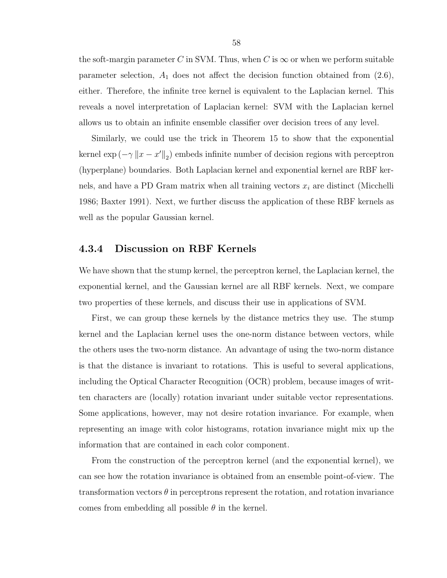the soft-margin parameter C in SVM. Thus, when C is  $\infty$  or when we perform suitable parameter selection,  $A_1$  does not affect the decision function obtained from  $(2.6)$ , either. Therefore, the infinite tree kernel is equivalent to the Laplacian kernel. This reveals a novel interpretation of Laplacian kernel: SVM with the Laplacian kernel allows us to obtain an infinite ensemble classifier over decision trees of any level.

Similarly, we could use the trick in Theorem 15 to show that the exponential kernel  $\exp(-\gamma \|x - x'\|_2)$  embeds infinite number of decision regions with perceptron (hyperplane) boundaries. Both Laplacian kernel and exponential kernel are RBF kernels, and have a PD Gram matrix when all training vectors  $x_i$  are distinct (Micchelli 1986; Baxter 1991). Next, we further discuss the application of these RBF kernels as well as the popular Gaussian kernel.

#### 4.3.4 Discussion on RBF Kernels

We have shown that the stump kernel, the perceptron kernel, the Laplacian kernel, the exponential kernel, and the Gaussian kernel are all RBF kernels. Next, we compare two properties of these kernels, and discuss their use in applications of SVM.

First, we can group these kernels by the distance metrics they use. The stump kernel and the Laplacian kernel uses the one-norm distance between vectors, while the others uses the two-norm distance. An advantage of using the two-norm distance is that the distance is invariant to rotations. This is useful to several applications, including the Optical Character Recognition (OCR) problem, because images of written characters are (locally) rotation invariant under suitable vector representations. Some applications, however, may not desire rotation invariance. For example, when representing an image with color histograms, rotation invariance might mix up the information that are contained in each color component.

From the construction of the perceptron kernel (and the exponential kernel), we can see how the rotation invariance is obtained from an ensemble point-of-view. The transformation vectors  $\theta$  in perceptrons represent the rotation, and rotation invariance comes from embedding all possible  $\theta$  in the kernel.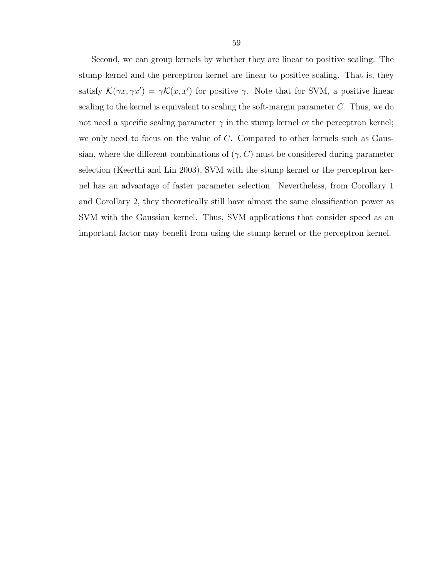Second, we can group kernels by whether they are linear to positive scaling. The stump kernel and the perceptron kernel are linear to positive scaling. That is, they satisfy  $\mathcal{K}(\gamma x, \gamma x') = \gamma \mathcal{K}(x, x')$  for positive  $\gamma$ . Note that for SVM, a positive linear scaling to the kernel is equivalent to scaling the soft-margin parameter  $C$ . Thus, we do not need a specific scaling parameter  $\gamma$  in the stump kernel or the perceptron kernel; we only need to focus on the value of  $C$ . Compared to other kernels such as Gaussian, where the different combinations of  $(\gamma, C)$  must be considered during parameter selection (Keerthi and Lin 2003), SVM with the stump kernel or the perceptron kernel has an advantage of faster parameter selection. Nevertheless, from Corollary 1 and Corollary 2, they theoretically still have almost the same classification power as SVM with the Gaussian kernel. Thus, SVM applications that consider speed as an important factor may benefit from using the stump kernel or the perceptron kernel.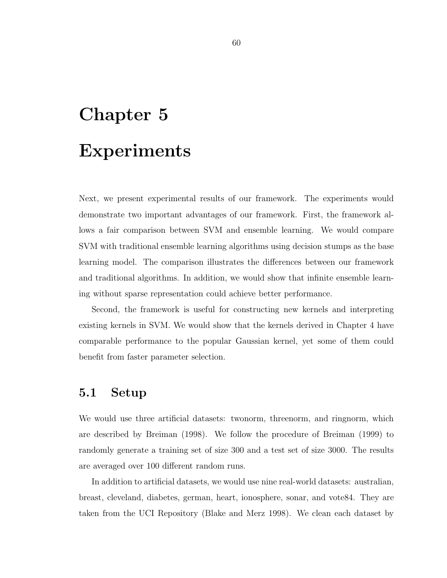# Chapter 5 Experiments

Next, we present experimental results of our framework. The experiments would demonstrate two important advantages of our framework. First, the framework allows a fair comparison between SVM and ensemble learning. We would compare SVM with traditional ensemble learning algorithms using decision stumps as the base learning model. The comparison illustrates the differences between our framework and traditional algorithms. In addition, we would show that infinite ensemble learning without sparse representation could achieve better performance.

Second, the framework is useful for constructing new kernels and interpreting existing kernels in SVM. We would show that the kernels derived in Chapter 4 have comparable performance to the popular Gaussian kernel, yet some of them could benefit from faster parameter selection.

# 5.1 Setup

We would use three artificial datasets: twonorm, threenorm, and ringnorm, which are described by Breiman (1998). We follow the procedure of Breiman (1999) to randomly generate a training set of size 300 and a test set of size 3000. The results are averaged over 100 different random runs.

In addition to artificial datasets, we would use nine real-world datasets: australian, breast, cleveland, diabetes, german, heart, ionosphere, sonar, and vote84. They are taken from the UCI Repository (Blake and Merz 1998). We clean each dataset by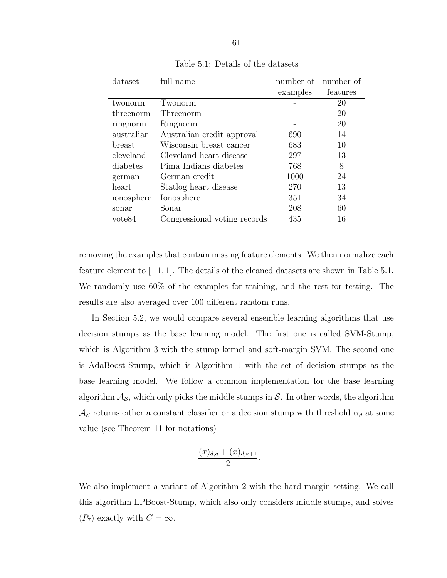| full name                    |          | number of number of |
|------------------------------|----------|---------------------|
|                              | examples | features            |
| Twonorm                      |          | 20                  |
| Threenorm                    |          | 20                  |
| Ringnorm                     |          | 20                  |
| Australian credit approval   | 690      | 14                  |
| Wisconsin breast cancer      | 683      | 10                  |
| Cleveland heart disease      | 297      | 13                  |
| Pima Indians diabetes        | 768      | 8                   |
| German credit                | 1000     | 24                  |
| Statlog heart disease        | 270      | 13                  |
| Ionosphere                   | 351      | 34                  |
| Sonar                        | 208      | 60                  |
| Congressional voting records | 435      | 16                  |
|                              |          |                     |

Table 5.1: Details of the datasets

removing the examples that contain missing feature elements. We then normalize each feature element to [−1, 1]. The details of the cleaned datasets are shown in Table 5.1. We randomly use 60% of the examples for training, and the rest for testing. The results are also averaged over 100 different random runs.

In Section 5.2, we would compare several ensemble learning algorithms that use decision stumps as the base learning model. The first one is called SVM-Stump, which is Algorithm 3 with the stump kernel and soft-margin SVM. The second one is AdaBoost-Stump, which is Algorithm 1 with the set of decision stumps as the base learning model. We follow a common implementation for the base learning algorithm  $\mathcal{A}_{\mathcal{S}}$ , which only picks the middle stumps in  $\mathcal{S}$ . In other words, the algorithm  $\mathcal{A}_{\mathcal{S}}$  returns either a constant classifier or a decision stump with threshold  $\alpha_d$  at some value (see Theorem 11 for notations)

$$
\frac{(\tilde{x})_{d,a} + (\tilde{x})_{d,a+1}}{2}
$$

.

We also implement a variant of Algorithm 2 with the hard-margin setting. We call this algorithm LPBoost-Stump, which also only considers middle stumps, and solves  $(P_7)$  exactly with  $C = \infty$ .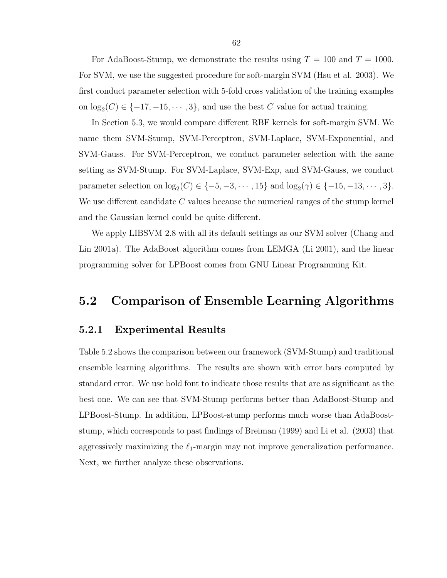For AdaBoost-Stump, we demonstrate the results using  $T = 100$  and  $T = 1000$ . For SVM, we use the suggested procedure for soft-margin SVM (Hsu et al. 2003). We first conduct parameter selection with 5-fold cross validation of the training examples on  $log_2(C) \in \{-17, -15, \cdots, 3\}$ , and use the best C value for actual training.

In Section 5.3, we would compare different RBF kernels for soft-margin SVM. We name them SVM-Stump, SVM-Perceptron, SVM-Laplace, SVM-Exponential, and SVM-Gauss. For SVM-Perceptron, we conduct parameter selection with the same setting as SVM-Stump. For SVM-Laplace, SVM-Exp, and SVM-Gauss, we conduct parameter selection on  $\log_2(C) \in \{-5, -3, \cdots, 15\}$  and  $\log_2(\gamma) \in \{-15, -13, \cdots, 3\}$ . We use different candidate  $C$  values because the numerical ranges of the stump kernel and the Gaussian kernel could be quite different.

We apply LIBSVM 2.8 with all its default settings as our SVM solver (Chang and Lin 2001a). The AdaBoost algorithm comes from LEMGA (Li 2001), and the linear programming solver for LPBoost comes from GNU Linear Programming Kit.

# 5.2 Comparison of Ensemble Learning Algorithms

#### 5.2.1 Experimental Results

Table 5.2 shows the comparison between our framework (SVM-Stump) and traditional ensemble learning algorithms. The results are shown with error bars computed by standard error. We use bold font to indicate those results that are as significant as the best one. We can see that SVM-Stump performs better than AdaBoost-Stump and LPBoost-Stump. In addition, LPBoost-stump performs much worse than AdaBooststump, which corresponds to past findings of Breiman (1999) and Li et al. (2003) that aggressively maximizing the  $\ell_1$ -margin may not improve generalization performance. Next, we further analyze these observations.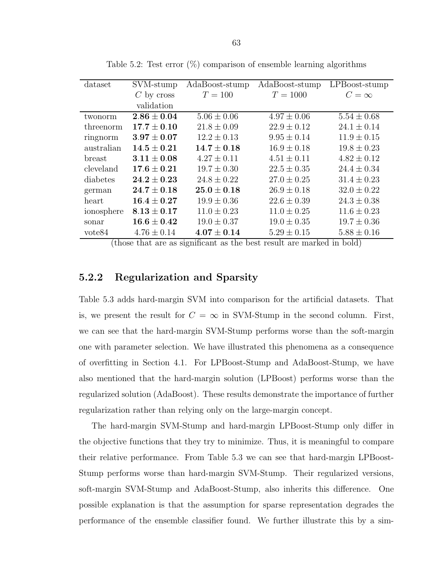| dataset            | SVM-stump       | AdaBoost-stump  | AdaBoost-stump  | LPBoost-stump   |
|--------------------|-----------------|-----------------|-----------------|-----------------|
|                    | $C$ by cross    | $T = 100$       | $T = 1000$      | $C=\infty$      |
|                    | validation      |                 |                 |                 |
| twonorm            | $2.86 \pm 0.04$ | $5.06 \pm 0.06$ | $4.97 \pm 0.06$ | $5.54 \pm 0.68$ |
| threenorm          | $17.7 \pm 0.10$ | $21.8 \pm 0.09$ | $22.9 \pm 0.12$ | $24.1 \pm 0.14$ |
| ringnorm           | $3.97 \pm 0.07$ | $12.2 \pm 0.13$ | $9.95 \pm 0.14$ | $11.9 \pm 0.15$ |
| australian         | $14.5\pm0.21$   | $14.7 \pm 0.18$ | $16.9 \pm 0.18$ | $19.8 \pm 0.23$ |
| breast             | $3.11 \pm 0.08$ | $4.27 \pm 0.11$ | $4.51 \pm 0.11$ | $4.82 \pm 0.12$ |
| cleveland          | $17.6 \pm 0.21$ | $19.7 \pm 0.30$ | $22.5 \pm 0.35$ | $24.4 \pm 0.34$ |
| diabetes           | $24.2 \pm 0.23$ | $24.8 \pm 0.22$ | $27.0 \pm 0.25$ | $31.4 \pm 0.23$ |
| german             | $24.7 \pm 0.18$ | $25.0 \pm 0.18$ | $26.9 \pm 0.18$ | $32.0 \pm 0.22$ |
| heart              | $16.4 \pm 0.27$ | $19.9 \pm 0.36$ | $22.6 \pm 0.39$ | $24.3 \pm 0.38$ |
| ionosphere         | $8.13 \pm 0.17$ | $11.0 \pm 0.23$ | $11.0 \pm 0.25$ | $11.6 \pm 0.23$ |
| sonar              | $16.6 \pm 0.42$ | $19.0 \pm 0.37$ | $19.0 \pm 0.35$ | $19.7 \pm 0.36$ |
| vote <sub>84</sub> | $4.76 \pm 0.14$ | $4.07 \pm 0.14$ | $5.29 \pm 0.15$ | $5.88 \pm 0.16$ |

Table 5.2: Test error (%) comparison of ensemble learning algorithms

(those that are as significant as the best result are marked in bold)

## 5.2.2 Regularization and Sparsity

Table 5.3 adds hard-margin SVM into comparison for the artificial datasets. That is, we present the result for  $C = \infty$  in SVM-Stump in the second column. First, we can see that the hard-margin SVM-Stump performs worse than the soft-margin one with parameter selection. We have illustrated this phenomena as a consequence of overfitting in Section 4.1. For LPBoost-Stump and AdaBoost-Stump, we have also mentioned that the hard-margin solution (LPBoost) performs worse than the regularized solution (AdaBoost). These results demonstrate the importance of further regularization rather than relying only on the large-margin concept.

The hard-margin SVM-Stump and hard-margin LPBoost-Stump only differ in the objective functions that they try to minimize. Thus, it is meaningful to compare their relative performance. From Table 5.3 we can see that hard-margin LPBoost-Stump performs worse than hard-margin SVM-Stump. Their regularized versions, soft-margin SVM-Stump and AdaBoost-Stump, also inherits this difference. One possible explanation is that the assumption for sparse representation degrades the performance of the ensemble classifier found. We further illustrate this by a sim-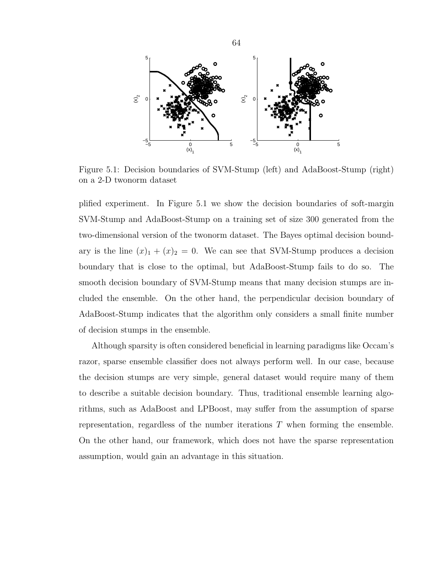

Figure 5.1: Decision boundaries of SVM-Stump (left) and AdaBoost-Stump (right) on a 2-D twonorm dataset

plified experiment. In Figure 5.1 we show the decision boundaries of soft-margin SVM-Stump and AdaBoost-Stump on a training set of size 300 generated from the two-dimensional version of the twonorm dataset. The Bayes optimal decision boundary is the line  $(x)_1 + (x)_2 = 0$ . We can see that SVM-Stump produces a decision boundary that is close to the optimal, but AdaBoost-Stump fails to do so. The smooth decision boundary of SVM-Stump means that many decision stumps are included the ensemble. On the other hand, the perpendicular decision boundary of AdaBoost-Stump indicates that the algorithm only considers a small finite number of decision stumps in the ensemble.

Although sparsity is often considered beneficial in learning paradigms like Occam's razor, sparse ensemble classifier does not always perform well. In our case, because the decision stumps are very simple, general dataset would require many of them to describe a suitable decision boundary. Thus, traditional ensemble learning algorithms, such as AdaBoost and LPBoost, may suffer from the assumption of sparse representation, regardless of the number iterations T when forming the ensemble. On the other hand, our framework, which does not have the sparse representation assumption, would gain an advantage in this situation.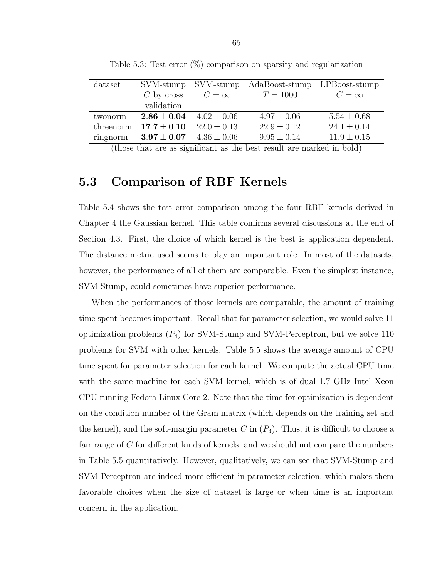| dataset   | SVM-stump     | SVM-stump       | AdaBoost-stump  | LPBoost-stump   |
|-----------|---------------|-----------------|-----------------|-----------------|
|           | $C$ by cross  | $C=\infty$      | $T = 1000$      | $C=\infty$      |
|           | validation    |                 |                 |                 |
| twonorm   | $2.86\pm0.04$ | $4.02 \pm 0.06$ | $4.97 \pm 0.06$ | $5.54 \pm 0.68$ |
| threenorm | $17.7\pm0.10$ | $22.0 \pm 0.13$ | $22.9 \pm 0.12$ | $24.1 \pm 0.14$ |
| ringnorm  | $3.97\pm0.07$ | $4.36 \pm 0.06$ | $9.95 \pm 0.14$ | $11.9 \pm 0.15$ |

Table 5.3: Test error  $(\%)$  comparison on sparsity and regularization

(those that are as significant as the best result are marked in bold)

## 5.3 Comparison of RBF Kernels

Table 5.4 shows the test error comparison among the four RBF kernels derived in Chapter 4 the Gaussian kernel. This table confirms several discussions at the end of Section 4.3. First, the choice of which kernel is the best is application dependent. The distance metric used seems to play an important role. In most of the datasets, however, the performance of all of them are comparable. Even the simplest instance, SVM-Stump, could sometimes have superior performance.

When the performances of those kernels are comparable, the amount of training time spent becomes important. Recall that for parameter selection, we would solve 11 optimization problems  $(P_4)$  for SVM-Stump and SVM-Perceptron, but we solve 110 problems for SVM with other kernels. Table 5.5 shows the average amount of CPU time spent for parameter selection for each kernel. We compute the actual CPU time with the same machine for each SVM kernel, which is of dual 1.7 GHz Intel Xeon CPU running Fedora Linux Core 2. Note that the time for optimization is dependent on the condition number of the Gram matrix (which depends on the training set and the kernel), and the soft-margin parameter C in  $(P_4)$ . Thus, it is difficult to choose a fair range of C for different kinds of kernels, and we should not compare the numbers in Table 5.5 quantitatively. However, qualitatively, we can see that SVM-Stump and SVM-Perceptron are indeed more efficient in parameter selection, which makes them favorable choices when the size of dataset is large or when time is an important concern in the application.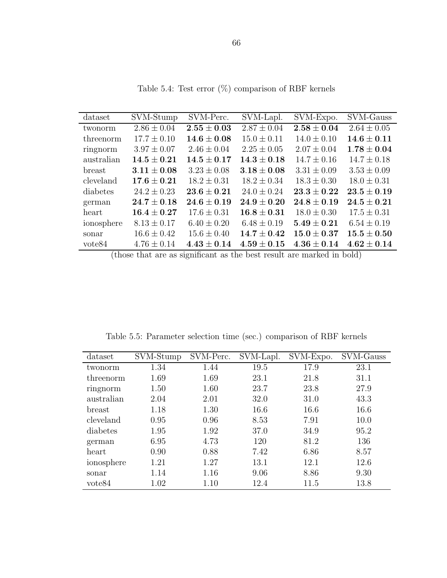| dataset            | SVM-Stump       | SVM-Perc.       | SVM-Lapl.       | SVM-Expo.       | SVM-Gauss       |
|--------------------|-----------------|-----------------|-----------------|-----------------|-----------------|
| twonorm            | $2.86 \pm 0.04$ | $2.55\pm0.03$   | $2.87 \pm 0.04$ | $2.58\pm0.04$   | $2.64 \pm 0.05$ |
| threenorm          | $17.7 \pm 0.10$ | $14.6 \pm 0.08$ | $15.0 \pm 0.11$ | $14.0 \pm 0.10$ | $14.6 \pm 0.11$ |
| ringnorm           | $3.97 \pm 0.07$ | $2.46 \pm 0.04$ | $2.25 \pm 0.05$ | $2.07 \pm 0.04$ | $1.78 \pm 0.04$ |
| australian         | $14.5 \pm 0.21$ | $14.5 \pm 0.17$ | $14.3 \pm 0.18$ | $14.7 \pm 0.16$ | $14.7 \pm 0.18$ |
| <b>breast</b>      | $3.11 \pm 0.08$ | $3.23 \pm 0.08$ | $3.18 \pm 0.08$ | $3.31 \pm 0.09$ | $3.53 \pm 0.09$ |
| cleveland          | $17.6 \pm 0.21$ | $18.2 \pm 0.31$ | $18.2 \pm 0.34$ | $18.3 \pm 0.30$ | $18.0 \pm 0.31$ |
| diabetes           | $24.2 \pm 0.23$ | $23.6 \pm 0.21$ | $24.0 \pm 0.24$ | $23.3\pm0.22$   | $23.5 \pm 0.19$ |
| german             | $24.7\pm0.18$   | $24.6 \pm 0.19$ | $24.9 \pm 0.20$ | $24.8 \pm 0.19$ | $24.5 \pm 0.21$ |
| heart              | $16.4\pm0.27$   | $17.6 \pm 0.31$ | $16.8 \pm 0.31$ | $18.0 \pm 0.30$ | $17.5 \pm 0.31$ |
| ionosphere         | $8.13 \pm 0.17$ | $6.40 \pm 0.20$ | $6.48 \pm 0.19$ | $5.49 \pm 0.21$ | $6.54 \pm 0.19$ |
| sonar              | $16.6 \pm 0.42$ | $15.6 \pm 0.40$ | $14.7 \pm 0.42$ | $15.0 \pm 0.37$ | $15.5 \pm 0.50$ |
| vote <sub>84</sub> | $4.76 \pm 0.14$ | $4.43 \pm 0.14$ | $4.59 \pm 0.15$ | $4.36 \pm 0.14$ | $4.62 \pm 0.14$ |

Table 5.4: Test error  $(\%)$  comparison of RBF kernels

(those that are as significant as the best result are marked in bold)

| dataset            | SVM-Stump | SVM-Perc. | SVM-Lapl. | SVM-Expo. | SVM-Gauss |
|--------------------|-----------|-----------|-----------|-----------|-----------|
| twonorm            | 1.34      | 1.44      | 19.5      | 17.9      | 23.1      |
| threenorm          | 1.69      | 1.69      | 23.1      | 21.8      | 31.1      |
| ringnorm           | 1.50      | 1.60      | 23.7      | 23.8      | 27.9      |
| australian         | 2.04      | 2.01      | 32.0      | 31.0      | 43.3      |
| breast             | 1.18      | 1.30      | 16.6      | 16.6      | 16.6      |
| cleveland          | 0.95      | 0.96      | 8.53      | 7.91      | 10.0      |
| diabetes           | 1.95      | 1.92      | 37.0      | 34.9      | 95.2      |
| german             | 6.95      | 4.73      | 120       | 81.2      | 136       |
| heart              | 0.90      | 0.88      | 7.42      | 6.86      | 8.57      |
| ionosphere         | 1.21      | 1.27      | 13.1      | 12.1      | 12.6      |
| sonar              | 1.14      | 1.16      | 9.06      | 8.86      | 9.30      |
| vote <sub>84</sub> | 1.02      | 1.10      | 12.4      | 11.5      | 13.8      |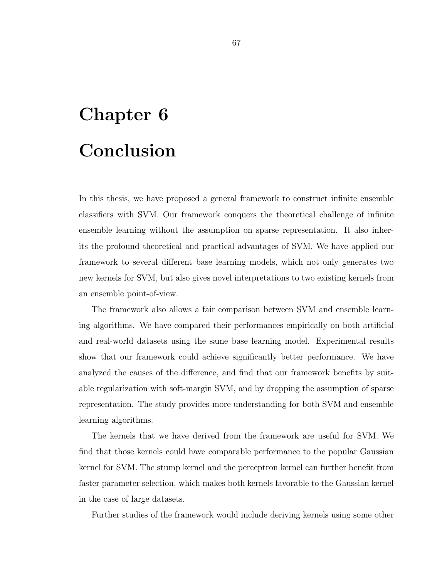## Chapter 6 Conclusion

In this thesis, we have proposed a general framework to construct infinite ensemble classifiers with SVM. Our framework conquers the theoretical challenge of infinite ensemble learning without the assumption on sparse representation. It also inherits the profound theoretical and practical advantages of SVM. We have applied our framework to several different base learning models, which not only generates two new kernels for SVM, but also gives novel interpretations to two existing kernels from an ensemble point-of-view.

The framework also allows a fair comparison between SVM and ensemble learning algorithms. We have compared their performances empirically on both artificial and real-world datasets using the same base learning model. Experimental results show that our framework could achieve significantly better performance. We have analyzed the causes of the difference, and find that our framework benefits by suitable regularization with soft-margin SVM, and by dropping the assumption of sparse representation. The study provides more understanding for both SVM and ensemble learning algorithms.

The kernels that we have derived from the framework are useful for SVM. We find that those kernels could have comparable performance to the popular Gaussian kernel for SVM. The stump kernel and the perceptron kernel can further benefit from faster parameter selection, which makes both kernels favorable to the Gaussian kernel in the case of large datasets.

Further studies of the framework would include deriving kernels using some other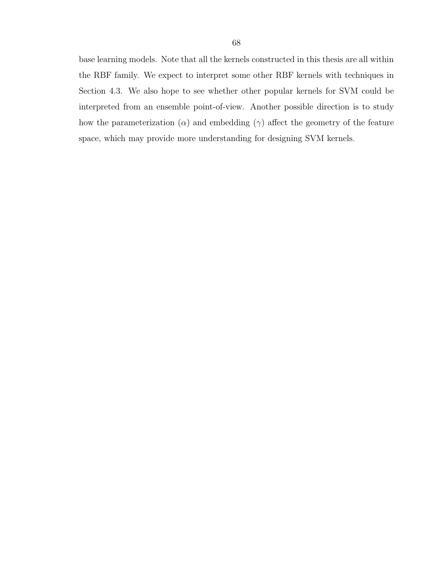base learning models. Note that all the kernels constructed in this thesis are all within the RBF family. We expect to interpret some other RBF kernels with techniques in Section 4.3. We also hope to see whether other popular kernels for SVM could be interpreted from an ensemble point-of-view. Another possible direction is to study how the parameterization ( $\alpha$ ) and embedding ( $\gamma$ ) affect the geometry of the feature space, which may provide more understanding for designing SVM kernels.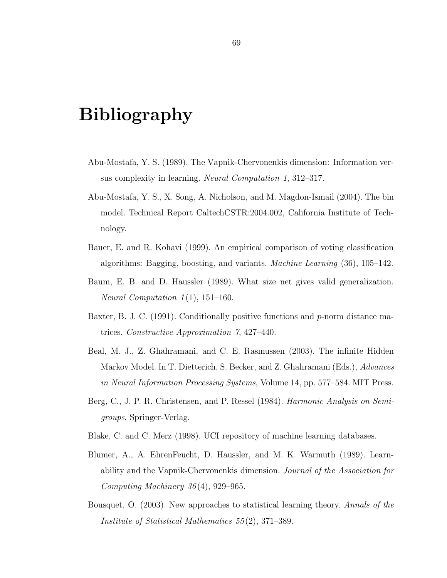## Bibliography

- Abu-Mostafa, Y. S. (1989). The Vapnik-Chervonenkis dimension: Information versus complexity in learning. Neural Computation 1, 312–317.
- Abu-Mostafa, Y. S., X. Song, A. Nicholson, and M. Magdon-Ismail (2004). The bin model. Technical Report CaltechCSTR:2004.002, California Institute of Technology.
- Bauer, E. and R. Kohavi (1999). An empirical comparison of voting classification algorithms: Bagging, boosting, and variants. Machine Learning (36), 105–142.
- Baum, E. B. and D. Haussler (1989). What size net gives valid generalization. *Neural Computation 1*(1), 151–160.
- Baxter, B. J. C. (1991). Conditionally positive functions and  $p$ -norm distance matrices. Constructive Approximation 7, 427–440.
- Beal, M. J., Z. Ghahramani, and C. E. Rasmussen (2003). The infinite Hidden Markov Model. In T. Dietterich, S. Becker, and Z. Ghahramani (Eds.), Advances in Neural Information Processing Systems, Volume 14, pp. 577–584. MIT Press.
- Berg, C., J. P. R. Christensen, and P. Ressel (1984). Harmonic Analysis on Semigroups. Springer-Verlag.
- Blake, C. and C. Merz (1998). UCI repository of machine learning databases.
- Blumer, A., A. EhrenFeucht, D. Haussler, and M. K. Warmuth (1989). Learnability and the Vapnik-Chervonenkis dimension. Journal of the Association for Computing Machinery  $36(4)$ , 929-965.
- Bousquet, O. (2003). New approaches to statistical learning theory. Annals of the Institute of Statistical Mathematics 55 (2), 371–389.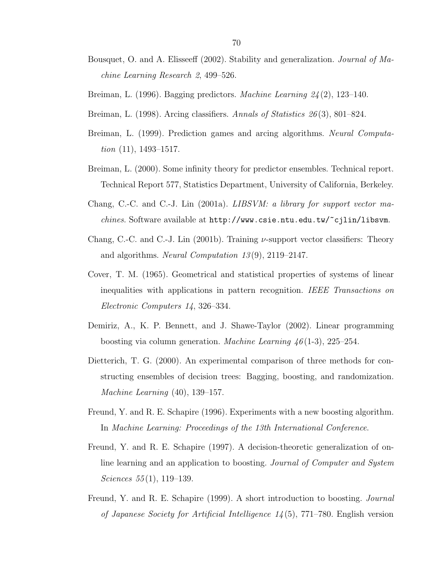- Bousquet, O. and A. Elisseeff (2002). Stability and generalization. Journal of Machine Learning Research 2, 499–526.
- Breiman, L. (1996). Bagging predictors. Machine Learning 24(2), 123-140.
- Breiman, L. (1998). Arcing classifiers. Annals of Statistics 26(3), 801–824.
- Breiman, L. (1999). Prediction games and arcing algorithms. Neural Computation  $(11)$ , 1493–1517.
- Breiman, L. (2000). Some infinity theory for predictor ensembles. Technical report. Technical Report 577, Statistics Department, University of California, Berkeley.
- Chang, C.-C. and C.-J. Lin (2001a). LIBSVM: a library for support vector ma*chines*. Software available at  $http://www.csie.ntu.edu.tw/~cjlin/libswm.$
- Chang, C.-C. and C.-J. Lin (2001b). Training  $\nu$ -support vector classifiers: Theory and algorithms. Neural Computation 13 (9), 2119–2147.
- Cover, T. M. (1965). Geometrical and statistical properties of systems of linear inequalities with applications in pattern recognition. IEEE Transactions on Electronic Computers 14, 326–334.
- Demiriz, A., K. P. Bennett, and J. Shawe-Taylor (2002). Linear programming boosting via column generation. *Machine Learning*  $46(1-3)$ , 225–254.
- Dietterich, T. G. (2000). An experimental comparison of three methods for constructing ensembles of decision trees: Bagging, boosting, and randomization. Machine Learning (40), 139–157.
- Freund, Y. and R. E. Schapire (1996). Experiments with a new boosting algorithm. In Machine Learning: Proceedings of the 13th International Conference.
- Freund, Y. and R. E. Schapire (1997). A decision-theoretic generalization of online learning and an application to boosting. Journal of Computer and System Sciences  $55(1)$ , 119–139.
- Freund, Y. and R. E. Schapire (1999). A short introduction to boosting. Journal of Japanese Society for Artificial Intelligence  $1/(5)$ , 771–780. English version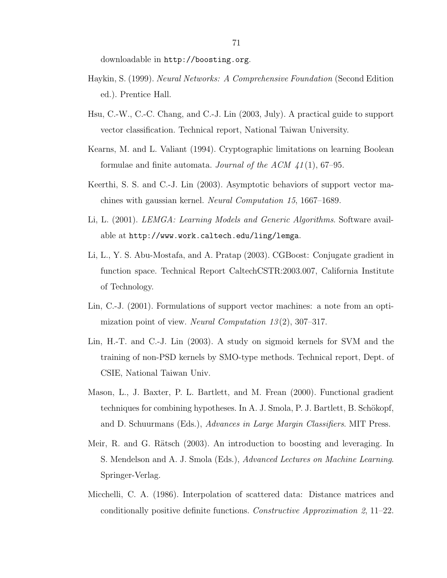downloadable in http://boosting.org.

- Haykin, S. (1999). Neural Networks: A Comprehensive Foundation (Second Edition ed.). Prentice Hall.
- Hsu, C.-W., C.-C. Chang, and C.-J. Lin (2003, July). A practical guide to support vector classification. Technical report, National Taiwan University.
- Kearns, M. and L. Valiant (1994). Cryptographic limitations on learning Boolean formulae and finite automata. Journal of the ACM  $41(1)$ , 67–95.
- Keerthi, S. S. and C.-J. Lin (2003). Asymptotic behaviors of support vector machines with gaussian kernel. Neural Computation 15, 1667–1689.
- Li, L. (2001). *LEMGA: Learning Models and Generic Algorithms*. Software available at http://www.work.caltech.edu/ling/lemga.
- Li, L., Y. S. Abu-Mostafa, and A. Pratap (2003). CGBoost: Conjugate gradient in function space. Technical Report CaltechCSTR:2003.007, California Institute of Technology.
- Lin, C.-J. (2001). Formulations of support vector machines: a note from an optimization point of view. Neural Computation 13 (2), 307–317.
- Lin, H.-T. and C.-J. Lin (2003). A study on sigmoid kernels for SVM and the training of non-PSD kernels by SMO-type methods. Technical report, Dept. of CSIE, National Taiwan Univ.
- Mason, L., J. Baxter, P. L. Bartlett, and M. Frean (2000). Functional gradient techniques for combining hypotheses. In A. J. Smola, P. J. Bartlett, B. Schökopf, and D. Schuurmans (Eds.), Advances in Large Margin Classifiers. MIT Press.
- Meir, R. and G. Rätsch (2003). An introduction to boosting and leveraging. In S. Mendelson and A. J. Smola (Eds.), Advanced Lectures on Machine Learning. Springer-Verlag.
- Micchelli, C. A. (1986). Interpolation of scattered data: Distance matrices and conditionally positive definite functions. Constructive Approximation 2, 11–22.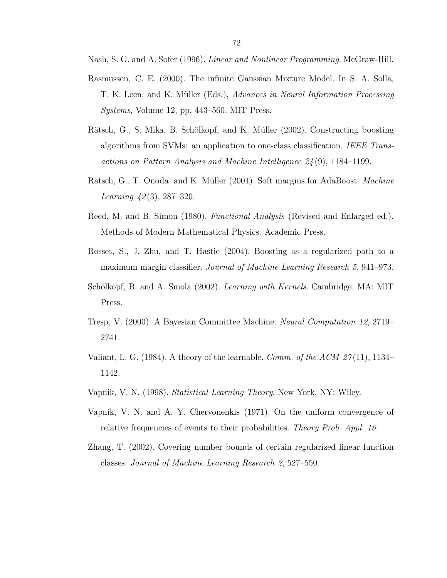Nash, S. G. and A. Sofer (1996). Linear and Nonlinear Programming. McGraw-Hill.

- Rasmussen, C. E. (2000). The infinite Gaussian Mixture Model. In S. A. Solla, T. K. Leen, and K. Müller (Eds.), Advances in Neural Information Processing Systems, Volume 12, pp. 443–560. MIT Press.
- Rätsch, G., S. Mika, B. Schölkopf, and K. Müller (2002). Constructing boosting algorithms from SVMs: an application to one-class classification. IEEE Transactions on Pattern Analysis and Machine Intelligence 24 (9), 1184–1199.
- Rätsch, G., T. Onoda, and K. Müller (2001). Soft margins for AdaBoost. *Machine* Learning  $42(3)$ , 287–320.
- Reed, M. and B. Simon (1980). *Functional Analysis* (Revised and Enlarged ed.). Methods of Modern Mathematical Physics. Academic Press.
- Rosset, S., J. Zhu, and T. Hastie (2004). Boosting as a regularized path to a maximum margin classifier. Journal of Machine Learning Research 5, 941–973.
- Schölkopf, B. and A. Smola (2002). Learning with Kernels. Cambridge, MA: MIT Press.
- Tresp, V. (2000). A Bayesian Committee Machine. Neural Computation 12, 2719– 2741.
- Valiant, L. G. (1984). A theory of the learnable. Comm. of the ACM  $27(11)$ , 1134– 1142.
- Vapnik, V. N. (1998). Statistical Learning Theory. New York, NY: Wiley.
- Vapnik, V. N. and A. Y. Chervonenkis (1971). On the uniform convergence of relative frequencies of events to their probabilities. Theory Prob. Appl. 16.
- Zhang, T. (2002). Covering number bounds of certain regularized linear function classes. Journal of Machine Learning Research 2, 527–550.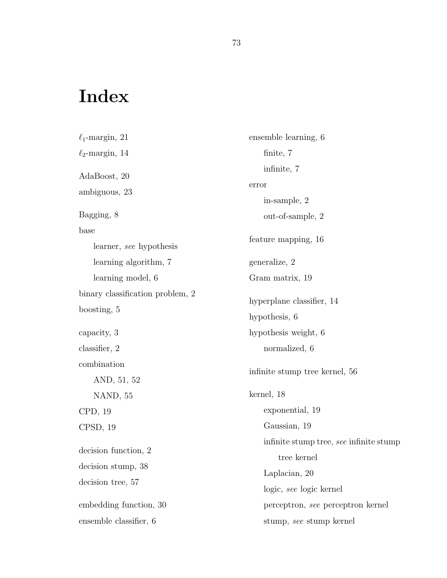## Index

 $\ell_1$ -margin, 21  $\ell_2$ -margin, 14 AdaBoost, 20 ambiguous, 23 Bagging, 8 base learner, see hypothesis learning algorithm, 7 learning model, 6 binary classification problem, 2 boosting, 5 capacity, 3 classifier, 2 combination AND, 51, 52 NAND, 55 CPD, 19 CPSD, 19 decision function, 2 decision stump, 38 decision tree, 57 embedding function, 30 ensemble classifier, 6 ensemble learning, 6 finite, 7 infinite, 7 error in-sample, 2 out-of-sample, 2 feature mapping, 16 generalize, 2 Gram matrix, 19 hyperplane classifier, 14 hypothesis, 6 hypothesis weight, 6 normalized, 6 infinite stump tree kernel, 56 kernel, 18 exponential, 19 Gaussian, 19 infinite stump tree, see infinite stump tree kernel Laplacian, 20 logic, see logic kernel perceptron, see perceptron kernel stump, see stump kernel